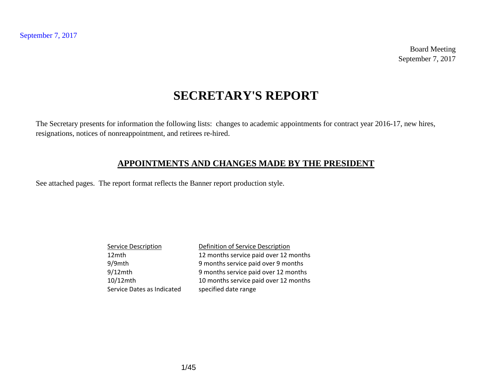Board Meeting September 7, 2017

# **SECRETARY'S REPORT**

The Secretary presents for information the following lists: changes to academic appointments for contract year 2016-17, new hires, resignations, notices of nonreappointment, and retirees re-hired.

### **APPOINTMENTS AND CHANGES MADE BY THE PRESIDENT**

See attached pages. The report format reflects the Banner report production style.

| <b>Service Description</b> | Definition of Service Description     |
|----------------------------|---------------------------------------|
| 12mth                      | 12 months service paid over 12 months |
| 9/9mth                     | 9 months service paid over 9 months   |
| $9/12$ mth                 | 9 months service paid over 12 months  |
| 10/12mth                   | 10 months service paid over 12 months |
| Service Dates as Indicated | specified date range                  |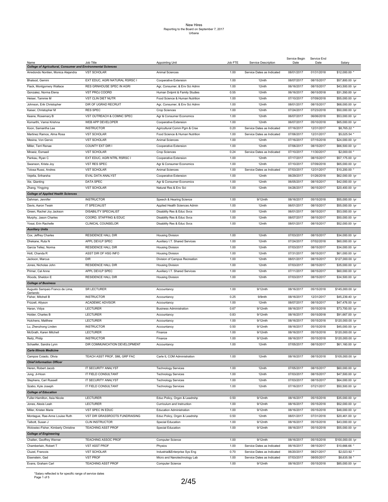|                                                                             |                                |                                 |         |                            | Service Begin | Service End |                  |
|-----------------------------------------------------------------------------|--------------------------------|---------------------------------|---------|----------------------------|---------------|-------------|------------------|
| Name<br><b>College of Agricultural, Consumer and Environmental Sciences</b> | Job Title                      | <b>Appointing Unit</b>          | Job FTE | Service Description        | Date          | Date        | Salary           |
| Arredondo Nontien, Monica Alejandra                                         | <b>VST SCHOLAR</b>             | <b>Animal Sciences</b>          | 1.00    | Service Dates as Indicated | 08/01/2017    | 01/31/2018  | \$12,000.00      |
|                                                                             |                                |                                 |         |                            |               |             |                  |
| Bhalsod, Gemini                                                             | EXT EDUC, AGRI NATURAL RSRSC I | Cooperative Extension           | 1.00    | 12mth                      | 08/07/2017    | 08/15/2017  | \$57,800.00 /yr  |
| Flack, Montgomery Wallace                                                   | RES GRNHOUSE SPEC IN AGRI      | Agr, Consumer, & Env Sci Admn   | 1.00    | 12mth                      | 06/16/2017    | 08/15/2017  | \$43,500.00 /yr  |
| Gonzalez, Norma Elena                                                       | VST PROJ COORD                 | Human Dvlpmt & Family Studies   | 0.55    | 12mth                      | 06/16/2017    | 06/15/2018  | \$31,350.00 /yr  |
| Heiser, Tammie M                                                            | VST CLIN DIET NUTR             | Food Science & Human Nutrition  | 1.00    | 12mth                      | 07/10/2017    | 07/09/2018  | \$55,000.00 /yr  |
| Johnson, Erik Christopher                                                   | DIR OF UGRAD RECRUIT           | Agr, Consumer, & Env Sci Admn   | 1.00    | 12mth                      | 08/01/2017    | 08/15/2017  | \$68,000.00 /yr  |
| Kaiser, Christopher M                                                       | <b>RES SPEC</b>                | Crop Sciences                   | 1.00    | 12mth                      | 07/24/2017    | 07/23/2018  | \$50,000.00 /yr  |
| Keane, Rosemary B                                                           | VST OUTREACH & COMNC SPEC      | Agr & Consumer Economics        | 1.00    | 12mth                      | 06/07/2017    | 06/06/2018  | \$53,000.00 /yr  |
| Komarthi, Vamsi Krishna                                                     | WEB APP DEVELOPER              | Cooperative Extension           | 1.00    | 12mth                      | 06/07/2017    | 05/10/2018  | \$65,000.00 /yr  |
| Koon, Samantha Lee                                                          | <b>INSTRUCTOR</b>              | Agricultural Comm Pgm & Crse    | 0.20    | Service Dates as Indicated | 07/16/2017    | 12/31/2017  | \$8,765.22       |
| Martinez Ramos, Alma Rosa                                                   | <b>VST SCHOLAR</b>             | Food Science & Human Nutrition  | 1.00    | Service Dates as Indicated | 07/06/2017    | 12/31/2017  | \$5,025.54       |
| Mesina, Von Gervic                                                          | <b>VST SCHOLAR</b>             | Animal Sciences                 | 1.00    | 12mth                      | 07/16/2017    | 07/15/2018  | \$24,000.00 /yr  |
| Miller, Terri Renae                                                         | COUNTY EXT DIR I               | Cooperative Extension           | 1.00    | 12mth                      | 07/06/2017    | 08/15/2017  | \$66,500.00 /yr  |
| Miraeiz, Esmaeil                                                            | <b>VST SCHOLAR</b>             | Crop Sciences                   | 0.24    | Service Dates as Indicated | 07/10/2017    | 11/30/2017  | \$2,000.00       |
| Pankau, Ryan C                                                              | EXT EDUC, AGRI NTRL RSRSC I    | Cooperative Extension           | 1.00    | 12mth                      | 07/17/2017    | 08/15/2017  | \$57,175.00 /yr  |
|                                                                             | VST RES SPEC                   |                                 | 1.00    | 12mth                      | 07/10/2017    | 07/09/2018  |                  |
| Swanson, Krista Joy                                                         |                                | Agr & Consumer Economics        |         |                            |               |             | \$65,000.00 /yr  |
| Tolosa Russi, Andres                                                        | <b>VST SCHOLAR</b>             | <b>Animal Sciences</b>          | 1.00    | Service Dates as Indicated | 07/03/2017    | 12/31/2017  | \$10,200.00      |
| Vejella, Sriharsha                                                          | EVAL DATA ANALYST              | Cooperative Extension           | 1.00    | 12mth                      | 06/29/2017    | 01/26/2018  | \$62,000.00 /yr  |
| Xie, Qianting                                                               | DATA SPEC                      | Agr & Consumer Economics        | 1.00    | 12mth                      | 06/05/2017    | 08/15/2017  | \$42,000.00 /yr  |
| Zhang, Yingying                                                             | <b>VST SCHOLAR</b>             | Natural Res & Env Sci           | 1.00    | 12mth                      | 04/26/2017    | 06/15/2017  | \$20,400.00 /yr  |
| <b>College of Applied Health Sciences</b>                                   |                                |                                 |         |                            |               |             |                  |
| Dahman, Jennifer                                                            | <b>INSTRUCTOR</b>              | Speech & Hearing Science        | 1.00    | 9/12mth                    | 08/16/2017    | 05/15/2018  | \$55,000.00 /yr  |
| Davis, Aaron Twain                                                          | IT SPECIALIST                  | Applied Health Sciences Admin   | 1.00    | 12mth                      | 06/01/2017    | 08/15/2017  | \$55,000.00 /yr  |
| Green, Rachel Joy Jackson                                                   | <b>DISABILITY SPECIALIST</b>   | Disability Res & Educ Svcs      | 1.00    | 12mth                      | 06/01/2017    | 08/15/2017  | \$53,000.00 /yr  |
| Murphy, Jason Charles                                                       | COORD, STAFFING & EDUC         | Disability Res & Educ Svcs      | 1.00    | 12mth                      | 08/07/2017    | 08/15/2017  | \$50,000.00 /yr  |
| Yosai, Erin Rachelle                                                        | <b>CLINICAL COUNSELOR</b>      | Disability Res & Educ Svcs      | 1.00    | 12mth                      | 08/01/2017    | 08/15/2017  | \$52,000.00 /yr  |
| <b>Auxiliary Units</b>                                                      |                                |                                 |         |                            |               |             |                  |
| Cox, Jeffrey Charles                                                        | <b>RESIDENCE HALL DIR</b>      | <b>Housing Division</b>         | 1.00    | 12mth                      | 07/03/2017    | 08/15/2017  | \$34,000.00 /yr  |
| Dhekane, Ruta N                                                             | APPL DEVLP SPEC                | Auxiliary I.T. Shared Services  | 1.00    | 12mth                      | 07/24/2017    | 07/02/2018  | \$60,000.00 /yr  |
| Garcia Tellez, Norma                                                        | <b>RESIDENCE HALL DIR</b>      | <b>Housing Division</b>         | 1.00    | 12mth                      | 07/03/2017    | 08/15/2017  | \$34,000.00 /yr  |
| Hott, Chanda R                                                              | ASST DIR OF HSG INFO           | <b>Housing Division</b>         | 1.00    | 12mth                      | 07/31/2017    | 08/15/2017  | \$61,000.00 /yr  |
| Jackson, Marcus                                                             | <b>DIR</b>                     | Division of Campus Recreation   | 1.00    | 12mth                      | 08/01/2017    | 08/15/2017  | \$127,000.00 /yr |
| Jones, Nicholas John                                                        | <b>RESIDENCE HALL DIR</b>      | <b>Housing Division</b>         | 1.00    | 12mth                      | 07/03/2017    | 08/15/2017  | \$35,000.00 /yr  |
| Primer, Cal Anne                                                            | APPL DEVLP SPEC                | Auxiliary I.T. Shared Services  | 1.00    | 12mth                      | 07/11/2017    | 08/15/2017  | \$60,000.00 /yr  |
| Woods, Sheldon E                                                            | <b>RESIDENCE HALL DIR</b>      | <b>Housing Division</b>         | 1.00    | 12mth                      | 07/03/2017    | 08/15/2017  | \$34,500.00 /yr  |
| <b>College of Business</b>                                                  |                                |                                 |         |                            |               |             |                  |
| Augusto Sampaio Franco de Lima,                                             | <b>SR LECTURER</b>             | Accountancy                     | 1.00    | 9/12mth                    | 08/16/2017    | 05/15/2018  | \$145,000.00 /yr |
| Gerlando                                                                    |                                |                                 |         |                            |               |             |                  |
| Fisher, Mitchell B                                                          | <b>INSTRUCTOR</b>              | Accountancy                     | 0.25    | 9/9mth                     | 08/16/2017    | 12/31/2017  | \$45,239.40 /yr  |
| Frizzell, Allyson                                                           | <b>ACADEMIC ADVISOR</b>        | Accountancy                     | 1.00    | 12mth                      | 08/07/2017    | 08/15/2017  | \$47,476.00 /yr  |
| Haran, Vidya                                                                | <b>LECTURER</b>                | <b>Business Administration</b>  | 0.67    | 9/12mth                    | 08/16/2017    | 05/15/2018  | \$73,700.00 /yr  |
| Holder, Charles B                                                           | <b>LECTURER</b>                | Accountancy                     | 0.83    | 9/12mth                    | 08/16/2017    | 05/15/2018  | \$91,667.00 /yr  |
| Hutchens, Matthew                                                           | <b>LECTURER</b>                | Accountancy                     | 1.00    | 9/12mth                    | 08/16/2017    | 05/15/2018  | \$120,000.00 /yr |
| Lu, Zhenzhong Linden                                                        | <b>INSTRUCTOR</b>              | Accountancy                     | 0.50    | 9/12mth                    | 08/16/2017    | 05/15/2018  | \$45,000.00 /yr  |
| McGrath, Karen Mitchell                                                     | <b>LECTURER</b>                | Finance                         | 1.00    | 9/12mth                    | 08/16/2017    | 05/15/2018  | \$120,000.00 /yr |
| Reitz, Philip                                                               | <b>INSTRUCTOR</b>              | Finance                         | 1.00    | 9/12mth                    | 08/16/2017    | 05/15/2018  | \$120,000.00 /yr |
| Schaefer, Sandra Lynn                                                       | DIR COMMUNICATION DEVELOPMENT  | Accountancy                     | 1.00    | 12mth                      | 07/05/2017    | 08/15/2017  | \$61,160.00 /yr  |
| <b>Carle Illinois Medicine</b>                                              |                                |                                 |         |                            |               |             |                  |
| Campos Coiado, Olivia                                                       | TEACH ASST PROF, SML GRP FAC   | Carle IL COM Administration     | 1.00    | 12mth                      | 08/16/2017    | 08/15/2018  | \$105,000.00 /yr |
| <b>Chief Information Officer</b>                                            |                                |                                 |         |                            |               |             |                  |
| Heren, Robert Jacob                                                         | IT SECURITY ANALYST            | <b>Technology Services</b>      | 1.00    | 12mth                      | 07/05/2017    | 08/15/2017  | \$60,000.00 /yr  |
| Jung, Ji-Hoon                                                               | IT FIELD CONSULTANT            | <b>Technology Services</b>      | 1.00    | 12mth                      | 07/03/2017    | 08/15/2017  | \$47,500.00 /yr  |
| Stephens, Carl Russell                                                      | IT SECURITY ANALYST            | <b>Technology Services</b>      | 1.00    | 12mth                      | 07/03/2017    | 08/15/2017  | \$64,000.00 /yr  |
| Szabo, Kyle Joseph                                                          | IT FIELD CONSULTANT            | <b>Technology Services</b>      | 1.00    | 12mth                      | 07/16/2017    | 07/21/2017  | \$50,500.00 /yr  |
| <b>College of Education</b>                                                 |                                |                                 |         |                            |               |             |                  |
| Fuller-Hamilton, Asia Nicole                                                | LECTURER                       | Educ Policy, Orgzn & Leadrshp   | 0.50    | 9/12mth                    | 08/16/2017    | 05/15/2018  | \$35,000.00 /yr  |
| Jones, Alexis Leah                                                          | <b>LECTURER</b>                | Curriculum and Instruction      | 1.00    | 9/12mth                    | 08/16/2017    | 05/15/2018  | \$52,000.00 /yr  |
| Miller, Kristen Marie                                                       | VST SPEC IN EDUC               | <b>Education Administration</b> | 1.00    | 9/12mth                    | 08/16/2017    | 05/15/2018  | \$48,000.00 /yr  |
| Montague, Rae-Anne Louise Ruth                                              | VST DIR GRASSROOTS FUNDRAISING | Educ Policy, Orgzn & Leadrshp   | 0.50    | 12mth                      | 08/01/2017    | 07/31/2018  | \$20,461.00 /yr  |
| Talbott, Susan J                                                            | <b>CLIN INSTRUCTOR</b>         | Special Education               | 1.00    | 9/12mth                    | 08/16/2017    | 05/15/2018  | \$43,000.00 /yr  |
|                                                                             | <b>TEACHING ASST PROF</b>      |                                 |         |                            | 08/16/2017    |             |                  |
| Wolowiec-Fisher, Kimberly Christine                                         |                                | Special Education               | 1.00    | 9/12mth                    |               | 05/15/2018  | \$55,000.00 /yr  |
| <b>College of Engineering</b>                                               |                                |                                 |         |                            |               |             |                  |
| Challen, Geoffrey Werner                                                    | <b>TEACHING ASSOC PROF</b>     | Computer Science                | 1.00    | 9/12mth                    | 08/16/2017    | 05/15/2018  | \$100,000.00 /yr |
| Chamberlain, Robert T                                                       | <b>VST ASST PROF</b>           | Physics                         | 1.00    | Service Dates as Indicated | 06/16/2017    | 08/15/2017  | \$10,666.66      |
| Cluzel, Francois                                                            | <b>VST SCHOLAR</b>             | Industrial&Enterprise Sys Eng   | 0.70    | Service Dates as Indicated | 06/20/2017    | 08/21/2017  | \$2,023.92       |
| Eisenstein, Gad                                                             | <b>VST PROF</b>                | Micro and Nanotechnology Lab    | 1.00    | Service Dates as Indicated | 07/03/2017    | 08/05/2017  | \$8,635.58       |
| Evans, Graham Carl                                                          | <b>TEACHING ASST PROF</b>      | Computer Science                | 1.00    | 9/12mth                    | 08/16/2017    | 05/15/2018  | \$85,000.00 /yr  |

\*Salary reflected is for specific range of service dates Page 1 of 5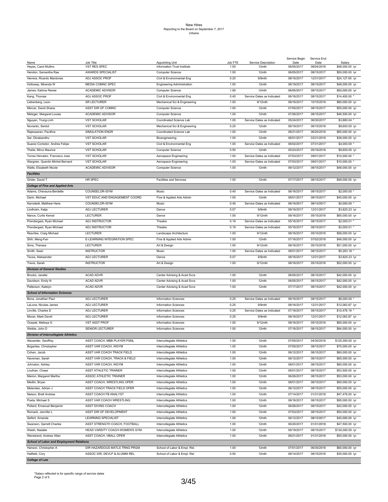|                                                 |                                |                                                       |                 |                              | Service Begin      | Service End        |                           |
|-------------------------------------------------|--------------------------------|-------------------------------------------------------|-----------------|------------------------------|--------------------|--------------------|---------------------------|
| Name<br>Hayes, Carol Mullins                    | Job Title<br>VST RES SPEC      | <b>Appointing Unit</b><br>Information Trust Institute | Job FTE<br>1.00 | Service Description<br>12mth | Date<br>06/05/2017 | Date<br>06/04/2018 | Salary<br>\$48,000.00 /yr |
|                                                 |                                |                                                       |                 |                              |                    |                    |                           |
| Hendon, Samantha Rae                            | AWARDS SPECIALIST              | <b>Computer Science</b>                               | 1.00            | 12mth                        | 06/05/2017         | 08/15/2017         | \$50,000.00 /yr           |
| Herrera, Ricardo Mardones                       | ADJ ASSOC PROF                 | Civil & Environmental Eng                             | 0.20            | 9/9mth                       | 08/16/2017         | 12/31/2017         | \$24,127.65 /yr           |
| Holloway, Miranda W                             | MEDIA COMNC SPEC               | <b>Engineering Administration</b>                     | 1.00            | 12mth                        | 06/19/2017         | 08/15/2017         | \$48,000.00 /yr           |
| James, Katrina Renee                            | <b>ACADEMIC ADVISOR</b>        | Computer Science                                      | 1.00            | 12mth                        | 06/05/2017         | 08/15/2017         | \$50,000.00 /yr           |
| Kang, Thomas                                    | ADJ ASSOC PROF                 | Civil & Environmental Eng                             | 0.40            | Service Dates as Indicated   | 06/16/2017         | 08/15/2017         | \$14,400.00               |
| Liebenberg, Leon                                | SR LECTURER                    | Mechanical Sci & Engineering                          | 1.00            | $9/12$ mth                   | 08/16/2017         | 10/15/2019         | \$80,000.00 /yr           |
| Mercer, David Shane                             |                                |                                                       | 1.00            | 12mth                        | 07/05/2017         |                    |                           |
|                                                 | ASST DIR OF COMNC              | Computer Science                                      |                 |                              |                    | 08/15/2017         | \$55,000.00 /yr           |
| Metzger, Margaret Louise                        | <b>ACADEMIC ADVISOR</b>        | <b>Computer Science</b>                               | 1.00            | 12mth                        | 07/26/2017         | 08/15/2017         | \$46,500.00 /yr           |
| Nguyen, Trung-Linh                              | <b>VST SCHOLAR</b>             | Coordinated Science Lab                               | 1.00            | Service Dates as Indicated   | 05/24/2017         | 06/30/2017         | \$3,880.04                |
| Novianto, Sentot                                | <b>VST SCHOLAR</b>             | Mechanical Sci & Engineering                          | 0.25            | 12mth                        | 06/19/2017         | 06/15/2018         | \$9,600.00 /yr            |
| Rajeswaran, Pavithra                            | SIMULATION ENGR                | Coordinated Science Lab                               | 1.00            | 12mth                        | 06/21/2017         | 06/20/2018         | \$65,000.00 /yr           |
| Sar, Dinabandhu                                 | <b>VST SCHOLAR</b>             | Bioengineering                                        | 1.00            | 12mth                        | 06/01/2017         | 03/31/2018         | \$38,000.00 /yr           |
| Suarez Corredor, Andres Felipe                  | <b>VST SCHOLAR</b>             | Civil & Environmental Eng                             | 1.00            | Service Dates as Indicated   | 06/02/2017         | 07/31/2017         | \$4,000.00                |
| Theile, Mirco Maurice                           | <b>VST SCHOLAR</b>             | <b>Computer Science</b>                               | 0.50            | 12mth                        | 05/23/2017         | 05/16/2018         | \$9,600.00 /yr            |
|                                                 |                                |                                                       |                 |                              |                    |                    |                           |
| Torres Herrador, Francisco Jose                 | <b>VST SCHOLAR</b>             | Aerospace Engineering                                 | 1.00            | Service Dates as Indicated   | 07/03/2017         | 09/01/2017         | \$10,000.00               |
| Wargnier, Quentin Michel Bernard                | <b>VST SCHOLAR</b>             | Aerospace Engineering                                 | 1.00            | Service Dates as Indicated   | 07/03/2017         | 09/01/2017         | \$10,000.00               |
| Watts, Elizabeth Nicole                         | <b>ACADEMIC ADVISOR</b>        | <b>Computer Science</b>                               | 1.00            | 12mth                        | 06/12/2017         | 08/15/2017         | \$48,000.00 /yr           |
| <b>Facilities</b>                               |                                |                                                       |                 |                              |                    |                    |                           |
| Grider, David T                                 | HR SPEC                        | <b>Facilities and Services</b>                        | 1.00            | 12mth                        | 07/17/2017         | 08/15/2017         | \$48,000.00 /yr           |
| <b>College of Fine and Applied Arts</b>         |                                |                                                       |                 |                              |                    |                    |                           |
| Adams, Chevauna Berdette                        | COUNSELOR-ISYM                 | Music                                                 | 0.40            | Service Dates as Indicated   | 06/16/2017         | 08/15/2017         | \$2,000.00                |
|                                                 |                                |                                                       |                 |                              |                    |                    |                           |
| Darin, Michael                                  | VST EDUC AND ENGAGEMENT COORD  | Fine & Applied Arts Admin                             | 1.00            | 12mth                        | 08/01/2017         | 08/15/2017         | \$45,000.00 /yr           |
| Karnstedt, Matthew Hans                         | COUNSELOR-ISYM                 | Music                                                 | 0.40            | Service Dates as Indicated   | 06/16/2017         | 08/15/2017         | \$2,000.00                |
| Lindholm, Katja                                 | ADJ LECTURER                   | Dance                                                 | 0.07            | 9/9mth                       | 08/16/2017         | 12/31/2017         | \$3,820.23 /yr            |
| Nance, Curtis Kemal                             | <b>LECTURER</b>                | Dance                                                 | 1.00            | 9/12mth                      | 08/16/2017         | 05/15/2018         | \$65,000.00 /yr           |
| Prendergast, Ryan Michael                       | ADJ INSTRUCTOR                 | Theatre                                               | 0.19            | Service Dates as Indicated   | 05/16/2017         | 08/15/2017         | \$2,000.01                |
| Prendergast, Ryan Michael                       | ADJ INSTRUCTOR                 | Theatre                                               | 0.19            | Service Dates as Indicated   | 05/16/2017         | 08/15/2017         | \$2,000.01                |
| Reschke, Craig Michael                          | <b>LECTURER</b>                | Landscape Architecture                                | 1.00            | 9/12mth                      | 08/16/2017         | 05/15/2018         | \$58,000.00 /yr           |
|                                                 | E-LEARNING INTEGRATION SPEC    |                                                       | 1.00            | 12mth                        | 07/16/2017         | 07/02/2018         | \$46,000.00 /yr           |
| Shih, Meng-Fan                                  |                                | Fine & Applied Arts Admin                             |                 |                              |                    |                    |                           |
| Sims, Theresa                                   | <b>LECTURER</b>                | Art & Design                                          | 1.00            | 9/12mth                      | 08/16/2017         | 05/15/2018         | \$51,000.00 /yr           |
| Smith, Sean                                     | <b>INSTRUCTOR</b>              | Music                                                 | 1.00            | Service Dates as Indicated   | 08/01/2017         | 08/15/2017         | \$5,263.18 *              |
| Tecza, Aleksander                               | ADJ LECTURER                   | Dance                                                 | 0.07            | 9/9mth                       | 08/16/2017         | 12/31/2017         | \$3,820.23 /yr            |
| Travis, Sarah                                   | <b>INSTRUCTOR</b>              | Art & Design                                          | 1.00            | 9/12mth                      | 08/16/2017         | 05/15/2018         | \$52,000.00 /yr           |
| <b>Division of General Studies</b>              |                                |                                                       |                 |                              |                    |                    |                           |
| Brooks, Janelle                                 | <b>ACAD ADVR</b>               | Center Advising & Acad Svcs                           | 1.00            | 12mth                        | 06/05/2017         | 08/15/2017         | \$42,000.00 /yr           |
| Davidson, Emily N                               | <b>ACAD ADVR</b>               | Center Advising & Acad Svcs                           | 1.00            | 12mth                        | 06/05/2017         | 08/15/2017         | \$42,000.00 /yr           |
|                                                 |                                |                                                       |                 |                              |                    |                    |                           |
| Patterson, Katelyn                              | ACAD ADVR                      | Center Advising & Acad Svcs                           | 1.00            | 12mth                        | 07/17/2017         | 08/15/2017         | \$42,000.00 /yr           |
| <b>School of Information Sciences</b>           |                                |                                                       |                 |                              |                    |                    |                           |
| Bona, Jonathan Paul                             | ADJ LECTURER                   | <b>Information Sciences</b>                           | 0.25            | Service Dates as Indicated   | 06/16/2017         | 08/15/2017         | \$6,000.00                |
| LaLone, Nicolas James                           | ADJ LECTURER                   | <b>Information Sciences</b>                           | 0.25            | 9/9mth                       | 08/16/2017         | 12/31/2017         | \$12,063.87 /yr           |
| Linville, Charles D                             | ADJ LECTURER                   | <b>Information Sciences</b>                           | 0.25            | Service Dates as Indicated   | 07/18/2017         | 08/15/2017         | \$10,476.19               |
| Moran, Mark David                               | ADJ LECTURER                   | <b>Information Sciences</b>                           | 0.25            | 9/9mth                       | 08/16/2017         | 12/31/2017         | \$12,063.87 /yr           |
| Ocepek, Melissa G                               | <b>VST ASST PROF</b>           | <b>Information Sciences</b>                           | 1.00            | 9/12mth                      | 08/16/2017         | 05/15/2018         | \$65,000.00 /yr           |
| Weible, John D                                  | <b>SENIOR LECTURER</b>         | <b>Information Sciences</b>                           | 1.00            | 12mth                        | 07/16/2017         | 08/15/2017         | \$84,000.00 /yr           |
|                                                 |                                |                                                       |                 |                              |                    |                    |                           |
| <b>Division of Intercollegiate Athletics</b>    |                                |                                                       |                 |                              |                    |                    |                           |
| Alexander, Geoffrey                             | ASST COACH, MBB PLAYER PSNL    | Intercollegiate Athletics                             | 1.00            | 12mth                        | 07/05/2017         | 04/30/2018         | \$125,000.00 /yr          |
| Bogantes, Christopher                           | ASST VAR COACH, WGYM           | Intercollegiate Athletics                             | 1.00            | 12mth                        | 07/05/2017         | 08/15/2017         | \$70,000.00 /yr           |
| Cohen, Jacob                                    | ASST VAR COACH TRACK FIELD     | Intercollegiate Athletics                             | 1.00            | 12mth                        | 06/12/2017         | 08/15/2017         | \$60,000.00 /yr           |
| Haveman, Sarah                                  | ASST VAR COACH, TRACK & FIELD  | Intercollegiate Athletics                             | 1.00            | 12mth                        | 06/12/2017         | 08/15/2017         | \$65,000.00 /yr           |
| Johnston, Ashley                                | ASST VAR COACH, WGYM           | Intercollegiate Athletics                             | 1.00            | 12mth                        | 08/01/2017         | 08/15/2017         | \$60,000.00 /yr           |
|                                                 |                                |                                                       |                 |                              |                    |                    |                           |
| Louthan, Chase                                  | ASST ATHLETIC TRAINER          | Intercollegiate Athletics                             | 1.00            | 12mth                        | 06/01/2017         | 08/15/2017         | \$53,500.00 /yr           |
| Marion, Margaret Martha                         | ASSOC ATHLETIC TRAINER         | Intercollegiate Athletics                             | 1.00            | 12mth                        | 06/26/2017         | 08/15/2017         | \$53,000.00 /yr           |
| Medlin, Bryan                                   | ASST COACH, WRESTLING OPER     | Intercollegiate Athletics                             | 1.00            | 12mth                        | 08/01/2017         | 08/15/2017         | \$50,000.00 /yr           |
| Melendez, Adrian J                              | ASST COACH TRACK FIELD OPER    | Intercollegiate Athletics                             | 1.00            | 12mth                        | 06/12/2017         | 08/15/2017         | \$55,000.00 /yr           |
| Nelson, Brett Andrew                            | ASST COACH FB ANALYST          | Intercollegiate Athletics                             | 1.00            | 12mth                        | 07/14/2017         | 01/31/2018         | \$47,476.00 /yr           |
| Poeta, Michael S                                | ASST VAR COACH WRESTLING       | Intercollegiate Athletics                             | 1.00            | 12mth                        | 06/16/2017         | 08/15/2017         | \$95,000.00 /yr           |
| Pollard, Emanuel Benjamin                       | <b>ASST DIVING COACH</b>       | Intercollegiate Athletics                             | 1.00            | 12mth                        | 06/26/2017         | 08/15/2017         | \$42,000.00 /yr           |
| Romack, Jennifer L                              | ASST DIR OF DEVELOPMENT        | Intercollegiate Athletics                             | 1.00            | 12mth                        | 07/03/2017         | 08/15/2017         | \$50,000.00 /yr           |
|                                                 |                                |                                                       |                 |                              |                    |                    |                           |
| Seifert, Amanda                                 | <b>LEARNING SPECIALIST</b>     | Intercollegiate Athletics                             | 1.00            | 12mth                        | 06/12/2017         | 08/15/2017         | \$45,000.00 /yr           |
| Swanson, Garrett Charles                        | ASST STRENGTH COACH, FOOTBALL  | Intercollegiate Athletics                             | 1.00            | 12mth                        | 06/20/2017         | 01/31/2018         | \$47,500.00 /yr           |
| Walsh, Nadalie                                  | HEAD VARSITY COACH-WOMEN'S GYM | Intercollegiate Athletics                             | 1.00            | 12mth                        | 06/19/2017         | 08/15/2017         | \$130,000.00 /yr          |
| Wenstrand, Andrew Allan                         | ASST COACH, VBALL OPER         | Intercollegiate Athletics                             | 1.00            | 12mth                        | 06/21/2017         | 01/31/2018         | \$55,000.00 /yr           |
| <b>School of Labor and Employment Relations</b> |                                |                                                       |                 |                              |                    |                    |                           |
| Hanson, Christopher A                           | DIR HAZARDOUS MATLS TRNG PRGM  | School of Labor & Empl. Rel.                          | 1.00            | 12mth                        | 07/01/2017         | 06/30/2018         | \$60,000.00 /yr           |
| Hatfield, Cory                                  | ASSOC DIR, DEVLP & ALUMNI REL  | School of Labor & Empl. Rel.                          | 0.50            | 12mth                        | 08/14/2017         | 08/15/2018         | \$35,000.00 /yr           |
| <b>College of Law</b>                           |                                |                                                       |                 |                              |                    |                    |                           |
|                                                 |                                |                                                       |                 |                              |                    |                    |                           |

\*Salary reflected is for specific range of service dates Page 2 of 5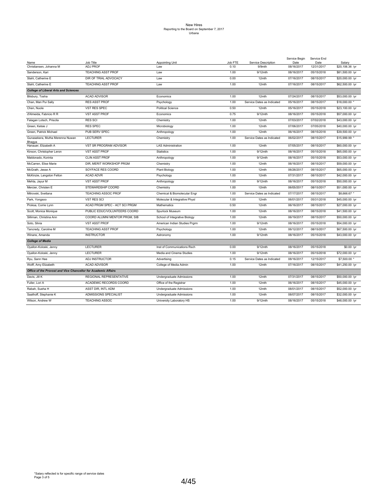|                                                                |                                |                               |                 |                               | Service Begin      | Service End        |                                    |
|----------------------------------------------------------------|--------------------------------|-------------------------------|-----------------|-------------------------------|--------------------|--------------------|------------------------------------|
| Name<br>Christiansen, Johanna M                                | Job Title<br><b>ADJ PROF</b>   | Appointing Unit<br>Law        | Job FTE<br>0.10 | Service Description<br>9/9mth | Date<br>08/16/2017 | Date<br>12/31/2017 | Salary<br>\$20,106.36 /yr          |
| Sanderson, Kari                                                | <b>TEACHING ASST PROF</b>      | Law                           | 1.00            | 9/12mth                       | 08/16/2017         | 05/15/2018         | \$81,500.00 /yr                    |
| Stahl, Catherine E                                             | DIR OF TRIAL ADVOCACY          | Law                           | 0.00            | 12mth                         | 07/16/2017         | 08/15/2017         | \$20,000.00 /yr                    |
| Stahl, Catherine E                                             | <b>TEACHING ASST PROF</b>      | Law                           | 1.00            | 12mth                         | 07/16/2017         | 08/15/2017         | \$62,500.00 /yr                    |
| <b>College of Liberal Arts and Sciences</b>                    |                                |                               |                 |                               |                    |                    |                                    |
| Bilsbury, Tosha                                                | <b>ACAD ADVISOR</b>            | Economics                     | 1.00            | 12mth                         | 07/24/2017         | 08/15/2017         | \$53,000.00 /yr                    |
| Chan, Man Pui Sally                                            | <b>RES ASST PROF</b>           | Psychology                    | 1.00            | Service Dates as Indicated    | 05/16/2017         | 08/15/2017         | \$18,000.00                        |
| Chen, Nuole                                                    | VST RES SPEC                   | <b>Political Science</b>      | 0.50            | 12mth                         | 05/16/2017         | 05/15/2018         | \$23,100.00 /yr                    |
| d'Almeida, Fabricio R R                                        | <b>VST ASST PROF</b>           | Economics                     | 0.75            | 9/12mth                       | 08/16/2017         | 05/15/2018         | \$57,000.00 /yr                    |
| Falagan Lotsch, Priscila                                       | <b>RES SCI</b>                 | Chemistry                     | 1.00            | 12mth                         | 07/03/2017         | 07/02/2018         | \$43,000.00 /yr                    |
| Green, Kelsie J                                                | <b>RES SPEC</b>                | Microbiology                  | 1.00            | 12mth                         | 07/06/2017         | 07/05/2018         | \$40,000.00 /yr                    |
| Green, Patrick Michael                                         | PUB SERV SPEC                  | Anthropology                  | 1.00            | 12mth                         | 06/16/2017         | 08/15/2018         | \$39,500.00 /yr                    |
| Gunasekera, Mutha Merenna Nuwan                                | <b>LECTURER</b>                | Chemistry                     | 1.00            | Service Dates as Indicated    | 06/02/2017         | 08/15/2017         | \$15,999.99                        |
| Bhagya<br>Hanauer, Elizabeth A                                 | VST SR PROGRAM ADVISOR         | <b>LAS Administration</b>     | 1.00            | 12mth                         | 07/05/2017         | 08/15/2017         |                                    |
|                                                                | <b>VST ASST PROF</b>           | <b>Statistics</b>             | 1.00            | $9/12$ mth                    | 08/16/2017         | 05/15/2018         | \$60,000.00 /yr<br>\$65,000.00 /yr |
| Kinson, Christopher Leron                                      | <b>CLIN ASST PROF</b>          |                               |                 |                               | 08/16/2017         |                    |                                    |
| Maldonado, Korinta                                             |                                | Anthropology                  | 1.00            | 9/12mth                       |                    | 05/15/2018         | \$53,000.00 /yr                    |
| McCarren, Elise Marie                                          | DIR, MERIT WORKSHOP PRGM       | Chemistry                     | 1.00            | 12mth                         | 06/16/2017         | 08/15/2017         | \$59,000.00 /yr                    |
| McGrath, Jesse A                                               | SOYFACE RES COORD              | Plant Biology                 | 1.00            | 12mth                         | 06/26/2017         | 08/15/2017         | \$65,000.00 /yr                    |
| McKinzie, Langston Felton                                      | <b>ACAD ADVR</b>               | Psychology                    | 1.00            | 12mth                         | 07/31/2017         | 08/15/2017         | \$42,000.00 /yr                    |
| Mehta, Jayur M                                                 | <b>VST ASST PROF</b>           | Anthropology                  | 1.00            | 9/12mth                       | 08/16/2017         | 05/15/2018         | \$50,000.00 /yr                    |
| Mercier, Christen E                                            | STEWARDSHIP COORD              | Chemistry                     | 1.00            | 12mth                         | 06/05/2017         | 08/15/2017         | \$51,000.00 /yr                    |
| Mitrovski, Svetlana                                            | <b>TEACHING ASSOC PROF</b>     | Chemical & Biomolecular Engr  | 1.00            | Service Dates as Indicated    | 07/17/2017         | 08/15/2017         | \$8,666.67 *                       |
| Park, Yongsoo                                                  | <b>VST RES SCI</b>             | Molecular & Integrative Physl | 1.00            | 12mth                         | 06/01/2017         | 05/31/2018         | \$45,000.00 /yr                    |
| Proksa, Corrie Lynn                                            | ACAD PRGM SPEC - ACT SCI PRGM  | Mathematics                   | 0.50            | 12mth                         | 06/16/2017         | 08/15/2017         | \$27,000.00 /yr                    |
| Scott, Monica Monique                                          | PUBLIC EDUC/VOLUNTEERS COORD   | Spurlock Museum               | 1.00            | 12mth                         | 08/16/2017         | 08/15/2018         | \$41,500.00 /yr                    |
| Silliman, Christina Ann                                        | COORD ALUMNI MENTOR PRGM, SIB  | School of Integrative Biology | 1.00            | 12mth                         | 06/19/2017         | 08/15/2017         | \$50,000.00 /yr                    |
| Soto, Silvia                                                   | <b>VST ASST PROF</b>           | American Indian Studies Prgrm | 1.00            | 9/12mth                       | 08/16/2017         | 05/15/2018         | \$54,000.00 /yr                    |
| Tancredy, Caroline M                                           | <b>TEACHING ASST PROF</b>      | Psychology                    | 1.00            | 12mth                         | 06/12/2017         | 08/15/2017         | \$67,500.00 /yr                    |
| Winans, Amanda                                                 | <b>INSTRUCTOR</b>              | Astronomy                     | 1.00            | 9/12mth                       | 08/16/2017         | 05/15/2018         | \$43,000.00 /yr                    |
| <b>College of Media</b>                                        |                                |                               |                 |                               |                    |                    |                                    |
| Oyallon-Koloski, Jenny                                         | <b>LECTURER</b>                | Inst of Communications Rsch   | 0.00            | 9/12mth                       | 08/16/2017         | 05/15/2018         | \$0.00 /yr                         |
| Oyallon-Koloski, Jenny                                         | <b>LECTURER</b>                | Media and Cinema Studies      | 1.00            | 9/12mth                       | 08/16/2017         | 05/15/2018         | \$72,000.00 /yr                    |
| Ryu, Sann Hee                                                  | ADJ INSTRUCTOR                 | Advertising                   | 0.15            | Service Dates as Indicated    | 08/16/2017         | 12/15/2017         | \$7,500.00                         |
| Wolff, Amy Elizabeth                                           | <b>ACAD ADVISOR</b>            | College of Media Admin        | 1.00            | 12mth                         | 07/16/2017         | 08/15/2017         | \$41,250.00 /yr                    |
| Office of the Provost and Vice Chancellor for Academic Affairs |                                |                               |                 |                               |                    |                    |                                    |
| Davis, Jill K                                                  | <b>REGIONAL REPRESENTATIVE</b> | Undergraduate Admissions      | 1.00            | 12mth                         | 07/31/2017         | 08/15/2017         | \$50,000.00 /yr                    |
| Fuller, Lori A                                                 | ACADEMIC RECORDS COORD         | Office of the Registrar       | 1.00            | 12mth                         | 06/16/2017         | 08/15/2017         | \$45,000.00 /yr                    |
| Rabah, Sueha H                                                 | ASST DIR, INTL ADM             | Undergraduate Admissions      | 1.00            | 12mth                         | 08/01/2017         | 08/15/2017         | \$52,000.00 /yr                    |
| Saathoff, Stephanie K                                          | ADMISSIONS SPECIALIST          | Undergraduate Admissions      | 1.00            | 12mth                         | 08/07/2017         | 08/15/2017         | \$32,000.00 /yr                    |
| Wilson, Andrew W                                               | <b>TEACHING ASSOC</b>          | University Laboratory HS      | 1.00            | 9/12mth                       | 08/16/2017         | 05/15/2018         | \$48,000.00 /yr                    |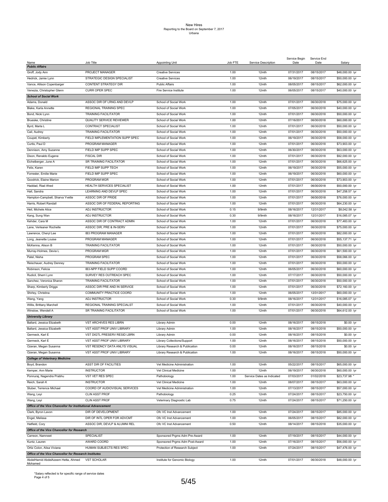|                                                             |                                |                                |         |                            | Service Begin | Service End |                 |
|-------------------------------------------------------------|--------------------------------|--------------------------------|---------|----------------------------|---------------|-------------|-----------------|
| Name<br><b>Public Affairs</b>                               | Job Title                      | <b>Appointing Unit</b>         | Job FTE | Service Description        | Date          | Date        | Salary          |
|                                                             |                                |                                |         |                            |               |             |                 |
| Groff, Jody Ann                                             | PROJECT MANAGER                | <b>Creative Services</b>       | 1.00    | 12mth                      | 07/31/2017    | 08/15/2017  | \$48,000.00 /yr |
| Hedrick, Jamie Lynn                                         | STRATEGIC DESIGN SPECIALIST    | <b>Creative Services</b>       | 1.00    | 12mth                      | 06/19/2017    | 08/15/2017  | \$50,000.00 /yr |
| Vance, Allison Copenbarger                                  | CONTENT STRATEGY DIR           | <b>Public Affairs</b>          | 1.00    | 12mth                      | 08/05/2017    | 08/15/2017  | \$62,000.00 /yr |
| Venezia, Christopher Glenn                                  | CURR OPER SPEC                 | Fire Service Institute         | 1.00    | 12mth                      | 06/05/2017    | 08/15/2017  | \$40,000.00 /yr |
| <b>School of Social Work</b>                                |                                |                                |         |                            |               |             |                 |
| Adams, Donald                                               | ASSOC DIR OF LRNG AND DEVLP    | School of Social Work          | 1.00    | 12mth                      | 07/01/2017    | 06/30/2018  | \$75,000.00 /yr |
|                                                             |                                |                                |         |                            |               |             |                 |
| Blake, Karla Annette                                        | REGIONAL TRAINING SPEC         | School of Social Work          | 1.00    | 12mth                      | 07/05/2017    | 06/30/2018  | \$40,000.00 /yr |
| Bond, Nicki Lynn                                            | <b>TRAINING FACILITATOR</b>    | School of Social Work          | 1.00    | 12mth                      | 07/01/2017    | 06/30/2018  | \$50,000.00 /yr |
| Brueske, Christine                                          | QUALITY SERVICE REVIEWER       | School of Social Work          | 1.00    | 12mth                      | 07/16/2017    | 06/30/2018  | \$60,000.00 /yr |
| Byrd, Marla L                                               | CONTRACT SPECIALIST            | School of Social Work          | 1.00    | 12mth                      | 07/01/2017    | 06/30/2018  | \$50,000.00 /yr |
| Cail, Audrey                                                | <b>TRAINING FACILITATOR</b>    | School of Social Work          | 1.00    | 12mth                      | 07/01/2017    | 06/30/2018  | \$50,000.00 /yr |
| Coupet, Kimberly                                            | FIELD IMPLEMENTATION SUPP SPEC |                                | 1.00    |                            |               |             |                 |
|                                                             |                                | School of Social Work          |         | 12mth                      | 06/19/2017    | 06/30/2018  | \$58,000.00 /yr |
| Curtis, Paul D                                              | PROGRAM MANAGER                | School of Social Work          | 1.00    | 12mth                      | 07/01/2017    | 06/30/2018  | \$73,903.00 /yr |
| Dennison, Amy Suzanne                                       | FIELD IMP SUPP SPEC            | School of Social Work          | 1.00    | 12mth                      | 06/30/2017    | 06/30/2018  | \$63,000.00 /yr |
| Dixon, Renaldo Eugene                                       | <b>FISCAL DIR</b>              | School of Social Work          | 1.00    | 12mth                      | 07/01/2017    | 06/30/2018  | \$92,000.00 /yr |
| Eichelberger, June A                                        | SR TRAINING FACILITATOR        | School of Social Work          | 1.00    | 12mth                      | 07/01/2017    | 06/30/2018  | \$66,625.00 /yr |
| Felix, Karen                                                | FIELD IMP SUPP TECH            | School of Social Work          | 1.00    | 12mth                      | 06/19/2017    | 06/30/2018  | \$55,000.00 /yr |
|                                                             | FIELD IMP SUPP SPEC            |                                | 1.00    |                            |               |             |                 |
| Forrester, Emilie Marie                                     |                                | School of Social Work          |         | 12mth                      | 06/19/2017    | 06/30/2018  | \$60,000.00 /yr |
| Goodrick, Elaine Marion                                     | PROGRAM MGR                    | School of Social Work          | 1.00    | 12mth                      | 07/01/2017    | 06/30/2018  | \$73,903.00 /yr |
| Haddad, Riad Ahed                                           | HEALTH SERVICES SPECIALIST     | School of Social Work          | 1.00    | 12mth                      | 07/01/2017    | 06/30/2018  | \$50,000.00 /yr |
| Hall, Sandra                                                | LEARNING AND DEVLP SPEC        | School of Social Work          | 1.00    | 12mth                      | 07/01/2017    | 06/30/2018  | \$47,258.57 /yr |
| Hampton-Campbell, Sharva Yvette                             | ASSOC DIR OF PRIDE             | School of Social Work          | 1.00    | 12mth                      | 07/01/2017    | 06/30/2018  | \$76,000.00 /yr |
| Harris, Robert Randall                                      | ASSOC DIR OF FEDERAL REPORTING | School of Social Work          | 1.00    | 12mth                      | 07/01/2017    | 06/30/2018  | \$64,230.00 /yr |
|                                                             |                                |                                |         |                            |               |             |                 |
| Heil, Michele Alice                                         | <b>ADJ INSTRUCTOR</b>          | School of Social Work          | 0.15    | 9/9mth                     | 08/16/2017    | 12/31/2017  | \$8,042.58 /yr  |
| Kang, Sung Wan                                              | ADJ INSTRUCTOR                 | School of Social Work          | 0.30    | 9/9mth                     | 08/16/2017    | 12/31/2017  | \$16,085.07 /yr |
| Kehder, Cara M                                              | ASSOC DIR OF CONTRACT ADMIN    | School of Social Work          | 1.00    | 12mth                      | 07/01/2017    | 06/30/2018  | \$77,483.00 /yr |
| Lane, Verleaner Rochelle                                    | ASSOC DIR, PRE & IN-SERV       | School of Social Work          | 1.00    | 12mth                      | 07/01/2017    | 06/30/2018  | \$75,000.00 /yr |
| Lawrence, Cheryl Lee                                        | IB3 PROGRAM MANAGER            | School of Social Work          | 1.00    | 12mth                      | 07/01/2017    | 06/30/2018  | \$82,000.00 /yr |
| Long, Jeanette Louise                                       | PROGRAM MANAGER                | School of Social Work          | 1.00    | 12mth                      | 07/01/2017    | 06/30/2018  | \$55,137.71 /yr |
|                                                             |                                |                                |         |                            |               |             |                 |
| McKenna, Alison B                                           | <b>TRAINING FACILITATOR</b>    | School of Social Work          | 1.00    | 12mth                      | 07/01/2017    | 06/30/2018  | \$50,000.00 /yr |
| Murray-Holmes, Devia L                                      | PROGRAM MGR                    | School of Social Work          | 1.00    | 12mth                      | 07/01/2017    | 06/30/2018  | \$61,500.00 /yr |
| Patel, Nisha                                                | PROGRAM SPEC                   | School of Social Work          | 1.00    | 12mth                      | 07/01/2017    | 06/30/2018  | \$58,066.00 /yr |
| Reischauer, Audrey Denney                                   | TRAINING FACILITATOR           | School of Social Work          | 1.00    | 12mth                      | 07/01/2017    | 06/30/2018  | \$50,000.00 /yr |
| Robinson, Felicia                                           | IB3-NPP FIELD SUPP COORD       | School of Social Work          | 1.00    | 12mth                      | 06/05/2017    | 06/30/2018  | \$60,000.00 /yr |
| Rudicil, Sherri Lynn                                        | SURVEY RES OUTREACH SPEC       | School of Social Work          | 1.00    | 12mth                      | 07/17/2017    | 06/30/2018  | \$50,000.00 /yr |
|                                                             |                                |                                |         |                            |               |             |                 |
| Sanchez, Veronica Sharon                                    | <b>TRAINING FACILITATOR</b>    | School of Social Work          | 1.00    | 12mth                      | 07/01/2017    | 06/30/2018  | \$50,000.00 /yr |
| Sharp, Kimberly Driggs                                      | ASSOC DIR PRE AND IN SERVICE   | School of Social Work          | 1.00    | 12mth                      | 07/01/2017    | 06/30/2018  | \$72,160.00 /yr |
| Shirley, Christina                                          | COMMUNITY PRACTICE COORD       | School of Social Work          | 1.00    | 12mth                      | 06/05/2017    | 12/31/2017  | \$60,000.00 /yr |
| Wang, Yang                                                  | ADJ INSTRUCTOR                 | School of Social Work          | 0.30    | 9/9mth                     | 08/16/2017    | 12/31/2017  | \$16,085.07 /yr |
| Willis, Brittany Marchell                                   | REGIONAL TRAINING SPECIALST    | School of Social Work          | 1.00    | 12mth                      | 07/01/2017    | 06/30/2018  | \$40,000.00 /yr |
| Winslow, Wendell A                                          | SR TRAINING FACILITATOR        | School of Social Work          | 1.00    | 12mth                      | 07/01/2017    | 06/30/2018  | \$64,612.00 /yr |
|                                                             |                                |                                |         |                            |               |             |                 |
| <b>University Library</b>                                   |                                |                                |         |                            |               |             |                 |
| Ballard, Jessica Elizabeth                                  | <b>VST ARCHIVES RES LIBRN</b>  | Library Admin                  | 0.00    | 12mth                      | 08/16/2017    | 08/15/2018  | \$0.00 /yr      |
| Ballard, Jessica Elizabeth                                  | VST ASST PROF UNIV LIBRARY     | Library Admin                  | 1.00    | 12mth                      | 08/16/2017    | 08/15/2018  | \$50,000.00 /yr |
| Germeck, Karl E                                             | VST DIGTL PRESERV RESID LBRN   | Library Admin                  | 0.00    | 12mth                      | 08/16/2017    | 08/15/2018  | \$0.00 /yr      |
| Germeck, Karl E                                             | VST ASST PROF UNIV LIBRARY     | Library Collections/Support    | 1.00    | 12mth                      | 08/16/2017    | 08/15/2018  | \$50,000.00 /yr |
| Ozeran, Megan Susanna                                       | VST RESDNCY DATA ANLYS VISUAL  | Library Research & Publication | 0.00    | 12mth                      | 08/16/2017    | 08/15/2018  | \$0.00 /yr      |
|                                                             |                                |                                |         |                            |               |             |                 |
| Ozeran, Megan Susanna                                       | VST ASST PROF UNIV LIBRARY     | Library Research & Publication | 1.00    | 12mth                      | 08/16/2017    | 08/15/2018  | \$50,000.00 /yr |
| <b>College of Veterinary Medicine</b>                       |                                |                                |         |                            |               |             |                 |
| Boyd, Brandon                                               | ASST DIR OF FACILITIES         | Vet Medicine Administration    | 1.00    | 12mth                      | 05/22/2017    | 08/15/2017  | \$65,000.00 /yr |
| Kemper, Ann Marie                                           | <b>INSTRUCTOR</b>              | Vet Clinical Medicine          | 1.00    | 12mth                      | 06/19/2017    | 06/30/2018  | \$60,000.00 /yr |
| Ponnuraj, Nagendra Prabhu                                   | VST VET RES SPEC               | Pathobiology                   | 1.00    | Service Dates as Indicated | 07/03/2017    | 01/02/2018  | \$23,737.98 *   |
| Reich, Sarah K                                              | <b>INSTRUCTOR</b>              | Vet Clinical Medicine          | 1.00    | 12mth                      | 08/07/2017    | 08/15/2017  | \$63,000.00 /yr |
|                                                             |                                |                                |         |                            |               |             |                 |
| Stuber, Terrence Michael                                    | COORD OF AUDIOVISUAL SERVICES  | Vet Medicine Administration    | 1.00    | 12mth                      | 07/13/2017    | 08/15/2017  | \$57,000.00 /yr |
| Wang, Leyi                                                  | <b>CLIN ASST PROF</b>          | Pathobiology                   | 0.25    | 12mth                      | 07/24/2017    | 08/15/2017  | \$23,750.00 /yr |
| Wang, Leyi                                                  | <b>CLIN ASST PROF</b>          | Veterinary Diagnostic Lab      | 0.75    | 12mth                      | 07/24/2017    | 08/15/2017  | \$71,250.00 /yr |
| Office of the Vice Chancellor for Institutional Advancement |                                |                                |         |                            |               |             |                 |
| Clark, Byron Lavon                                          | DIR OF DEVELOPMENT             | Ofc VC Inst Advancement        | 1.00    | 12mth                      | 07/24/2017    | 08/15/2017  | \$85,000.00 /yr |
| Engel, Melissa                                              | DIR OF INTL OPER FOR ADVCMT    | Ofc VC Inst Advancement        | 1.00    | 12mth                      | 06/05/2017    | 08/15/2017  | \$82,000.00 /yr |
|                                                             |                                |                                |         |                            |               |             |                 |
| Hatfield, Cory                                              | ASSOC DIR, DEVLP & ALUMNI REL  | Ofc VC Inst Advancement        | 0.50    | 12mth                      | 08/14/2017    | 08/15/2018  | \$35,000.00 /yr |
| Office of the Vice Chancellor for Research                  |                                |                                |         |                            |               |             |                 |
| Carreon, Namneet                                            | SPECIALIST                     | Sponsored Prgms Adm Pre-Award  | 1.00    | 12mth                      | 07/19/2017    | 08/15/2017  | \$44,000.00 /yr |
| Kuntz, Lauren                                               | AWARD COORD                    | Sponsored Prgms Adm Post-Award | 1.00    | 12mth                      | 07/16/2017    | 08/15/2017  | \$56,000.00 /yr |
| Ortiz Colon, Alisa Viviana                                  | HUMAN SUBJECTS RES SPEC        | Protection of Research Subject | 1.00    | 12mth                      | 07/24/2017    | 08/15/2017  | \$47,476.00 /yr |
| Office of the Vice Chancellor for Research Institutes       |                                |                                |         |                            |               |             |                 |
|                                                             | <b>VST SCHOLAR</b>             |                                |         | 12mth                      |               |             |                 |
| AbdelHamid AbdelAzeem Hetta, Ahmed<br>Mohamed               |                                | Institute for Genomic Biology  | 1.00    |                            | 07/01/2017    | 06/30/2018  | \$48,000.00 /yr |

\*Salary reflected is for specific range of service dates Page 4 of 5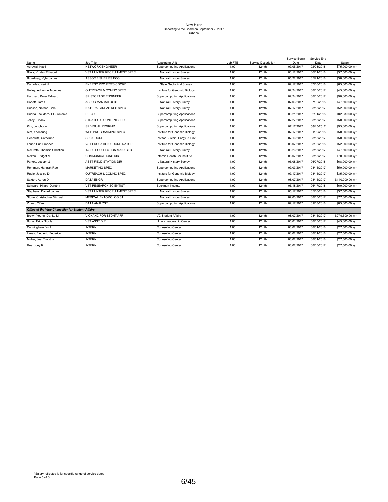| Name                                                     | Job Title                     | <b>Appointing Unit</b>             | Job FTE | Service Description | Service Begin<br>Date | Service End<br>Date | Salary           |
|----------------------------------------------------------|-------------------------------|------------------------------------|---------|---------------------|-----------------------|---------------------|------------------|
| Agrawal, Kapil                                           | NETWORK ENGINEER              | Supercomputing Applications        | 1.00    | 12mth               | 07/05/2017            | 02/03/2018          | \$75,000.00 /yr  |
| Black, Kristen Elizabeth                                 | VST HUNTER RECRUITMENT SPEC   | IL Natural History Survey          | 1.00    | 12mth               | 06/12/2017            | 06/11/2018          | \$37,500.00 /yr  |
| Broadway, Kyle James                                     | ASSOC FISHERIES ECOL          | IL Natural History Survey          | 1.00    | 12mth               | 05/22/2017            | 05/21/2018          | \$38,000.00 /yr  |
| Canaday, Keri N                                          | <b>ENERGY PROJECTS COORD</b>  | IL State Geological Survey         | 1.00    | 12mth               | 07/17/2017            | 07/16/2018          | \$65,000.00 /yr  |
| Gulley, Adrienne Monique                                 | OUTREACH & COMNC SPEC         | Institute for Genomic Biology      | 1.00    | 12mth               | 07/24/2017            | 08/15/2017          | \$45,000.00 /yr  |
| Hartman, Peter Edward                                    | SR STORAGE ENGINEER           | Supercomputing Applications        | 1.00    | 12mth               | 07/24/2017            | 08/15/2017          | \$90,000.00 /yr  |
| Hohoff, Tara C                                           | ASSOC MAMMALOGIST             | IL Natural History Survey          | 1.00    | 12mth               | 07/03/2017            | 07/02/2018          | \$47,500.00 /yr  |
| Hudson, Nathan Cole                                      | NATURAL AREAS RES SPEC        | IL Natural History Survey          | 1.00    | 12mth               | 07/17/2017            | 08/15/2017          | \$52,000.00 /yr  |
| Huerta Escudero, Eliu Antonio                            | <b>RES SCI</b>                | Supercomputing Applications        | 1.00    | 12mth               | 06/21/2017            | 02/01/2018          | \$82,930.00 /yr  |
| Jolley, Tiffany                                          | STRATEGIC CONTENT SPEC        | <b>Supercomputing Applications</b> | 1.00    | 12mth               | 07/27/2017            | 08/15/2017          | \$50,000.00 /yr  |
| Kim, Jonghoon                                            | <b>SR VISUAL PRGRMR</b>       | Supercomputing Applications        | 1.00    | 12mth               | 07/17/2017            | 08/15/2017          | \$95,000.00 /yr  |
| Kim, Yeonsung                                            | WEB PROGRAMMING SPEC          | Institute for Genomic Biology      | 1.00    | 12mth               | 07/17/2017            | 01/09/2018          | \$50,000.00 /yr  |
| Liebowitz, Catherine                                     | SSC COORD                     | Inst for Sustain, Enrgy, & Env     | 1.00    | 12mth               | 07/16/2017            | 08/15/2017          | \$50,000.00 /yr  |
| Louer, Erin Frances                                      | VST EDUCATION COORDINATOR     | Institute for Genomic Biology      | 1.00    | 12mth               | 08/07/2017            | 08/06/2018          | \$52,000.00 /yr  |
| McElrath, Thomas Christian                               | INSECT COLLECTION MANAGER     | IL Natural History Survey          | 1.00    | 12mth               | 06/26/2017            | 08/15/2017          | \$47,500.00 /yr  |
| Melton, Bridget A                                        | <b>COMMUNICATIONS DIR</b>     | Interdis Health Sci Institute      | 1.00    | 12mth               | 08/07/2017            | 08/15/2017          | \$70,000.00 /yr  |
| Parkos, Joseph J                                         | <b>ASST FIELD STATION DIR</b> | IL Natural History Survey          | 1.00    | 12mth               | 06/08/2017            | 06/07/2018          | \$68,000.00 /yr  |
| Remmert, Hannah Rae                                      | <b>MARKETING SPEC</b>         | Supercomputing Applications        | 1.00    | 12mth               | 07/03/2017            | 08/15/2017          | \$50,000.00 /yr  |
| Rubio, Jessica D                                         | OUTREACH & COMNC SPEC         | Institute for Genomic Biology      | 1.00    | 12mth               | 07/17/2017            | 08/15/2017          | \$35,000.00 /yr  |
| Saxton, Aaron D                                          | <b>DATA ENGR</b>              | Supercomputing Applications        | 1.00    | 12mth               | 08/07/2017            | 08/15/2017          | \$110,000.00 /yr |
| Schwarb, Hillary Dorothy                                 | <b>VST RESEARCH SCIENTIST</b> | Beckman Institute                  | 1.00    | 12mth               | 06/18/2017            | 06/17/2018          | \$60,000.00 /yr  |
| Stephens, Daniel James                                   | VST HUNTER RECRUITMENT SPEC   | IL Natural History Survey          | 1.00    | 12mth               | 05/17/2017            | 05/16/2018          | \$37,500.00 /yr  |
| Stone, Christopher Michael                               | <b>MEDICAL ENTOMOLOGIST</b>   | IL Natural History Survey          | 1.00    | 12mth               | 07/03/2017            | 08/15/2017          | \$77,000.00 /yr  |
| Zhang, Yifang                                            | <b>DATA ANALYST</b>           | <b>Supercomputing Applications</b> | 1.00    | 12mth               | 07/17/2017            | 01/18/2018          | \$85,000.00 /yr  |
| <b>Office of the Vice Chancellor for Student Affairs</b> |                               |                                    |         |                     |                       |                     |                  |
| Brown Young, Danita M                                    | V CHANC FOR STDNT AFF         | VC Student Affairs                 | 1.00    | 12mth               | 08/07/2017            | 08/15/2017          | \$279,500.00 /yr |
| Burks, Erica Nicole                                      | <b>VST ASST DIR</b>           | Illinois Leadership Center         | 1.00    | 12mth               | 06/01/2017            | 08/15/2017          | \$45,000.00 /yr  |
| Cunningham, Yu Li                                        | <b>INTERN</b>                 | Counseling Center                  | 1.00    | 12mth               | 08/02/2017            | 08/01/2018          | \$27,500.00 /vr  |
| Limas, Eleuterio Federico                                | <b>INTERN</b>                 | <b>Counseling Center</b>           | 1.00    | 12mth               | 08/02/2017            | 08/01/2018          | \$27,500.00 /yr  |
| Muller, Joel Timothy                                     | <b>INTERN</b>                 | <b>Counseling Center</b>           | 1.00    | 12mth               | 08/02/2017            | 08/01/2018          | \$27,500.00 /yr  |
| Rea, Joey R                                              | <b>INTERN</b>                 | <b>Counseling Center</b>           | 1.00    | 12mth               | 08/02/2017            | 08/15/2017          | \$27,500.00 /yr  |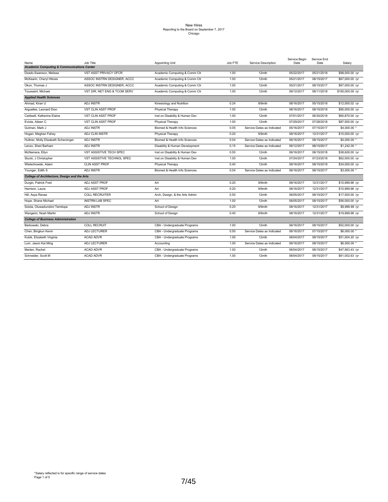| Name                                                  | Job Title                    | Appointing Unit                | Job FTE | Service Description        | Service Begin<br>Date | Service End<br>Date | Salary           |
|-------------------------------------------------------|------------------------------|--------------------------------|---------|----------------------------|-----------------------|---------------------|------------------|
| <b>Academic Computing &amp; Communications Center</b> |                              |                                |         |                            |                       |                     |                  |
| Dzado-Swanson, Melissa                                | <b>VST ASST PRIVACY OFCR</b> | Academic Computing & Comm Ctr  | 1.00    | 12mth                      | 05/22/2017            | 05/21/2018          | \$98,000.00 /yr  |
| McKearin, Cheryl Hitosis                              | ASSOC INSTRN DESIGNER, ACCC  | Academic Computing & Comm Ctr  | 1.00    | 12mth                      | 05/21/2017            | 08/15/2017          | \$67,000.00 /yr  |
| Okon, Thomas J                                        | ASSOC INSTRN DESIGNER, ACCC  | Academic Computing & Comm Ctr  | 1.00    | 12mth                      | 05/21/2017            | 08/15/2017          | \$67,000.00 /yr  |
| Toussaint, Michael                                    | VST DIR. NET ENG & TCOM SERV | Academic Computing & Comm Ctr  | 1.00    | 12mth                      | 06/12/2017            | 06/11/2018          | \$160,000.00 /yr |
| <b>Applied Health Sciences</b>                        |                              |                                |         |                            |                       |                     |                  |
| Ahmad, Kiran U                                        | <b>ADJ INSTR</b>             | Kinesiology and Nutrition      | 0.24    | 9/9mth                     | 08/16/2017            | 05/15/2018          | \$12,000.02 /yr  |
| Arguelles, Leonard Dion                               | <b>VST CLIN ASST PROF</b>    | Physical Therapy               | 1.00    | 12mth                      | 08/16/2017            | 08/15/2018          | \$85,000.00 /yr  |
| Caldwell, Katherine Elaine                            | VST CLIN ASST PROF           | Inst on Disability & Human Dev | 1.00    | 12mth                      | 07/01/2017            | 06/30/2018          | \$60,870.00 /yr  |
| Eviota, Aileen C.                                     | <b>VST CLIN ASST PROF</b>    | Physical Therapy               | 1.00    | 12mth                      | 07/29/2017            | 07/28/2018          | \$87,500.00 /yr  |
| Gutman, Mark J                                        | ADJ INSTR                    | Biomed & Health Info Sciences  | 0.05    | Service Dates as Indicated | 05/16/2017            | 07/15/2017          | \$4,000.00 *     |
| Hogan, Meghan Fahey                                   | ADJ CLIN INSTR               | Physical Therapy               | 0.20    | 9/9mth                     | 08/16/2017            | 12/31/2017          | \$10,000.00 /yr  |
| Huttner, Molly Elizabeth Scherzinger                  | ADJ INSTR                    | Biomed & Health Info Sciences  | 0.04    | Service Dates as Indicated | 06/16/2017            | 08/15/2017          | \$4,000.00 *     |
| Lenzo, Sheri Barham                                   | <b>ADJ INSTR</b>             | Disability & Human Development | 0.15    | Service Dates as Indicated | 06/12/2017            | 08/15/2017          | \$1,242.00 *     |
| McNamara, Ellyn                                       | VST ASSISTIVE TECH SPEC      | Inst on Disability & Human Dev | 0.50    | 12mth                      | 06/16/2017            | 06/15/2018          | \$38,626.00 /yr  |
| Stucki, J Christopher                                 | VST ASSISTIVE TECHNOL SPEC   | Inst on Disability & Human Dev | 1.00    | 12mth                      | 07/24/2017            | 07/23/2018          | \$62,500.00 /yr  |
| Wielechowski, Adam                                    | CLIN ASST PROF               | Physical Therapy               | 0.40    | 12mth                      | 08/16/2017            | 08/15/2018          | \$34,000.00 /yr  |
| Younger, Edith S                                      | ADJ INSTR                    | Biomed & Health Info Sciences  | 0.04    | Service Dates as Indicated | 06/16/2017            | 08/15/2017          | \$3,000.00 *     |
| <b>College of Architecture, Design and the Arts</b>   |                              |                                |         |                            |                       |                     |                  |
| Durgin, Patrick Fred                                  | ADJ ASST PROF                | Art                            | 0.20    | $9/9$ mth                  | 08/16/2017            | 12/31/2017          | \$10,999.98 /yr  |
| Harrison, Laura                                       | ADJ ASST PROF                | Art                            | 0.20    | 9/9mth                     | 08/16/2017            | 12/31/2017          | \$10,999.98 /yr  |
| Hill, Asya Renae                                      | <b>COLL RECRUITER</b>        | Arch, Design, & the Arts Admin | 0.50    | 12mth                      | 06/05/2017            | 08/15/2017          | \$17,500.00 /yr  |
| Hope, Shane Michael                                   | <b>INSTRN LAB SPEC</b>       | Art                            | 1.00    | 12mth                      | 06/05/2017            | 08/15/2017          | \$56,000.00 /yr  |
| Solola, Oluwadurotimi Temitope                        | <b>ADJ INSTR</b>             | School of Design               | 0.20    | 9/9mth                     | 08/16/2017            | 12/31/2017          | \$9,999.99 /vr   |
| Wangerin, Noah Martin                                 | <b>ADJINSTR</b>              | School of Design               | 0.40    | 9/9mth                     | 08/16/2017            | 12/31/2017          | \$19,999.98 /yr  |
| <b>College of Business Administration</b>             |                              |                                |         |                            |                       |                     |                  |
| Barkowski, Debra                                      | <b>COLL RECRUIT</b>          | CBA - Undergraduate Programs   | 1.00    | 12mth                      | 06/16/2017            | 08/15/2017          | \$52,000.00 /yr  |
| Chen, Bingkun Kevin                                   | ADJ LECTURER                 | CBA - Undergraduate Programs   | 0.50    | Service Dates as Indicated | 06/16/2017            | 07/15/2017          | \$6,000,00 *     |
| Kubik, Elizabeth Virginia                             | <b>ACAD ADVR</b>             | CBA - Undergraduate Programs   | 1.00    | 12mth                      | 06/04/2017            | 08/15/2017          | \$51,004.20 /yr  |
| Lum, Jason Kai Ming                                   | <b>ADJ LECTURER</b>          | Accounting                     | 1.00    | Service Dates as Indicated | 06/16/2017            | 08/15/2017          | \$6,500.00 *     |
| Marten, Rachel                                        | <b>ACAD ADVR</b>             | CBA - Undergraduate Programs   | 1.00    | 12mth                      | 06/04/2017            | 08/15/2017          | \$47,563.43 /yr  |
| Schneider, Scott M                                    | <b>ACAD ADVR</b>             | CBA - Undergraduate Programs   | 1.00    | 12mth                      | 06/04/2017            | 08/15/2017          | \$61,002.63 /yr  |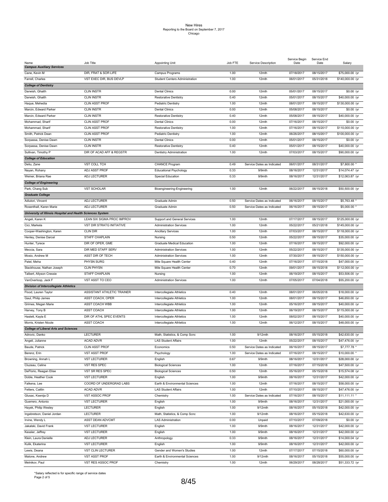|                                                            |                            |                                   |         |                            | Service Begin | Service End |                  |
|------------------------------------------------------------|----------------------------|-----------------------------------|---------|----------------------------|---------------|-------------|------------------|
| Name<br><b>Campus Auxiliary Services</b>                   | Job Title                  | <b>Appointing Unit</b>            | Job FTE | Service Description        | Date          | Date        | Salary           |
|                                                            |                            |                                   |         |                            |               |             |                  |
| Cane, Kevin M                                              | DIR, FRAT & SOR LIFE       | Campus Programs                   | 1.00    | 12mth                      | 07/18/2017    | 08/15/2017  | \$75,000.00 /yr  |
| Farrell, Charles                                           | VST EXEC DIR. BUS DEVLP    | Student Centers Administration    | 1.00    | 12mth                      | 06/01/2017    | 05/31/2018  | \$140,000.00 /yr |
| <b>College of Dentistry</b>                                |                            |                                   |         |                            |               |             |                  |
| Darwish, Ghaith                                            | <b>CLIN INSTR</b>          | <b>Dental Clinics</b>             | 0.00    | 12mth                      | 05/01/2017    | 08/15/2017  | \$0.00 /yr       |
|                                                            |                            |                                   |         |                            |               |             |                  |
| Darwish, Ghaith                                            | <b>CLIN INSTR</b>          | <b>Restorative Dentistry</b>      | 0.40    | 12mth                      | 05/01/2017    | 08/15/2017  | \$40,000.00 /yr  |
| Haque, Mehedia                                             | <b>CLIN ASST PROF</b>      | Pediatric Dentistry               | 1.00    | 12mth                      | 08/01/2017    | 08/15/2017  | \$130,000.00 /yr |
| Marcin, Edward Parker                                      | <b>CLIN INSTR</b>          | <b>Dental Clinics</b>             | 0.00    | 12mth                      | 05/08/2017    | 08/15/2017  | \$0.00 /yr       |
| Marcin, Edward Parker                                      | <b>CLIN INSTR</b>          | <b>Restorative Dentistry</b>      | 0.40    | 12mth                      | 05/08/2017    | 08/15/2017  | \$40,000.00 /yr  |
| Mohammad, Sharif                                           | <b>CLIN ASST PROF</b>      | <b>Dental Clinics</b>             | 0.00    | 12mth                      | 07/16/2017    | 08/15/2017  | $$0.00$ /yr      |
|                                                            |                            |                                   |         |                            |               |             |                  |
| Mohammad, Sharif                                           | <b>CLIN ASST PROF</b>      | <b>Restorative Dentistry</b>      | 1.00    | 12mth                      | 07/16/2017    | 08/15/2017  | \$110,000.00 /yr |
| Smith, Patrick Dean                                        | <b>CLIN ASST PROF</b>      | <b>Pediatric Dentistry</b>        | 1.00    | 12mth                      | 06/26/2017    | 08/15/2017  | \$100,000.00 /yr |
| Sorpassa, Denise Dawn                                      | <b>CLIN INSTR</b>          | <b>Dental Clinics</b>             | 0.00    | 12mth                      | 05/01/2017    | 08/15/2017  | \$0.00 /yr       |
| Sorpassa, Denise Dawn                                      | <b>CLIN INSTR</b>          | <b>Restorative Dentistry</b>      | 0.40    | 12mth                      | 05/01/2017    | 08/15/2017  | \$40,000.00 /yr  |
|                                                            |                            |                                   | 1.00    |                            |               |             |                  |
| Sullivan, Timothy P                                        | DIR OF ACAD AFF & REGSTR   | <b>Dentistry Administration</b>   |         | 12mth                      | 07/03/2017    | 08/15/2017  | \$90,000.00 /yr  |
| <b>College of Education</b>                                |                            |                                   |         |                            |               |             |                  |
| Deliu, Zane                                                | <b>VST COLL TCH</b>        | <b>CHANCE Program</b>             | 0.49    | Service Dates as Indicated | 06/01/2017    | 08/31/2017  | \$7,800.00       |
| Nayan, Rohany                                              | ADJ ASST PROF              | <b>Educational Psychology</b>     | 0.33    | 9/9mth                     | 08/16/2017    | 12/31/2017  | \$14,074.47 /yr  |
| Weiner, Briana Rae                                         | ADJ LECTURER               | <b>Special Education</b>          | 0.33    | 9/9mth                     | 08/16/2017    | 12/31/2017  | \$12,063.87 /yr  |
|                                                            |                            |                                   |         |                            |               |             |                  |
| <b>College of Engineering</b>                              |                            |                                   |         |                            |               |             |                  |
| Park, Chang Sub                                            | <b>VST SCHOLAR</b>         | Bioengineering-Engineering        | 1.00    | 12mth                      | 06/22/2017    | 06/15/2018  | \$50,500.00 /yr  |
| <b>Graduate College</b>                                    |                            |                                   |         |                            |               |             |                  |
| Adiutori, Vincent                                          | ADJ LECTURER               | Graduate Admin                    | 0.50    | Service Dates as Indicated | 06/16/2017    | 08/15/2017  | \$5,763.48       |
|                                                            |                            |                                   |         |                            | 06/16/2017    |             |                  |
| Rosenthall, Karen Marie                                    | ADJ LECTURER               | Graduate Admin                    | 0.50    | Service Dates as Indicated |               | 08/15/2017  | \$5,000.00       |
| University of Illinois Hospital and Health Sciences System |                            |                                   |         |                            |               |             |                  |
| Angeli, Karen K                                            | LEAN SIX SIGMA PROC IMPROV | Support and General Services      | 1.00    | 12mth                      | 07/17/2017    | 08/15/2017  | \$125,000.00 /yr |
| Cici, Markela                                              | VST DIR STRATG INITIATIVE  | <b>Administration Services</b>    | 1.00    | 12mth                      | 05/22/2017    | 05/21/2018  | \$145,000.00 /yr |
| Cooper-Washington, Karen                                   | CLIN DIR                   | <b>Ancillary Services</b>         | 1.00    | 12mth                      | 07/03/2017    | 08/15/2017  | \$118,000.00 /yr |
|                                                            |                            |                                   |         |                            |               |             |                  |
| Henley, Denise Darcel                                      | <b>STAFF CHAPLAIN</b>      | Nursing                           | 0.50    | 12mth                      | 05/22/2017    | 08/15/2017  | \$35,000.00 /yr  |
| Hunter, Tyrece                                             | DIR OF OPER, GME           | <b>Graduate Medical Education</b> | 1.00    | 12mth                      | 07/16/2017    | 08/15/2017  | \$92,000.00 /yr  |
| Meccia, Sara                                               | DIR MED STAFF SERV         | <b>Administration Services</b>    | 1.00    | 12mth                      | 05/22/2017    | 08/15/2017  | \$135,000.00 /yr |
| Mosio, Andrew M                                            | ASST DIR OF TECH           | <b>Administration Services</b>    | 1.00    | 12mth                      | 07/30/2017    | 08/15/2017  | \$150,000.00 /yr |
|                                                            |                            |                                   |         |                            |               |             |                  |
| Patel, Meha                                                | PHYSN SURG                 | Mile Square Health Center         | 0.40    | 12mth                      | 07/16/2017    | 07/15/2018  | \$47,000.00 /yr  |
| Stackhouse, Nathan Joseph                                  | <b>CLIN PHYSN</b>          | Mile Square Health Center         | 0.70    | 12mth                      | 09/01/2017    | 08/15/2018  | \$112,000.00 /yr |
| Talbert, Allyson Cressie                                   | <b>STAFF CHAPLAIN</b>      | Nursing                           | 1.00    | 12mth                      | 06/19/2017    | 08/15/2017  | \$53,506.00 /yr  |
| VanOverloop, Jack F                                        | VST ASST TO CEO            | <b>Administration Services</b>    | 1.00    | 12mth                      | 07/05/2017    | 07/04/2018  | \$55,200.00 /yr  |
| <b>Division of Intercollegiate Athletics</b>               |                            |                                   |         |                            |               |             |                  |
|                                                            |                            |                                   |         |                            |               |             |                  |
| Flood, Lauren Taylor                                       | ASSISTANT ATHLETIC TRAINER | Intercollegiate Athletics         | 0.40    | 12mth                      | 08/01/2017    | 06/05/2018  | \$18,000.00 /yr  |
| Gaul, Philip James                                         | ASST COACH, OPER           | Intercollegiate Athletics         | 1.00    | 12mth                      | 08/01/2017    | 08/15/2017  | \$46,650.00 /yr  |
| Grimes, Megan Marie                                        | ASST COACH WBB             | Intercollegiate Athletics         | 1.00    | 12mth                      | 05/16/2017    | 08/15/2017  | \$40,000.00 /yr  |
| Harvey, Tony B                                             | ASST COACH                 | Intercollegiate Athletics         | 1.00    | 12mth                      | 06/19/2017    | 08/15/2017  | \$115,000.00 /yr |
|                                                            |                            |                                   |         |                            |               |             | \$40,000.00 /yr  |
| Haslett, Kayla E                                           | DIR OF ATHL SPEC EVENTS    | Intercollegiate Athletics         | 1.00    | 12mth                      | 08/02/2017    | 08/15/2017  |                  |
| Morris, Kristen Nicole                                     | ASST COACH                 | Intercollegiate Athletics         | 1.00    | 12mth                      | 06/12/2017    | 08/15/2017  | \$48,000.00 /yr  |
| <b>College of Liberal Arts and Sciences</b>                |                            |                                   |         |                            |               |             |                  |
| Adrovic, Danko                                             | <b>LECTURER</b>            | Math, Statistics, & Comp Scnc     | 1.00    | 9/12mth                    | 08/16/2017    | 05/15/2018  | \$42,630.00 /yr  |
| Angeli, Julianne                                           | <b>ACAD ADVR</b>           | <b>LAS Student Affairs</b>        | 1.00    | 12mth                      | 05/22/2017    | 08/15/2017  | \$47,476.00 /yr  |
|                                                            |                            |                                   |         |                            |               |             |                  |
| Baude, Patrick                                             | CLIN ASST PROF             | Economics                         | 0.50    | Service Dates as Indicated | 06/16/2017    | 08/15/2017  | \$7,777.78       |
| Berenz, Erin                                               | <b>VST ASST PROF</b>       | Psychology                        | 1.00    | Service Dates as Indicated | 07/16/2017    | 08/15/2017  | \$10,000.00      |
| Browning, Annah L                                          | <b>VST LECTURER</b>        | English                           | 0.67    | 9/9mth                     | 08/16/2017    | 12/31/2017  | \$28,000.00 /yr  |
| Cluzeau, Celine                                            | VST RES SPEC               | <b>Biological Sciences</b>        | 1.00    | 12mth                      | 07/16/2017    | 07/15/2018  | \$47,500.00 /yr  |
| DeFlorio, Reagan Elise                                     | VST SR RES SPEC            |                                   |         |                            |               | 05/15/2018  |                  |
|                                                            |                            | <b>Biological Sciences</b>        | 0.50    | 12mth                      | 05/16/2017    |             | \$15,574.08 /yr  |
| Doble, Heather Cook                                        | <b>VST LECTURER</b>        | English                           | 1.00    | 9/9mth                     | 08/16/2017    | 12/31/2017  | \$42,000.00 /yr  |
| Falkena, Lee                                               | COORD OF UNDERGRAD LABS    | Earth & Environmental Sciences    | 1.00    | 12mth                      | 07/16/2017    | 08/15/2017  | \$58,000.00 /yr  |
| Fetters, Caitlin                                           | ACAD ADVR                  | <b>LAS Student Affairs</b>        | 1.00    | 12mth                      | 07/10/2017    | 08/15/2017  | \$47,476.00 /yr  |
| Glusac, Ksenija D                                          | <b>VST ASSOC PROF</b>      | Chemistry                         | 1.00    | Service Dates as Indicated | 07/16/2017    | 08/15/2017  | \$11,111.11 *    |
|                                                            |                            |                                   |         |                            |               |             |                  |
| Guerrero, Antonio                                          | <b>VST LECTURER</b>        | English                           | 1.00    | 9/9mth                     | 08/16/2017    | 12/31/2017  | \$21,000.00 /yr  |
| Hayek, Philip Wesley                                       | LECTURER                   | English                           | 1.00    | 9/12mth                    | 08/16/2017    | 05/15/2018  | \$42,000.00 /yr  |
| Ingebretson, Daniel Jordan                                 | LECTURER                   | Math, Statistics, & Comp Scnc     | 1.00    | 9/12mth                    | 08/16/2017    | 05/15/2018  | \$42,630.00 /yr  |
| Irvine, Wendy L                                            | ASST DEAN ADVCMT           | <b>LAS Administration</b>         | 0.00    | Unpaid                     | 07/10/2017    | 07/09/2018  | \$0.00 /yr       |
| Jakalski, David Frank                                      | <b>VST LECTURER</b>        | English                           | 1.00    | 9/9mth                     | 08/16/2017    | 12/31/2017  | \$42,000.00 /yr  |
|                                                            |                            |                                   |         |                            |               |             |                  |
| Kessler, Jeffrey                                           | <b>VST LECTURER</b>        | English                           | 1.00    | 9/9mth                     | 08/16/2017    | 12/31/2017  | \$42,000.00 /yr  |
| Klein, Laura Danielle                                      | ADJ LECTURER               | Anthropology                      | 0.33    | 9/9mth                     | 08/16/2017    | 12/31/2017  | \$14,000.04 /yr  |
| Kulik, Ekaterina                                           | <b>VST LECTURER</b>        | English                           | 1.00    | 9/9mth                     | 08/16/2017    | 12/31/2017  | \$42,000.00 /yr  |
| Lewis, Deana                                               | VST CLIN LECTURER          | Gender and Women's Studies        | 1.00    | 12mth                      | 07/17/2017    | 07/15/2018  | \$60,000.00 /yr  |
|                                                            |                            |                                   | 1.00    |                            |               |             |                  |
| Malone, Andrew                                             | <b>VST ASST PROF</b>       | Earth & Environmental Sciences    |         | 9/12mth                    | 08/16/2017    | 05/15/2018  | \$55,000.00 /yr  |
| Melnikov, Paul                                             | VST RES ASSOC PROF         | Chemistry                         | 1.00    | 12mth                      | 06/29/2017    | 08/28/2017  | \$51,333.72 /yr  |

\*Salary reflected is for specific range of service dates Page 2 of 5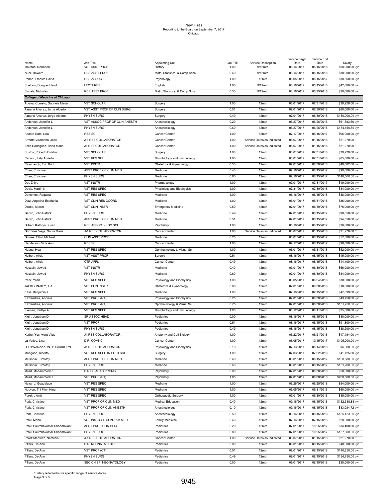|                                       |                                   |                                   |                 |                                | Service Begin      | Service End        |                           |
|---------------------------------------|-----------------------------------|-----------------------------------|-----------------|--------------------------------|--------------------|--------------------|---------------------------|
| Name<br>Mouftah, Nermeen              | Job Title<br><b>VST ASST PROF</b> | <b>Appointing Unit</b><br>History | Job FTE<br>1.00 | Service Description<br>9/12mth | Date<br>08/16/2017 | Date<br>05/15/2018 | Salary<br>\$50,000.00 /yr |
| Nuer, Howard                          | RES ASST PROF                     | Math, Statistics, & Comp Scnc     | 0.60            | 9/12mth                        | 08/16/2017         | 05/15/2018         | \$38,000.00 /yr           |
|                                       | RES ASSOC I                       |                                   | 1.00            | 12mth                          | 06/05/2017         | 08/15/2017         |                           |
| Ponce, Ernesto David                  |                                   | Psychology                        |                 |                                |                    |                    | \$30,568.00 /yr           |
| Sheldon, Douglas Harold               | <b>LECTURER</b>                   | English                           | 1.00            | 9/12mth                        | 08/16/2017         | 05/15/2018         | \$42,000.00 /yr           |
| Switala, Nicholas                     | <b>RES ASST PROF</b>              | Math, Statistics, & Comp Scnc     | 0.50            | 9/12mth                        | 08/16/2017         | 05/15/2018         | \$30,000.00 /yr           |
| <b>College of Medicine at Chicago</b> |                                   |                                   |                 |                                |                    |                    |                           |
| Aguiluz Cornejo, Gabriela Maria       | <b>VST SCHOLAR</b>                | Surgery                           | 1.00            | 12mth                          | 08/01/2017         | 07/31/2018         | \$39,229.00 /yr           |
| Almario Alvarez, Jorge Alberto        | VST ASST PROF OF CLIN SURG        | Surgery                           | 0.51            | 12mth                          | 07/01/2017         | 06/30/2018         | \$60,000.00 /yr           |
| Almario Alvarez, Jorge Alberto        | PHYSN SURG                        | Surgery                           | 0.49            | 12mth                          | 07/01/2017         | 06/30/2018         | \$180,000.00 /yr          |
| Anderson, Jennifer L                  | VST ASSOC PROF OF CLIN ANESTH     | Anesthesiology                    | 0.20            | 12mth                          | 06/27/2017         | 06/26/2018         | \$61,383.60 /yr           |
| Anderson, Jennifer L                  | PHYSN SURG                        | Anesthesiology                    | 0.60            | 12mth                          | 06/27/2017         | 06/26/2018         | \$184,150.80 /yr          |
| Aponte-Soto, Lisa                     | <b>RES SCI</b>                    | Cancer Center                     | 1.00            | 12mth                          | 07/17/2017         | 08/15/2017         | \$95,000.00 /yr           |
| Arronte Villamarin, Jose              | J-1 RES COLLABORATOR              | Cancer Center                     | 1.00            | Service Dates as Indicated     | 08/07/2017         | 01/15/2018         | \$21,270.00               |
| Bello Rodriguez, Berta Maria          | J1 RES COLLABORATOR               | Cancer Center                     | 1.00            | Service Dates as Indicated     | 08/07/2017         | 01/15/2018         | \$21,270.00               |
| Bustos, Roberto Esteban               | <b>VST SCHOLAR</b>                | Surgery                           | 1.00            | 12mth                          | 08/01/2017         | 07/31/2018         | \$39,229.00 /yr           |
| Cahoon, Laty Adriella                 | <b>VST RES SCI</b>                | Microbiology and Immunology       | 1.00            | 12mth                          | 08/01/2017         | 07/31/2018         | \$65,000.00 /yr           |
| Cavanaugh, Erin Brigh                 | <b>VST INSTR</b>                  | Obstetrics & Gynecology           | 0.50            | 12mth                          | 07/01/2017         | 06/30/2018         | \$49,062.00 /yr           |
| Chan, Christine                       | ASST PROF OF CLIN MED             | Medicine                          | 0.40            | 12mth                          | 07/16/2017         | 08/15/2017         | \$99,000.00 /yr           |
|                                       |                                   |                                   |                 |                                |                    |                    |                           |
| Chan, Christine                       | PHYSN SURG                        | Medicine                          | 0.60            | 12mth                          | 07/16/2017         | 08/15/2017         | \$148,500.00 /yr          |
| Dai, Zhiyu                            | <b>VST INSTR</b>                  | Pharmacology                      | 1.00            | 12mth                          | 07/01/2017         | 07/31/2017         | \$49,000.00 /yr           |
| Davis, Martin N                       | VST RES SPEC                      | Physiology and Biophysics         | 1.00            | 12mth                          | 07/31/2017         | 07/30/2018         | \$34,000.00 /yr           |
| Demeritte, Regaina                    | VST RES SPEC                      | Medicine                          | 1.00            | 12mth                          | 06/16/2017         | 06/15/2018         | \$38,000.00 /yr           |
| Diaz, Angelina Estefania              | VST CLIN RES COORD                | Medicine                          | 1.00            | 12mth                          | 06/01/2017         | 05/31/2018         | \$35,000.00 /yr           |
| Dzeba, Maxim                          | <b>VST CLIN INSTR</b>             | <b>Emergency Medicine</b>         | 0.50            | 12mth                          | 07/01/2017         | 06/30/2018         | \$75,000.00 /yr           |
| Galvin, John Patrick                  | PHYSN SURG                        | Medicine                          | 0.49            | 12mth                          | 07/01/2017         | 08/15/2017         | \$90,650.00 /yr           |
| Galvin, John Patrick                  | ASST PROF OF CLIN MED             | Medicine                          | 0.51            | 12mth                          | 07/01/2017         | 08/15/2017         | \$94,350.00 /yr           |
| Gilbert, Kathryn Susan                | RES ASSOC I- SOC SCI              | Psychiatry                        | 1.00            | 12mth                          | 05/16/2017         | 08/15/2017         | \$36,000.00 /yr           |
| Gonzalez Vega, Sonia Maria            | J-1 RES COLLABORATOR              | Cancer Center                     | 1.00            | Service Dates as Indicated     | 08/07/2017         | 01/15/2018         | \$21,270.00               |
| Groves, Elliott Michael               | CLIN ASST PROF                    | Medicine                          | 0.25            | 12mth                          | 08/01/2017         | 08/15/2017         | \$57,500.00 /yr           |
| Henderson, Vida Ann                   | <b>RES SCI</b>                    | Cancer Center                     | 1.00            | 12mth                          | 07/17/2017         | 08/15/2017         | \$90,000.00 /yr           |
| Huang, Hua                            | VST RES SPEC                      | Ophthalmology & Visual Sci        | 1.00            | 12mth                          | 06/01/2017         | 05/31/2018         | \$52,000.00 /yr           |
| Hulbert, Alicia                       | <b>VST ASST PROF</b>              | Surgery                           | 0.51            | 12mth                          | 08/16/2017         | 08/15/2018         | \$45,900.00 /yr           |
| Hulbert, Alicia                       | CTR AFFL                          | Cancer Center                     | 0.49            | 12mth                          | 08/16/2017         | 08/15/2018         | \$44,100.00 /yr           |
|                                       |                                   |                                   |                 |                                |                    |                    |                           |
| Hussain, Jawad                        | <b>VST INSTR</b>                  | Medicine                          | 0.40            | 12mth                          | 07/01/2017         | 06/30/2018         | \$56,000.00 /yr           |
| Hussain, Jawad                        | PHYSN SURG                        | Medicine                          | 0.60            | 12mth                          | 07/01/2017         | 06/30/2018         | \$84,000.00 /yr           |
| Izhar, Yasir                          | VST RES SPEC                      | Physiology and Biophysics         | 1.00            | 12mth                          | 06/05/2017         | 06/04/2018         | \$38,000.00 /yr           |
| JACKSON-BEY, TIA                      | <b>VST CLIN INSTR</b>             | Obstetrics & Gynecology           | 0.00            | 12mth                          | 07/01/2017         | 06/30/2018         | \$18,000.00 /yr           |
| Kass, Benjamin J                      | VST RES SPEC                      | Medicine                          | 1.00            | 12mth                          | 07/16/2017         | 07/15/2018         | \$47,899.00 /yr           |
| Kazlauskas, Andrius                   | VST PROF (RT)                     | Physiology and Biophysics         | 0.25            | 12mth                          | 07/01/2017         | 06/30/2018         | \$43,750.00 /yr           |
| Kazlauskas, Andrius                   | VST PROF (RT)                     | Ophthalmology & Visual Sci        | 0.75            | 12mth                          | 07/01/2017         | 06/30/2018         | \$131,250.00 /yr          |
| Kiernan, Kaitlyn A                    | VST RES SPEC                      | Microbiology and Immunology       | 1.00            | 12mth                          | 06/12/2017         | 06/11/2018         | \$35,000.00 /yr           |
| Klein, Jonathan D                     | SR ASSOC HEAD                     | Pediatrics                        | 0.00            | 12mth                          | 08/16/2017         | 08/15/2018         | \$30,000.00 /yr           |
| Klein, Jonathan D                     | <b>VST PROF</b>                   | Pediatrics                        | 0.51            | 12mth                          | 08/16/2017         | 08/15/2018         | \$91,800.00 /yr           |
| Klein, Jonathan D                     | PHYSN SURG                        | Pediatrics                        | 0.49            | 12mth                          | 08/16/2017         | 08/15/2018         | \$88,200.00 /yr           |
| Kurhe, Yeshwant Vijay                 | J1 RES COLLABORATOR               | Anatomy and Cell Biology          | 1.00            | 12mth                          | 05/22/2017         | 05/21/2018         | \$47,484.00 /yr           |
| La Vallee, Lisa                       | DIR, COMNC                        | Cancer Center                     | 1.00            | 12mth                          | 06/05/2017         | 10/15/2017         | \$105,000.00 /yr          |
| LERTWANAKARN, TUCHAKORN               | J1 RES COLLABORATOR               | Physiology and Biophysics         | 0.19            | 12mth                          | 07/13/2017         | 05/14/2018         | \$6,000.00 /yr            |
| Mangano, Alberto                      | VST RES SPEC IN HLTH SCI          | Surgery                           | 1.00            | 12mth                          | 07/03/2017         | 07/02/2018         | \$41,725.00 /yr           |
| McGorisk, Timothy                     | ASST PROF OF CLIN MED             | Medicine                          | 0.40            | 12mth                          | 08/01/2017         | 08/15/2017         | \$100,800.00 /yr          |
| McGorisk, Timothy                     | PHYSN SURG                        | Medicine                          | 0.60            | 12mth                          | 08/01/2017         | 08/15/2017         | \$151,200.00 /yr          |
| Milad, Mohammed R                     | DIR OF ACAD PRGMS                 |                                   | 0.00            | 12mth                          | 07/01/2017         | 06/30/2018         | \$50,000.00 /yr           |
|                                       | <b>VST PROF (RT)</b>              | Psychiatry<br>Psychiatry          |                 |                                |                    |                    |                           |
| Milad, Mohammed R                     |                                   |                                   | 1.00            | 12mth                          | 07/01/2017         | 06/30/2018         | \$200,000.00 /yr          |
| Navarro, Guadalupe                    | VST RES SPEC                      | Medicine                          | 1.00            | 12mth                          | 06/26/2017         | 06/25/2018         | \$54,000.00 /yr           |
| Nguyen, Thi Minh Hieu                 | VST RES SPEC                      | Medicine                          | 1.00            | 12mth                          | 06/05/2017         | 05/31/2018         | \$60,000.00 /yr           |
| Parekh, Amit                          | VST RES SPEC                      | Orthopaedic Surgery               | 1.00            | 12mth                          | 07/01/2017         | 06/30/2018         | \$35,000.00 /yr           |
| Park, Christine                       | VST PROF OF CLIN MED              | <b>Medical Education</b>          | 0.40            | 12mth                          | 09/16/2017         | 08/15/2018         | \$132,338.88 /yr          |
| Park, Christine                       | VST PROF OF CLIN ANESTH           | Anesthesiology                    | 0.10            | 12mth                          | 09/16/2017         | 08/15/2018         | \$33,084.72 /yr           |
| Park, Christine                       | PHYSN SURG                        | Anesthesiology                    | 0.50            | 12mth                          | 09/16/2017         | 08/15/2018         | \$165,423.60 /yr          |
| Patel, Meha                           | VST INSTR OF CLIN FAM MED         | Family Medicine                   | 0.60            | 12mth                          | 07/16/2017         | 07/15/2018         | \$20,000.00 /yr           |
| Patel, Saurabhkumar Chandrakant       | ASST PROF CLIN PEDS               | Pediatrics                        | 0.20            | 12mth                          | 07/01/2017         | 10/25/2017         | \$34,400.00 /yr           |
| Patel, Saurabhkumar Chandrakant       | PHYSN SURG                        | Pediatrics                        | 0.80            | 12mth                          | 07/01/2017         | 10/25/2017         | \$137,600.00 /yr          |
| Perez Martinez, Nemesis               | J-1 RES COLLABORATOR              | Cancer Center                     | 1.00            | Service Dates as Indicated     | 08/07/2017         | 01/15/2018         | \$21,270.00               |
| Pillers, De-Ann                       | DIR, NEONATAL CTR                 | Pediatrics                        | 0.00            | 12mth                          | 09/01/2017         | 08/15/2018         | \$40,000.00 /yr           |
| Pillers, De-Ann                       | VST PROF (CT)                     | Pediatrics                        | 0.51            | 12mth                          | 09/01/2017         | 08/15/2018         | \$140,250.00 /yr          |
| Pillers, De-Ann                       | PHYSN SURG                        | Pediatrics                        | 0.49            | 12mth                          | 09/01/2017         | 08/15/2018         | \$134,750.00 /yr          |
|                                       |                                   |                                   |                 |                                |                    |                    |                           |
| Pillers, De-Ann                       | SEC CHIEF, NEONATOLOGY            | Pediatrics                        | 0.00            | 12mth                          | 09/01/2017         | 08/15/2018         | \$35,000.00 /yr           |

\*Salary reflected is for specific range of service dates Page 3 of 5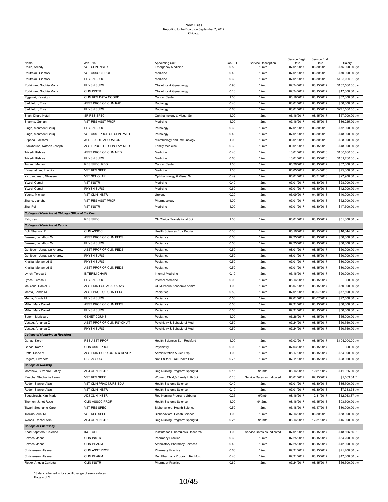|                                                   |                                    |                                              |                 |                              | Service Begin      | Service End        |                           |
|---------------------------------------------------|------------------------------------|----------------------------------------------|-----------------|------------------------------|--------------------|--------------------|---------------------------|
| Name<br>Rasin, Arkady                             | Job Title<br><b>VST CLIN INSTR</b> | Appointing Unit<br><b>Emergency Medicine</b> | Job FTE<br>0.50 | Service Description<br>12mth | Date<br>07/01/2017 | Date<br>06/30/2018 | Salary<br>\$75,000.00 /yr |
|                                                   |                                    |                                              |                 |                              |                    |                    |                           |
| Reutrakul, Sirimon                                | <b>VST ASSOC PROF</b>              | Medicine                                     | 0.40            | 12mth                        | 07/01/2017         | 06/30/2018         | \$70,000.00 /yr           |
| Reutrakul, Sirimon                                | PHYSN SURG                         | Medicine                                     | 0.60            | 12mth                        | 07/01/2017         | 06/30/2018         | \$105,000.00 /yr          |
| Rodriguez, Sophia Maria                           | PHYSN SURG                         | Obstetrics & Gynecology                      | 0.90            | 12mth                        | 07/24/2017         | 08/15/2017         | \$157,500.00 /yr          |
| Rodriguez, Sophia Maria                           | <b>CLIN INSTR</b>                  | Obstetrics & Gynecology                      | 0.10            | 12mth                        | 07/24/2017         | 08/15/2017         | \$17,500.00 /yr           |
| Rygalski, Kayleigh                                | CLIN RES DATA COORD                | Cancer Center                                | 1.00            | 12mth                        | 06/19/2017         | 08/15/2017         | \$57,000.00 /yr           |
| Saddleton, Elise                                  | ASST PROF OF CLIN RAD              | Radiology                                    | 0.40            | 12mth                        | 08/01/2017         | 08/15/2017         | \$50,000.00 /yr           |
|                                                   | PHYSN SURG                         |                                              | 0.60            |                              |                    |                    |                           |
| Saddleton, Elise                                  |                                    | Radiology                                    |                 | 12mth                        | 08/01/2017         | 08/15/2017         | \$245,000.00 /yr          |
| Shah, Dhara Ketul                                 | SR RES SPEC                        | Ophthalmology & Visual Sci                   | 1.00            | 12mth                        | 06/16/2017         | 08/15/2017         | \$57,000.00 /yr           |
| Sharma, Gunjan                                    | VST RES ASST PROF                  | Medicine                                     | 1.00            | 12mth                        | 07/16/2017         | 07/15/2018         | \$86,225.00 /yr           |
| Singh, Manmeet Bhurji                             | PHYSN SURG                         | Pathology                                    | 0.60            | 12mth                        | 07/01/2017         | 06/30/2018         | \$72,000.00 /yr           |
| Singh, Manmeet Bhurji                             | VST ASST PROF OF CLIN PATH         | Pathology                                    | 0.40            | 12mth                        | 07/01/2017         | 06/30/2018         | \$48,000.00 /yr           |
| Sripada, Lakshmi                                  | J1 RES COLLABORATOR                | Microbiology and Immunology                  | 1.00            | 12mth                        | 06/01/2017         | 05/30/2018         | \$38,000.00 /yr           |
| Stackhouse, Nathan Joseph                         | ASST PROF OF CLIN FAM MED          | Family Medicine                              | 0.30            | 12mth                        | 09/01/2017         | 08/15/2018         | \$48,000.00 /yr           |
| Trivedi, Itishree                                 | ASST PROF OF CLIN MED              | Medicine                                     | 0.40            | 12mth                        | 10/01/2017         | 08/15/2018         | \$100,800.00 /yr          |
|                                                   |                                    |                                              |                 |                              |                    |                    |                           |
| Trivedi, Itishree                                 | PHYSN SURG                         | Medicine                                     | 0.60            | 12mth                        | 10/01/2017         | 08/15/2018         | \$151,200.00 /yr          |
| Tucker, Megan                                     | RES SPEC, REG                      | Cancer Center                                | 1.00            | 12mth                        | 06/26/2017         | 08/15/2017         | \$57,000.00 /yr           |
| Viswanathan, Pramila                              | VST RES SPEC                       | Medicine                                     | 1.00            | 12mth                        | 06/05/2017         | 06/04/2018         | \$75,000.00 /yr           |
| Yazdanpanah, Ghasem                               | <b>VST SCHOLAR</b>                 | Ophthalmology & Visual Sci                   | 0.49            | 12mth                        | 06/01/2017         | 05/31/2018         | \$27,900.00 /yr           |
| Yazici, Cemal                                     | <b>VST INSTR</b>                   | Medicine                                     | 0.40            | 12mth                        | 07/01/2017         | 06/30/2018         | \$28,000.00 /yr           |
| Yazici, Cemal                                     | PHYSN SURG                         | Medicine                                     | 0.60            | 12mth                        | 07/01/2017         | 06/30/2018         | \$42,000.00 /yr           |
| Young, Michael                                    | <b>VST CLIN INSTR</b>              | Urology                                      | 0.20            | 12mth                        | 05/09/2017         | 04/15/2018         | \$40,000.00 /yr           |
|                                                   |                                    |                                              | 1.00            | 12mth                        |                    |                    | \$52,000.00 /yr           |
| Zhang, Lianghui                                   | VST RES ASST PROF                  | Pharmacology                                 |                 |                              | 07/01/2017         | 06/30/2018         |                           |
| Zhu, Pei                                          | <b>VST INSTR</b>                   | Medicine                                     | 1.00            | 12mth                        | 07/01/2017         | 06/30/2018         | \$47,500.00 /yr           |
| College of Medicine at Chicago Office of the Dean |                                    |                                              |                 |                              |                    |                    |                           |
| Rak, Kevin                                        | <b>RES SPEC</b>                    | Ctr Clinical Translational Sci               | 1.00            | 12mth                        | 06/01/2017         | 08/15/2017         | \$51,000.00 /yr           |
| <b>College of Medicine at Peoria</b>              |                                    |                                              |                 |                              |                    |                    |                           |
| Egli, Shannon D                                   | <b>CLIN ASSOC</b>                  | Health Sciences Ed - Peoria                  | 0.30            | 12mth                        | 05/16/2017         | 08/15/2017         | \$16,044.00 /yr           |
| Freezer, Jonathon W                               | ASST PROF OF CLIN PEDS             | Pediatrics                                   | 0.50            | 12mth                        | 07/25/2017         | 08/15/2017         | \$50,000.00 /yr           |
|                                                   | PHYSN SURG                         | Pediatrics                                   | 0.50            | 12mth                        | 07/25/2017         | 08/15/2017         |                           |
| Freezer, Jonathon W                               |                                    |                                              |                 |                              |                    |                    | \$50,000.00 /yr           |
| Gehlbach, Jonathan Andrew                         | ASST PROF OF CLIN PEDS             | Pediatrics                                   | 0.50            | 12mth                        | 08/01/2017         | 08/15/2017         | \$50,000.00 /yr           |
| Gehlbach, Jonathan Andrew                         | PHYSN SURG                         | Pediatrics                                   | 0.50            | 12mth                        | 08/01/2017         | 08/15/2017         | \$50,000.00 /yr           |
| Khalifa, Mohamed S                                | PHYSN SURG                         | Pediatrics                                   | 0.50            | 12mth                        | 07/01/2017         | 08/15/2017         | \$80,000.00 /yr           |
| Khalifa, Mohamed S                                | ASST PROF OF CLIN PEDS             | Pediatrics                                   | 0.50            | 12mth                        | 07/01/2017         | 08/15/2017         | \$80,000.00 /yr           |
| Lynch, Teresa J                                   | <b>INTERIM CHAIR</b>               | Internal Medicine                            | 0.10            | 12mth                        | 05/16/2017         | 08/15/2017         | \$20,000.00 /yr           |
| Lynch, Teresa J                                   | PHYSN SURG                         | Internal Medicine                            | 0.00            | 12mth                        | 05/16/2017         | 08/15/2017         | \$0.00 /yr                |
| McCloud, Daniel C                                 | ASST DIR FOR ACAD ADVS             | COM-Peoria Academic Affairs                  | 1.00            | 12mth                        | 08/07/2017         | 08/15/2017         | \$50,000.00 /yr           |
|                                                   |                                    |                                              |                 |                              |                    |                    |                           |
| Mehta, Brinda M                                   | ASST PROF OF CLIN PEDS             | Pediatrics                                   | 0.50            | 12mth                        | 07/01/2017         | 08/07/2017         | \$77,500.00 /yr           |
| Mehta, Brinda M                                   | PHYSN SURG                         | Pediatrics                                   | 0.50            | 12mth                        | 07/01/2017         | 08/07/2017         | \$77,500.00 /yr           |
| Miller, Mark Daniel                               | ASST PROF OF CLIN PEDS             | Pediatrics                                   | 0.50            | 12mth                        | 07/31/2017         | 08/15/2017         | \$50,000.00 /yr           |
| Miller, Mark Daniel                               | PHYSN SURG                         | Pediatrics                                   | 0.50            | 12mth                        | 07/31/2017         | 08/15/2017         | \$50,000.00 /yr           |
| Satern, Marissa L                                 | <b>GENET COUNS</b>                 | Pediatrics                                   | 1.00            | 12mth                        | 06/26/2017         | 08/15/2017         | \$65,000.00 /yr           |
| Vastag, Amanda D                                  | ASST PROF OF CLIN PSYCHIAT         | Psychiatry & Behavioral Med                  | 0.50            | 12mth                        | 07/24/2017         | 08/15/2017         | \$50,750.00 /yr           |
| Vastag, Amanda D                                  | PHYSN SURG                         | Psychiatry & Behavioral Med                  | 0.50            | 12mth                        | 07/24/2017         | 08/15/2017         | \$50,750.00 /yr           |
|                                                   |                                    |                                              |                 |                              |                    |                    |                           |
| <b>College of Medicine at Rockford</b>            |                                    |                                              |                 |                              |                    |                    |                           |
| Ganas, Koren                                      | RES ASST PROF                      | Health Sciences Ed - Rockford                | 1.00            | 12mth                        | 07/03/2017         | 08/15/2017         | \$105,000.00 /yr          |
| Ganas, Koren                                      | CLIN ASST PROF                     | Psychiatry                                   | 0.00            | 12mth                        | 07/03/2017         | 08/15/2017         | \$0.00 /yr                |
| Potts, Diane M                                    | ASST DIR CURR OUTR & DEVLP         | Administration & Gen Exp                     | 1.00            | 12mth                        | 05/17/2017         | 08/15/2017         | \$64,000.00 /yr           |
| Rogers, Elizabeth I                               | RES ASSOC II                       | Natl Ctr for Rural Health Prof               | 0.75            | 12mth                        | 07/11/2017         | 08/15/2017         | \$28,860.00 /yr           |
| <b>College of Nursing</b>                         |                                    |                                              |                 |                              |                    |                    |                           |
| Morphew, Suzanne Flatley                          | ADJ CLIN INSTR                     | Reg Nursing Program: Springfld               | 0.15            | 9/9mth                       | 08/16/2017         | 12/31/2017         | \$11,025.00 /yr           |
|                                                   | <b>VST RES SPEC</b>                |                                              | 0.13            |                              | 06/01/2017         |                    | $$1,083.34$ *             |
| Riesche, Stephanie Laren                          |                                    | Women, Child, & Family Hlth Sci              |                 | Service Dates as Indicated   |                    | 07/15/2017         |                           |
| Ruder, Stanley Alan                               | VST CLIN PRAC NURS EDU             | <b>Health Systems Science</b>                | 0.40            | 12mth                        | 07/01/2017         | 06/30/2018         | \$35,700.00 /yr           |
| Ruder, Stanley Alan                               | <b>VST CLIN INSTR</b>              | <b>Health Systems Science</b>                | 0.10            | 12mth                        | 07/01/2017         | 06/30/2018         | \$7,333.33 /yr            |
| Seggebruch, Kim Marie                             | ADJ CLIN INSTR                     | Reg Nursing Program: Urbana                  | 0.25            | 9/9mth                       | 08/16/2017         | 12/31/2017         | \$12,063.87 /yr           |
| Thorlton, Janet Rose                              | CLIN ASSOC PROF                    | <b>Health Systems Science</b>                | 1.00            | 9/12mth                      | 08/16/2017         | 05/15/2018         | \$93,500.00 /yr           |
| Tiwari, Stephanie Carol                           | <b>VST RES SPEC</b>                | Biobehavioral Health Science                 | 0.50            | 12mth                        | 05/18/2017         | 05/17/2018         | \$30,000.00 /yr           |
| Trocino, Ariel M                                  | VST RES SPEC                       | Biobehavioral Health Science                 | 1.00            | 12mth                        | 07/16/2017         | 06/30/2018         | \$58,000.00 /yr           |
|                                                   |                                    |                                              |                 |                              |                    |                    |                           |
| Woods, Rachel Ann                                 | ADJ CLIN INSTR                     | Reg Nursing Program: Springfld               | 0.25            | 9/9mth                       | 08/16/2017         | 12/31/2017         | \$15,000.00 /yr           |
| <b>College of Pharmacy</b>                        |                                    |                                              |                 |                              |                    |                    |                           |
| Abad-Zapatero, Celerino                           | <b>INST AFFL</b>                   | Institute for Tuberculosis Research          | 1.00            | Service Dates as Indicated   | 07/01/2017         | 08/15/2017         | \$18,666.66               |
| Boznos, Jenna                                     | <b>CLIN INSTR</b>                  | <b>Pharmacy Practice</b>                     | 0.60            | 12mth                        | 07/25/2017         | 08/15/2017         | \$64,200.00 /yr           |
| Boznos, Jenna                                     | <b>CLIN PHARM</b>                  | Ambulatory Pharmacy Services                 | 0.40            | 12mth                        | 07/25/2017         | 08/15/2017         | \$42,800.00 /yr           |
| Christensen, Alyssa                               | CLIN ASST PROF                     | Pharmacy Practice                            | 0.60            | 12mth                        | 07/31/2017         | 08/15/2017         | \$71,400.00 /yr           |
| Christensen, Alyssa                               | <b>CLIN PHARM</b>                  | Reg Pharmacy Program: Rockford               | 0.40            | 12mth                        | 07/31/2017         | 08/15/2017         | \$47,600.00 /yr           |
| Fietko, Angela Carletta                           | <b>CLIN INSTR</b>                  | <b>Pharmacy Practice</b>                     | 0.60            | 12mth                        | 07/24/2017         | 08/15/2017         | \$66,300.00 /yr           |
|                                                   |                                    |                                              |                 |                              |                    |                    |                           |

\*Salary reflected is for specific range of service dates Page 4 of 5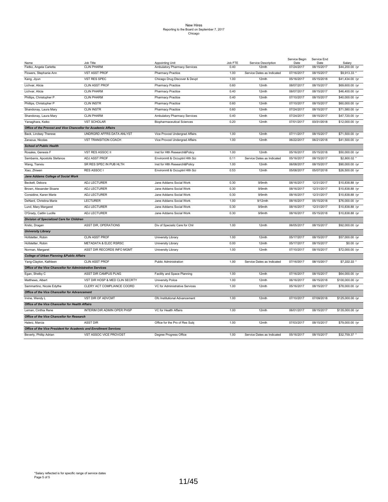|                                                                   |                                  |                                   |         |                            | Service Begin | Service End |                  |
|-------------------------------------------------------------------|----------------------------------|-----------------------------------|---------|----------------------------|---------------|-------------|------------------|
| Name                                                              | Job Title                        | Appointing Unit                   | Job FTE | Service Description        | Date          | Date        | Salary           |
| Fietko, Angela Carletta                                           | <b>CLIN PHARM</b>                | Ambulatory Pharmacy Services      | 0.40    | 12mth                      | 07/24/2017    | 08/15/2017  | \$44,200.00 /yr  |
| Flowers, Stephanie Ann                                            | <b>VST ASST PROF</b>             | Pharmacy Practice                 | 1.00    | Service Dates as Indicated | 07/16/2017    | 08/15/2017  | \$9,913.33       |
| Kang, Jiyun                                                       | VST RES SPEC                     | Chicago Drug Discover & Devpt     | 1.00    | 12mth                      | 05/16/2017    | 05/15/2018  | \$41,434.00 /yr  |
| Lichvar, Alicia                                                   | <b>CLIN ASST PROF</b>            | Pharmacy Practice                 | 0.60    | 12mth                      | 08/07/2017    | 08/15/2017  | \$69,600.00 /yr  |
| Lichvar, Alicia                                                   | <b>CLIN PHARM</b>                | <b>Pharmacy Practice</b>          | 0.40    | 12mth                      | 08/07/2017    | 08/15/2017  | \$46,400.00 /yr  |
| Phillips, Christopher P                                           | <b>CLIN PHARM</b>                | Pharmacy Practice                 | 0.40    | 12mth                      | 07/10/2017    | 08/15/2017  | \$40,000.00 /yr  |
| Phillips, Christopher P                                           | <b>CLIN INSTR</b>                | <b>Pharmacy Practice</b>          | 0.60    | 12mth                      | 07/10/2017    | 08/15/2017  | \$60,000.00 /yr  |
| Shandonay, Laura Mary                                             | <b>CLIN INSTR</b>                | Pharmacy Practice                 | 0.60    | 12mth                      | 07/24/2017    | 08/15/2017  | \$71,580.00 /yr  |
| Shandonay, Laura Mary                                             | <b>CLIN PHARM</b>                | Ambulatory Pharmacy Services      | 0.40    | 12mth                      | 07/24/2017    | 08/15/2017  | \$47,720.00 /yr  |
| Yanagihara, Keiko                                                 | <b>VST SCHOLAR</b>               | <b>Biopharmaceutical Sciences</b> | 0.20    | 12mth                      | 07/01/2017    | 03/31/2018  | \$12,000.00 /yr  |
| Office of the Provost and Vice Chancellor for Academic Affairs    |                                  |                                   |         |                            |               |             |                  |
| Back, Lindsey Therese                                             | UNDRGRD AFFRS DATA ANLYST        | Vice Provost Undergrad Affairs    | 1.00    | 12mth                      | 07/11/2017    | 08/15/2017  | \$71,500.00 /yr  |
| Zarazua, Nicolas                                                  | <b>VST TRANSITION COACH</b>      | Vice Provost Undergrad Affairs    | 1.00    | 12mth                      | 06/22/2017    | 06/21/2018  | \$41,500.00 /yr  |
| <b>School of Public Health</b>                                    |                                  |                                   |         |                            |               |             |                  |
| Rosales, Genesis F                                                | VST RES ASSOC II                 | Inst for Hith Research&Policy     | 1.00    | 12mth                      | 05/16/2017    | 05/15/2018  | \$50,000.00 /yr  |
| Sambanis, Apostolis Stefanos                                      | ADJ ASST PROF                    | Environmtl & Occuptnl Hlth Sci    | 0.11    | Service Dates as Indicated | 05/16/2017    | 08/15/2017  | \$2,800.02       |
| Wang, Tianxiu                                                     | SR RES SPEC IN PUB HLTH          | Inst for Hith Research&Policy     | 1.00    | 12mth                      | 06/08/2017    | 08/15/2017  | \$90,000.00 /yr  |
| Xiao, Zhiwen                                                      | RES ASSOC I                      | Environmtl & Occuptnl Hlth Sci    | 0.53    | 12mth                      | 05/08/2017    | 05/07/2018  | \$26,500.00 /yr  |
| Jane Addams College of Social Work                                |                                  |                                   |         |                            |               |             |                  |
| Beckett, Debora                                                   | <b>ADJ LECTURER</b>              | Jane Addams Social Work           | 0.30    | 9/9mth                     | 08/16/2017    | 12/31/2017  | \$10,838.88 /yr  |
| Brown, Alexander Sloane                                           | <b>ADJ LECTURER</b>              | Jane Addams Social Work           | 0.30    | 9/9mth                     | 08/16/2017    | 12/31/2017  | \$10,838.88 /yr  |
| Considine, Karen Marie                                            | <b>ADJ LECTURER</b>              | Jane Addams Social Work           | 0.30    | 9/9mth                     | 08/16/2017    | 12/31/2017  | \$10,838.88 /yr  |
| DeNard, Christina Marie                                           | <b>LECTURER</b>                  | Jane Addams Social Work           | 1.00    | 9/12mth                    | 08/16/2017    | 05/15/2018  | \$76,000.00 /yr  |
| Lund, Mary Margaret                                               | ADJ LECTURER                     | Jane Addams Social Work           | 0.30    | 9/9mth                     | 08/16/2017    | 12/31/2017  | \$10,838.88 /yr  |
| O'Grady, Caitlin Lucille                                          | <b>ADJ LECTURER</b>              | Jane Addams Social Work           | 0.30    | 9/9mth                     | 08/16/2017    | 05/15/2018  | \$10,838.88 /yr  |
| <b>Division of Specialized Care for Children</b>                  |                                  |                                   |         |                            |               |             |                  |
| Krstic, Dragan                                                    | ASST DIR, OPERATIONS             | Div of Specializ Care for Chil    | 1.00    | 12mth                      | 06/05/2017    | 08/15/2017  | \$92,000.00 /yr  |
| <b>University Library</b>                                         |                                  |                                   |         |                            |               |             |                  |
| Hofstetter, Robin                                                 | <b>CLIN ASST PROF</b>            | University Library                | 1.00    | 12mth                      | 05/17/2017    | 08/15/2017  | \$57,000.00 /yr  |
| Hofstetter, Robin                                                 | <b>METADATA &amp; ELEC RSRSC</b> | University Library                | 0.00    | 12mth                      | 05/17/2017    | 08/15/2017  | \$0.00 /yr       |
| Norman, Margaret                                                  | ASST DIR RECORDS INFO MGMT       | University Library                | 1.00    | 12mth                      | 07/10/2017    | 08/15/2017  | \$72,000.00 /yr  |
| <b>College of Urban Planning &amp; Public Affairs</b>             |                                  |                                   |         |                            |               |             |                  |
| Yang-Clayton, Kathleen                                            | <b>CLIN ASST PROF</b>            | <b>Public Administration</b>      | 1.00    | Service Dates as Indicated | 07/16/2017    | 08/15/2017  | \$7,222.22       |
| Office of the Vice Chancellor for Administrative Services         |                                  |                                   |         |                            |               |             |                  |
| Egan, Shelby C                                                    | ASST DIR CAMPUS PLNG             | Facility and Space Planning       | 1.00    | 12mth                      | 07/16/2017    | 08/15/2017  | \$64,000.00 /yr  |
|                                                                   |                                  |                                   |         |                            |               |             |                  |
| Matthews, Albert                                                  | VST DIR HOSP & MED CLIN SECRTY   | <b>University Police</b>          | 1.00    | 12mth                      | 06/16/2017    | 06/15/2018  | \$100,000.00 /yr |
| Sammartino, Nicole Edythe                                         | CLERY ACT COMPLIANCE COORD       | VC for Administrative Services    | 1.00    | 12mth                      | 05/16/2017    | 08/15/2017  | \$78,000.00 /yr  |
| <b>Office of the Vice Chancellor for Advancement</b>              |                                  |                                   |         |                            |               |             |                  |
| Irvine, Wendy L                                                   | VST DIR OF ADVCMT                | Ofc Institutional Advancement     | 1.00    | 12mth                      | 07/10/2017    | 07/09/2018  | \$125,000.00 /yr |
| <b>Office of the Vice Chancellor for Health Affairs</b>           |                                  |                                   |         |                            |               |             |                  |
| Leman, Cinthia Rene                                               | INTERIM DIR ADMIN OPER PHSP      | VC for Health Affairs             | 1.00    | 12mth                      | 06/01/2017    | 08/15/2017  | \$135,000.00 /yr |
| Office of the Vice Chancellor for Research                        |                                  |                                   |         |                            |               |             |                  |
| Halerz, Marcia                                                    | <b>ASST DIR</b>                  | Office for the Pro of Res Subj    | 1.00    | 12mth                      | 07/03/2017    | 08/15/2017  | \$79,000.00 /yr  |
| Office of the Vice President for Academic and Enrollment Services |                                  |                                   |         |                            |               |             |                  |
| Beverly, Phillip Adrian                                           | VST ASSOC VICE PROVOST           | Degree Progress Office            | 1.00    | Service Dates as Indicated | 05/16/2017    | 08/15/2017  | \$32,759.37      |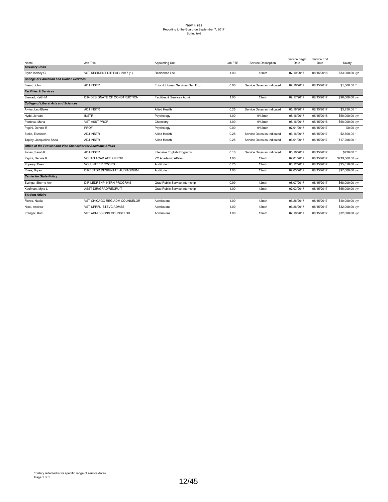# New Hires Reporting to the Board on September 7, 2017 Springfield

| Name                                                           | Job Title                      | Appointing Unit                | Job FTE | Service Description        | Service Begin<br>Date | Service End<br>Date | Salarv           |
|----------------------------------------------------------------|--------------------------------|--------------------------------|---------|----------------------------|-----------------------|---------------------|------------------|
| <b>Auxiliary Units</b>                                         |                                |                                |         |                            |                       |                     |                  |
| Stybr, Kelsey G                                                | VST RESIDENT DIR FALL 2017 (1) | Residence Life                 | 1.00    | 12mth                      | 07/10/2017            | 08/15/2018          | \$33,000.00 /yr  |
| <b>College of Education and Human Services</b>                 |                                |                                |         |                            |                       |                     |                  |
| Freml, John                                                    | <b>ADJINSTR</b>                | Educ & Human Services Gen Exp  | 0.00    | Service Dates as Indicated | 07/16/2017            | 08/15/2017          | \$1,000.00 *     |
| <b>Facilities &amp; Services</b>                               |                                |                                |         |                            |                       |                     |                  |
| Stewart, Keith M                                               | DIR-DESIGNATE OF CONSTRUCTION  | Facilities & Services Admin    | 1.00    | 12mth                      | 07/17/2017            | 08/15/2017          | \$96,000.00 /yr  |
| <b>College of Liberal Arts and Sciences</b>                    |                                |                                |         |                            |                       |                     |                  |
| Alvies, Leo Blake                                              | <b>ADJ INSTR</b>               | Allied Health                  | 0.25    | Service Dates as Indicated | 05/16/2017            | 08/15/2017          | \$3,750.00 *     |
| Hyde, Jordan                                                   | <b>INSTR</b>                   | Psychology                     | 1.00    | 9/12mth                    | 08/16/2017            | 05/15/2018          | \$50,000.00 /yr  |
| Panteva, Maria                                                 | <b>VST ASST PROF</b>           | Chemistry                      | 1.00    | 9/12mth                    | 08/16/2017            | 05/15/2018          | \$50,000.00 /yr  |
| Papini, Dennis R                                               | PROF                           | Psychology                     | 0.00    | 9/12mth                    | 07/01/2017            | 08/15/2017          | \$0.00 /yr       |
| Stelle, Elizabeth                                              | <b>ADJ INSTR</b>               | Allied Health                  | 0.25    | Service Dates as Indicated | 06/16/2017            | 08/15/2017          | $$2,500.00$ *    |
| Tapley, Jacqueline Shea                                        | <b>ADJ INSTR</b>               | Allied Health                  | 0.25    | Service Dates as Indicated | 06/01/2017            | 08/15/2017          | \$17,208.00      |
| Office of the Provost and Vice Chancellor for Academic Affairs |                                |                                |         |                            |                       |                     |                  |
| Jones, Sarah K                                                 | <b>ADJ INSTR</b>               | Intensive English Programs     | 0.10    | Service Dates as Indicated | 05/16/2017            | 08/15/2017          | $$720.00$ *      |
| Papini, Dennis R                                               | VCHAN ACAD AFF & PROV          | VC Academic Affairs            | 1.00    | 12mth                      | 07/01/2017            | 08/15/2017          | \$219,000.00 /yr |
| Popejoy, Brent                                                 | <b>VOLUNTEER COORD</b>         | Auditorium                     | 0.75    | 12mth                      | 06/12/2017            | 08/15/2017          | \$25,018.00 /yr  |
| Rives, Bryan                                                   | DIRECTOR DESIGNATE AUDITORIUM  | Auditorium                     | 1.00    | 12mth                      | 07/03/2017            | 08/15/2017          | \$97,000.00 /yr  |
| <b>Center for State Policy</b>                                 |                                |                                |         |                            |                       |                     |                  |
| Elzinga, Sherrie Ann                                           | DIR LEDRSHP INTRN PROGRMS      | Grad Public Service Internship | 0.99    | 12mth                      | 08/07/2017            | 08/15/2017          | \$68,000.00 /yr  |
| Kaufman, Myra L                                                | ASST DIR/GRAD/RECRUIT          | Grad Public Service Internship | 1.00    | 12mth                      | 07/03/2017            | 08/15/2017          | \$55,000.00 /yr  |
| <b>Student Affairs</b>                                         |                                |                                |         |                            |                       |                     |                  |
| Flores, Nadia                                                  | VST CHICAGO REG ADM COUNSELOR  | Admissions                     | 1.00    | 12mth                      | 06/26/2017            | 08/15/2017          | \$40,000.00 /yr  |
| Nicol, Andrew                                                  | VST UPRFL STSVC ADMSS          | Admissions                     | 1.00    | 12mth                      | 06/26/2017            | 08/15/2017          | \$32,000.00 /yr  |
| Pranger, Kari                                                  | VST ADMISSIONS COUNSELOR       | Admissions                     | 1.00    | 12mth                      | 07/10/2017            | 08/15/2017          | \$32,000.00 /yr  |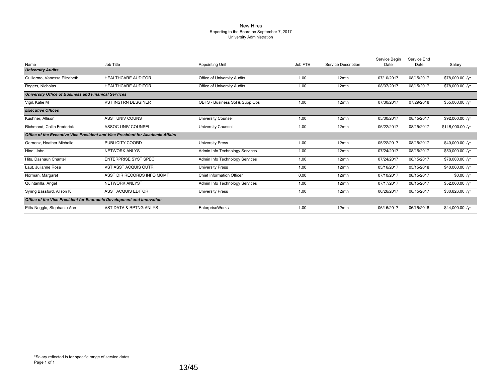#### New Hires Reporting to the Board on September 7, 2017 University Administration

|                                                                      |                                                                                |                                |         |                     | Service Begin | Service End |                  |
|----------------------------------------------------------------------|--------------------------------------------------------------------------------|--------------------------------|---------|---------------------|---------------|-------------|------------------|
| Name                                                                 | Job Title                                                                      | <b>Appointing Unit</b>         | Job FTE | Service Description | Date          | Date        | Salary           |
| <b>University Audits</b>                                             |                                                                                |                                |         |                     |               |             |                  |
| Guillermo, Vanessa Elizabeth                                         | <b>HEALTHCARE AUDITOR</b>                                                      | Office of University Audits    | 1.00    | 12mth               | 07/10/2017    | 08/15/2017  | \$78,000.00 /yr  |
| Rogers, Nicholas                                                     | <b>HEALTHCARE AUDITOR</b>                                                      | Office of University Audits    | 1.00    | 12mth               | 08/07/2017    | 08/15/2017  | \$78,000.00 /yr  |
| University Office of Business and Finanical Services                 |                                                                                |                                |         |                     |               |             |                  |
| Vigil, Katie M                                                       | <b>VST INSTRN DESGINER</b>                                                     | OBFS - Business Sol & Supp Ops | 1.00    | 12mth               | 07/30/2017    | 07/29/2018  | \$55,000.00 /yr  |
| <b>Executive Offices</b>                                             |                                                                                |                                |         |                     |               |             |                  |
| Kushner, Allison                                                     | <b>ASST UNIV COUNS</b>                                                         | <b>University Counsel</b>      | 1.00    | 12mth               | 05/30/2017    | 08/15/2017  | \$92,000.00 /yr  |
| Richmond, Collin Frederick                                           | ASSOC UNIV COUNSEL                                                             | <b>University Counsel</b>      | 1.00    | 12mth               | 06/22/2017    | 08/15/2017  | \$115,000.00 /yr |
|                                                                      | Office of the Executive Vice President and Vice President for Academic Affairs |                                |         |                     |               |             |                  |
| Gernenz, Heather Michelle                                            | PUBLICITY COORD                                                                | <b>University Press</b>        | 1.00    | 12mth               | 05/22/2017    | 08/15/2017  | \$40,000.00 /yr  |
| Hind. John                                                           | <b>NETWORK ANLYS</b>                                                           | Admin Info Technology Services | 1.00    | 12mth               | 07/24/2017    | 08/15/2017  | \$50,000.00 /yr  |
| Hits, Dashaun Chantel                                                | <b>ENTERPRISE SYST SPEC</b>                                                    | Admin Info Technology Services | 1.00    | 12mth               | 07/24/2017    | 08/15/2017  | \$78,000.00 /yr  |
| Laut, Julianne Rose                                                  | <b>VST ASST ACQUIS OUTR</b>                                                    | <b>University Press</b>        | 1.00    | 12mth               | 05/16/2017    | 05/15/2018  | \$40,000.00 /yr  |
| Norman, Margaret                                                     | ASST DIR RECORDS INFO MGMT                                                     | Chief Information Officer      | 0.00    | 12mth               | 07/10/2017    | 08/15/2017  | $$0.00$ /yr      |
| Quintanilla, Angel                                                   | <b>NETWORK ANLYST</b>                                                          | Admin Info Technology Services | 1.00    | 12mth               | 07/17/2017    | 08/15/2017  | \$52,000.00 /yr  |
| Syring Bassford, Alison K                                            | <b>ASST ACQUIS EDITOR</b>                                                      | <b>University Press</b>        | 1.00    | 12mth               | 06/26/2017    | 08/15/2017  | \$30,826.00 /yr  |
| Office of the Vice President for Economic Development and Innovation |                                                                                |                                |         |                     |               |             |                  |
| Pitts-Noggle, Stephanie Ann                                          | <b>VST DATA &amp; RPTNG ANLYS</b>                                              | <b>EnterpriseWorks</b>         | 1.00    | 12mth               | 06/16/2017    | 06/15/2018  | \$44,000.00 /yr  |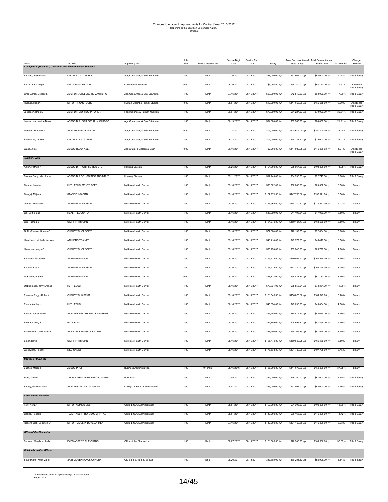| Name                                                                | Job Title                      | <b>Appointing Unit</b>         | Job<br>FTE | Service Description | Service Begin<br>Date | Service End<br>Date | Salary           | Rate of Pay      | Total Previous Annual Total Current Annua<br>Rate of Pay | % Increase | Change<br>Reason                 |
|---------------------------------------------------------------------|--------------------------------|--------------------------------|------------|---------------------|-----------------------|---------------------|------------------|------------------|----------------------------------------------------------|------------|----------------------------------|
| <b>College of Agricultural, Consumer and Environmental Sciences</b> |                                |                                |            |                     |                       |                     |                  |                  |                                                          |            |                                  |
| Barnard, Jessa Marie                                                | DIR OF STUDY ABROAD            | Agr, Consumer, & Env Sci Admn  | 1.00       | 12mth               | 07/16/2017            | 08/15/2017          | \$68,000.00 /yr  | \$61,964.00 /yr  | \$68,000.00 /yr                                          | 9.74%      | Title & Salary                   |
| Belzer, Karla Leigh                                                 | INT COUNTY EXT DIR             | Cooperative Extension          | 0.00       | 12mth               | 06/30/2017            | 08/15/2017          | \$6,000.00 /yr   | \$58,140.00 /yr  | \$64,140.00 /yr                                          | 10.32%     | Additional                       |
| Grilo, Ashley Elizabeth                                             | ASST DIR, COLLEGE HUMAN RSRC   | Agr, Consumer, & Env Sci Admn  | 1.00       | 12mth               | 07/16/2017            | 08/15/2017          | \$63,000.00 /yr  | \$42,840.00 /yr  | \$63,000.00 /yr                                          | 47.06%     | Title & Salary<br>Title & Salary |
| Hughes, Robert                                                      | DIR OF PRGMS, CCRS             | Human Dvlpmt & Family Studies  | 0.00       | 12mth               | 08/01/2017            | 08/15/2017          | \$12,000.00 /yr  | \$144,658.00 /yr | \$156,658.00 /yr                                         | 8.30%      | Additional                       |
|                                                                     |                                |                                |            |                     |                       |                     |                  |                  |                                                          |            | Title & Salary                   |
| Jacobson, Brian E                                                   | ASST DIR BIOPROC PP OPER       | Food Science & Human Nutrition | 1.00       | 12mth               | 06/01/2017            | 08/15/2017          | \$70,000.00 /yr  | \$51,227.67 /yr  | \$70,000.00 /yr                                          | 36.64%     | Title & Salary                   |
| Lawson, Jacqueline Brown                                            | ASSOC DIR, COLLEGE HUMAN RSRC  | Agr, Consumer, & Env Sci Admn  | 1.00       | 12mth               | 06/19/2017            | 08/15/2017          | \$84,000.00 /yr  | \$69,360.00 /yr  | \$84,000.00 /yr                                          | 21.11%     | Title & Salary                   |
| Meenen, Kimberly K                                                  | ASST DEAN FOR ADVCMT           | Agr, Consumer, & Env Sci Admn  | 0.50       | 12mth               | 07/24/2017            | 08/15/2017          | \$75,000.00 /yr  | \$118,675.00 /yr | \$150,000.00 /yr                                         | 26.40%     | Title & Salary                   |
| Poindexter, Denise                                                  | DIR OF STRATG OPER             | Agr, Consumer, & Env Sci Admn  | 1.00       | 12mth               | 06/22/2017            | 08/15/2017          | \$75,000.00 /yr  | \$54,337.50 /yr  | \$75,000.00 /yr                                          | 38.03%     | Title & Salary                   |
| Wang, Xinlei                                                        | ASSOC HEAD, ABE                | Agricultural & Biological Engr | 0.00       | 12mth               | 06/16/2017            | 08/15/2017          | \$2,000.00 /yr   | \$114,980.08 /yr | \$116,980.08 /yr                                         | 1.74%      | Additional<br>Title & Salary     |
| <b>Auxiliary Units</b>                                              |                                |                                |            |                     |                       |                     |                  |                  |                                                          |            |                                  |
| Anton, Patricia K                                                   | ASSOC DIR FOR HSG RES LIFE     | <b>Housing Division</b>        | 1.00       | 12mth               | 06/26/2017            | 08/15/2017          | \$101,000.00 /yr | \$68,067.56 /yr  | \$101,000.00 /yr                                         | 48.38%     | Title & Salary                   |
| Brocker Curry, Mari Anne                                            | ASSOC DIR OF HSG INFO AND MRKT | <b>Housing Division</b>        | 1.00       | 12mth               | 07/11/2017            | 08/15/2017          | \$92,745.00 /yr  | \$84,390.20 /yr  | \$92,745.00 /yr                                          | 9.90%      | Title & Salary                   |
| Carson, Jennifer                                                    | HLTH EDUC/ MRKTG SPEC          |                                | 1.00       | 12mth               | 05/16/2017            | 08/15/2017          | \$60,562.00 /yr  | \$56,866.08 /yr  |                                                          | 6.50%      | Salary                           |
|                                                                     |                                | McKinley Health Center         |            |                     |                       |                     |                  |                  | \$60,562.00 /yr                                          |            |                                  |
| Cesnjaj, Mirjana                                                    | STAFF PHYSICIAN                | McKinley Health Center         | 1.00       | 12mth               | 05/16/2017            | 08/15/2017          | \$152,971.00 /yr | \$147,798.00 /yr | \$152,971.00 /yr                                         | 3.50%      | Salary                           |
| Garrick, Marshall L                                                 | <b>STAFF PSYCHIATRIST</b>      | McKinley Health Center         | 1.00       | 12mth               | 05/16/2017            | 08/15/2017          | \$179,363.00 /yr | \$164,370.31 /yr | \$179,363.00 /yr                                         | 9.12%      | Salary                           |
| Gill, Bethni Sue                                                    | HEALTH EDUCATOR                | McKinley Health Center         | 1.00       | 12mth               | 05/16/2017            | 08/15/2017          | \$47,069.00 /yr  | \$44,196.54 /yr  | \$47,069.00 /yr                                          | 6.50%      | Salary                           |
| Giri, Pushpa B                                                      | STAFF PHYSICIAN                | McKinley Health Center         | 1.00       | 12mth               | 05/16/2017            | 08/15/2017          | \$164,670.00 /yr | \$159,101.47 /yr | \$164,670.00 /yr                                         | 3.50%      | Salary                           |
| Griffin-Pierson, Sharon S                                           | <b>CLIN PSYCHOLOGIST</b>       | McKinley Health Center         | 1.00       | 12mth               | 05/16/2017            | 08/15/2017          | \$72,664.00 /yr  | \$70,139.65 /yr  | \$72,664.00 /yr                                          | 3.60%      | Salary                           |
| Haselhorst, Michelle Kathleen                                       | ATHLETIC TRAINER               | McKinley Health Center         | 1.00       | 12mth               | 05/16/2017            | 08/15/2017          | \$46,410.00 /yr  | \$43,577.53 /yr  | \$46,410.00 /yr                                          | 6.50%      | Salary                           |
| Hines, Jacquelyn C                                                  | <b>CLIN PSYCHOLOGIST</b>       | McKinley Health Center         | 1.00       | 12mth               | 05/16/2017            | 08/15/2017          | \$65,770.00 /yr  | \$63,240.00 /yr  | \$65,770.00 /yr                                          | 4.00%      | Salary                           |
| Ketchens, Milorad P                                                 | STAFF PHYSICIAN                | McKinley Health Center         | 1.00       | 12mth               | 05/16/2017            | 08/15/2017          | \$165,634.00 /yr | \$160,033.93 /yr | \$165,634.00 /yr                                         | 3.50%      | Salary                           |
|                                                                     |                                |                                |            |                     |                       |                     |                  |                  |                                                          |            |                                  |
| Kochan, Ken L                                                       | STAFF PSYCHIATRIST             | McKinley Health Center         | 1.00       | 12mth               | 05/16/2017            | 08/15/2017          | \$166,714.00 /yr | \$161,714.53 /yr | \$166,714.00 /yr                                         | 3.09%      | Salary                           |
| McKusick, Anne E                                                    | STAFF PHYSICIAN                | McKinley Health Center         | 0.60       | 12mth               | 05/16/2017            | 08/15/2017          | \$97,733.00 /yr  | \$94,428.87 /yr  | \$97,733.00 /yr                                          | 3.50%      | Salary                           |
| Ogbudimkpa, Jerry Emeka                                             | HLTH EDUC                      | McKinley Health Center         | 1.00       | 12mth               | 05/16/2017            | 08/15/2017          | \$73,334.00 /yr  | \$65,853.91 /yr  | \$73,334.00 /yr                                          | 11.36%     | Salary                           |
| Pearson, Peggy Dobeck                                               | <b>CLIN PSYCHIATRIST</b>       | McKinley Health Center         | 1.00       | 12mth               | 05/16/2017            | 08/15/2017          | \$161,843.00 /yr | \$156,825.00 /yr | \$161,843.00 /yr                                         | 3.20%      | Salary                           |
| Peters, Ashley N                                                    | HLTH EDUC                      | McKinley Health Center         | 1.00       | 12mth               | 06/16/2017            | 08/15/2017          | \$45,034.00 /yr  | \$43,095.00 /yr  | \$45,034.00 /yr                                          | 4.50%      | Salary                           |
| Phillips, Janise Marie                                              | ASST DIR HEALTH INFO & SYSTEMS | McKinley Health Center         | 1.00       | 12mth               | 05/16/2017            | 08/15/2017          | \$83,645.00 /yr  | \$80,816.44 /yr  | \$83,645.00 /yr                                          | 3.50%      | Salary                           |
| Rice, Kimberly S                                                    | HLTH EDUC                      | McKinley Health Center         | 1.00       | 12mth               | 05/16/2017            | 08/15/2017          | \$51,859.00 /yr  | \$48,694.21 /yr  | \$51,859.00 /yr                                          | 6.50%      | Salary                           |
| Rubenacker, Judy Joanne                                             | ASSOC DIR FINANCE & ADMIN      | McKinley Health Center         | 1.00       | 12mth               | 05/16/2017            | 08/15/2017          | \$97,556.00 /yr  | \$94,266.89 /yr  | \$97,556.00 /yr                                          | 3.49%      | Salary                           |
| Smith, David F                                                      | STAFF PHYSICIAN                | McKinley Health Center         | 1.00       | 12mth               | 05/16/2017            | 08/15/2017          | \$165,179.00 /yr | \$159,593.28 /yr | \$165,179.00 /yr                                         | 3.50%      | Salary                           |
|                                                                     |                                |                                |            |                     |                       |                     |                  | \$191,700.00 /yr |                                                          |            |                                  |
| Woodward, Robert T                                                  | MEDICAL DIR                    | McKinley Health Center         | 1.00       | 12mth               | 05/16/2017            | 08/15/2017          | \$178,538.00 /yr |                  | \$197,738.00 /yr                                         | 3.15%      | Salary                           |
| <b>College of Business</b>                                          |                                |                                |            |                     |                       |                     |                  |                  |                                                          |            |                                  |
| Bucheli, Marcelo                                                    | <b>ASSOC PROF</b>              | <b>Business Administration</b> | 1.00       | $9/12$ mth          | 08/16/2016            | 05/15/2017          | \$158,000.00 /yr | \$114,677.33 /yr | \$158,000.00 /yr                                         | 37.78%     | Salary                           |
| Flure, Gavin D                                                      | TECH SUPP & TRNG SPEC-BUS INFO | <b>Business IT</b>             | 1.00       | 12mth               | 07/05/2017            | 08/15/2017          | \$61,000.00 /yr  | \$59,250.00 /yr  | \$61,000.00 /yr                                          | 2.95%      | Title & Salary                   |
| Pauley, Garrett Duane                                               | ASST DIR OF DIGITAL MEDIA      | College of Bus Communications  | 1.00       | 12mth               | 08/01/2017            | 08/15/2017          | \$63,000.00 /yr  | \$57,502.00 /yr  | \$63,000.00 /yr                                          | 9.56%      | Title & Salary                   |
| <b>Carle Illinois Medicine</b>                                      |                                |                                |            |                     |                       |                     |                  |                  |                                                          |            |                                  |
| Few, Nora J                                                         | DIR OF ADMISSIONS              | Carle IL COM Administration    | 1.00       | 12mth               | 08/01/2017            | 08/15/2017          | \$103,000.00 /yr | \$91,308.53 /yr  | \$103,000.00 /yr                                         | 12.80%     | Title & Salary                   |
| Galvez, Roberto                                                     | TEACH ASST PROF, SML GRP FAC   | Carle IL COM Administration    | 1.00       | 12mth               | 08/01/2017            | 08/15/2017          | \$110,000.00 /yr | \$76,166.00 /yr  | \$110,000.00 /yr                                         | 44.42%     | Title & Salary                   |
| Roberts-Lieb, Solomon D                                             | DIR OF FACULTY DEVELOPMENT     | Carle IL COM Administration    | 1.00       | 12mth               | 07/16/2017            | 08/15/2017          | \$110,000.00 /yr | \$101,163.60 /yr | \$110,000.00 /yr                                         | 8.73%      | Title & Salary                   |
| <b>Office of the Chancellor</b>                                     |                                |                                |            |                     |                       |                     |                  |                  |                                                          |            |                                  |
|                                                                     |                                |                                |            |                     |                       |                     |                  |                  |                                                          |            |                                  |
| Bertram, Wendy Michelle                                             | EXEC ASST TO THE CHANC         | Office of the Chancellor       | 1.00       | 12mth               | 08/07/2017            | 08/15/2017          | \$101,000.00 /yr | \$76,500.00 /yr  | \$101,000.00 /yr                                         | 32.03%     | Title & Salary                   |
| <b>Chief Information Officer</b>                                    |                                |                                |            |                     |                       |                     |                  |                  |                                                          |            |                                  |
| Bridgewater, Kelly Martin                                           | SR IT GOVERNANCE OFFICER       | Ofc of the Chief Info Officer  | 1.00       | 12mth               | 05/26/2017            | 08/15/2017          | \$92,905.00 /yr  | \$90,251.12 /yr  | \$92,905.00 /yr                                          | 2.94%      | Title & Salary                   |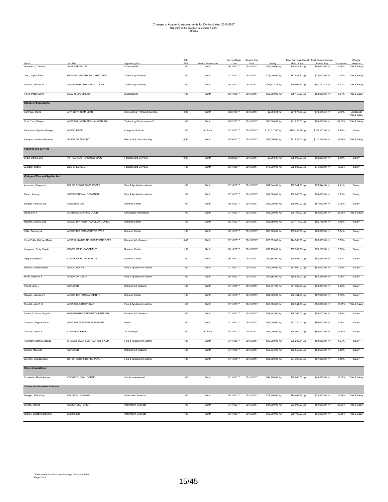| Name                                    | Job Title                      | Appointing Unit                       | Job<br>FTE | Service Description | Service Begin<br>Date | Service End<br>Date | Salary           | Total Previous Annual Total Current Annual<br>Rate of Pay | Rate of Pay      | % Increase | Change<br>Reason             |
|-----------------------------------------|--------------------------------|---------------------------------------|------------|---------------------|-----------------------|---------------------|------------------|-----------------------------------------------------------|------------------|------------|------------------------------|
| Greenarch, T Shane                      | SR IT SPECIALIST               | Distributed IT                        | 1.00       | 12mth               | 06/16/2017            | 08/15/2017          | \$55,000.00 /yr  | \$54,049.80 /yr                                           | \$55,000.00 /yr  | 1.76%      | Title & Salary               |
| Judd, Taylor Allen                      | PRIV AND INFORM SECURITY SPEC  | <b>Technology Services</b>            | 1.00       | 12mth               | 07/24/2017            | 08/15/2017          | \$78,000.00 /yr  | \$77,883.21 /yr                                           | \$78,000.00 /yr  | 0.15%      | Title & Salary               |
| Sturner, Jennifer N                     | STDNT EMPL SERV MGMT COORD     | <b>Technology Services</b>            | 1.00       | 12mth               | 05/22/2017            | 08/15/2017          | \$57,712.32 /yr  | \$55,806.57 /yr                                           | \$57,712.32 /yr  | 3.41%      | Title & Salary               |
| Vlach, Peter Martin                     | LEAD IT SPECIALIST             | Distributed IT                        | 1.00       | 12mth               | 06/16/2017            | 08/15/2017          | \$62,000.00 /yr  | \$58,140.00 /yr                                           | \$62,000.00 /yr  | 6.64%      | Title & Salary               |
| <b>College of Engineering</b>           |                                |                                       |            |                     |                       |                     |                  |                                                           |                  |            |                              |
| Ashmore, Travis                         | APP SERV TEAM LEAD             | <b>Engineering IT Shared Services</b> | 0.00       | 12mth               | 06/01/2017            | 08/15/2017          | \$2,000.04 /yr   | \$71,575.00 /yr                                           | \$73,575.04 /yr  | 2.79%      | Additional<br>Title & Salary |
| Cole, Terry Wayne                       | ASST DIR, ACAD PRGM & ACAD ADV | <b>Technology Entrepreneur Ctr</b>    | 1.00       | 12mth               | 06/22/2017            | 08/15/2017          | \$60,000.00 /yr  | \$41,925.00 /yr                                           | \$60,000.00 /yr  | 43.11%     | Title & Salary               |
| Karahalios, Kyratso George              | ASSOC PROF                     | Computer Science                      | 1.00       | 9/12mth             | 03/16/2017            | 08/15/2017          | \$131,117.00 /yr | \$125,116.96 /yr                                          | \$131,117.00 /yr | 4.80%      | Salary                       |
| Vazquez, Heather Finneran               | SR DIR OF ADVCMT               | Electrical & Computer Eng             | 0.50       | 12mth               | 05/30/2017            | 08/15/2017          | \$55,000.00 /yr  | \$91,928.00 /yr                                           | \$110,000.00 /yr | 19.66%     | Title & Salary               |
| <b>Facilities and Services</b>          |                                |                                       |            |                     |                       |                     |                  |                                                           |                  |            |                              |
| Craig, Dennis Lee                       | VST CAPITAL PLANNING SPEC      | <b>Facilities and Services</b>        | 0.00       | 12mth               | 06/02/2017            | 08/15/2017          | \$3,600.00 /yr   | \$65,600.00 /yr                                           | \$69,200.00 /yr  | 5.49%      | Salary                       |
| Jackson, Shane                          | <b>DDC SPECIALIST</b>          | Facilities and Services               | 1.00       | 12mth               | 06/16/2017            | 08/15/2017          | \$75,000.00 /yr  | \$65,086.99 /yr                                           | \$75,000.00 /yr  | 15.23%     | Salary                       |
| <b>College of Fine and Applied Arts</b> |                                |                                       |            |                     |                       |                     |                  |                                                           |                  |            |                              |
| Anderson, Gregory N                     | DIR OF BUSINESS SERVICES       | Fine & Applied Arts Admin             | 1.00       | 12mth               | 07/16/2017            | 08/15/2017          | \$87,044.00 /yr  | \$92,944.00 /yr                                           | \$97,044.00 /yr  | 4.41%      | Salary                       |
| Bauer, Jeremy                           | <b>INSTRUCTIONAL DESIGNER</b>  | Fine & Applied Arts Admin             | 1.00       | 12mth               | 07/16/2017            | 08/15/2017          | \$54,000.00 /yr  | \$50,500.00 /yr                                           | \$54,000.00 /yr  | 6.93%      | Salary                       |
| Burgett, Vanessa Joy                    | <b>CREATIVE DIR</b>            | <b>Krannert Center</b>                | 1.00       | 12mth               | 06/16/2017            | 08/15/2017          | \$67,000.00 /yr  | \$65,000.00 /yr                                           | \$67,000.00 /yr  | 3.08%      | Salary                       |
| Davis, Lori E                           | ACADEMIC AFFAIRS COOR          | Landscape Architecture                | 1.00       | 12mth               | 07/16/2017            | 08/15/2017          | \$65,000.00 /yr  | \$50,763.00 /yr                                           | \$65,000.00 /yr  | 28.05%     | Title & Salary               |
| Howard, Cynthia Cae                     | ASSOC DIR FOR FINANCE AND OPER | Krannert Center                       | 1.00       | 12mth               | 06/16/2017            | 08/15/2017          | \$86,750.00 /yr  | \$91,117.00 /yr                                           | \$96,750.00 /yr  | 6.18%      | Salary                       |
| Kikta, Tammey A                         | ASSOC DIR FOR ARTISTIC SVCS    | <b>Krannert Center</b>                | 1.00       | 12mth               | 06/16/2017            | 08/15/2017          | \$60,000.00 /yr  | \$55,638.00 /yr                                           | \$60,000.00 /yr  | 7.84%      | Salary                       |
| Koca Polite, Kathryn Marie              | ASST CURATOR&PUBLICATIONS SPEC | Krannert Art Museum                   | 0.48       | 12mth               | 07/16/2017            | 08/15/2017          | \$26,333.00 /yr  | \$24,960.00 /yr                                           | \$26,333.00 /yr  | 5.50%      | Salary                       |
| Laugesen, Emily Snyder                  | CO-DIR OF ENGAGEMENT           | Krannert Center                       | 1.00       | 12mth               | 06/16/2017            | 08/15/2017          | \$59,173.00 /yr  | \$55,337.00 /yr                                           | \$59,173.00 /yr  | 6.93%      | Salary                       |
| Lillig, Elizabeth A                     | CO-DIR OF PATRON SVCS          | Krannert Center                       | 1.00       | 12mth               | 06/16/2017            | 08/15/2017          | \$52,858.00 /yr  | \$50,858.00 /yr                                           | \$52,858.00 /yr  | 3.93%      | Salary                       |
| Madsen, Melissa Gene                    | ASSOC DIR HR                   | Fine & Applied Arts Admin             | 1.00       | 12mth               | 07/16/2017            | 08/15/2017          | \$84,000.00 /yr  | \$81,800.00 /yr                                           | \$84,000.00 /yr  | 2.69%      | Salary                       |
| Miller, Deborah S                       | SR DIR OF DEVLP                | Fine & Applied Arts Admin             | 1.00       | 12mth               | 06/16/2017            | 08/15/2017          | \$84,368.90 /yr  | \$80,534.00 /yr                                           | \$84,368.90 /yr  | 4.76%      | Salary                       |
| Powell, Amy L                           | <b>CURATOR</b>                 | Krannert Art Museum                   | 1.00       | 12mth               | 07/16/2017            | 08/15/2017          | \$63,877.00 /yr  | \$61,302.00 /yr                                           | \$63,877.00 /yr  | 4.20%      | Salary                       |
| Reagan, Maureen V                       | ASSOC DIR FOR MARKETING        | Krannert Center                       | 1.00       | 12mth               | 06/16/2017            | 08/15/2017          | \$87,000.00 /yr  | \$80,484.00 /yr                                           | \$87,000.00 /yr  | 8.10%      | Salary                       |
| Rundell, Julie A H                      | ASST DIR-CAREER SVC            | Fine & Applied Arts Admin             | 1.00       | 12mth               | 07/16/2017            | 08/15/2017          | \$50,000.00 /yr  | \$42,354.00 /yr                                           | \$50,000.00 /yr  | 18.05%     | Title & Salary               |
| Saniat, Christine Virginia              | MUSEUM REGISTRAR/EXHIBTNS DIR  | Krannert Art Museum                   | 1.00       | 12mth               | 07/16/2017            | 08/15/2017          | \$58,403.00 /yr  | \$56,265.00 /yr                                           | \$58,403.00 /yr  | 3.80%      | Salary                       |
| Tammen, Angela Marie                    | ASST DIR ADMISS PUB ENGAGE     | Music                                 | 1.00       | 12mth               | 07/16/2017            | 08/15/2017          | \$66,000.00 /yr  | \$63,730.00 /yr                                           | \$66,000.00 /yr  | 3.56%      | Salary                       |
| Thomas, Joyce K                         | <b>CLIN ASST PROF</b>          | Art & Design                          | 1.00       | $9/12$ mth          | 04/18/2017            | 05/15/2017          | \$62,000.00 /yr  | \$54,000.00 /yr                                           | \$62,000.00 /yr  | 14.81%     | Salary                       |
| Trantham, Katrine Jessica               | SR ASST DEAN FOR RECRUIT & ADM | Fine & Applied Arts Admin             | 1.00       | 12mth               | 07/16/2017            | 08/15/2017          | \$90,000.00 /yr  | \$86,233.61 /yr                                           | \$90,000.00 /yr  | 4.37%      | Salary                       |
| Warren, Maureen                         | CURATOR                        | Krannert Art Museum                   | 1.00       | 12mth               | 07/16/2017            | 08/15/2017          | \$58,633.00 /yr  | \$56,650.00 /yr                                           | \$58,633.00 /yr  | 3.50%      | Salary                       |
| Wellens, Michael Allen                  | DIR OF BDGT & RSRSC PLNG       | Fine & Applied Arts Admin             | 1.00       | 12mth               | 07/16/2017            | 08/15/2017          | \$97,300.00 /yr  | \$94,300.00 /yr                                           | \$97,300.00 /yr  | 3.18%      | Salary                       |
| <b>Illinois International</b>           |                                |                                       |            |                     |                       |                     |                  |                                                           |                  |            |                              |
| Schneider, Marta Rosina                 | COORD GLOBAL COMNC             | Illinois International                | 1.00       | 12mth               | 07/16/2017            | 08/15/2017          | \$44,850.00 /yr  | \$39,000.00 /yr                                           | \$44,850.00 /yr  | 15.00%     | Title & Salary               |
| <b>School of Information Sciences</b>   |                                |                                       |            |                     |                       |                     |                  |                                                           |                  |            |                              |
| Gengler, Jill Kathryn                   | DIR OF ALUMNI AFF              | <b>Information Sciences</b>           | 1.00       | 12mth               | 08/14/2017            | 08/15/2017          | \$78,500.00 /yr  | \$70,407.95 /yr                                           | \$78,500.00 /yr  | 11.49%     | Title & Salary               |
| Weible, John D                          | SENIOR LECTURER                | <b>Information Sciences</b>           | 1.00       | 12mth               | 07/16/2017            | 08/15/2017          | \$84,000.00 /yr  | \$63,000.00 /yr                                           | \$84,000.00 /yr  | 33.33%     | Title & Salary               |
| Wickes, Elizabeth Danielle              | <b>LECTURER</b>                | <b>Information Sciences</b>           | 1.00       | 12mth               | 06/16/2017            | 08/15/2017          | \$65,000.00 /yr  | \$56,100.00 /yr                                           | \$65,000.00 /yr  | 15.86%     | Title & Salary               |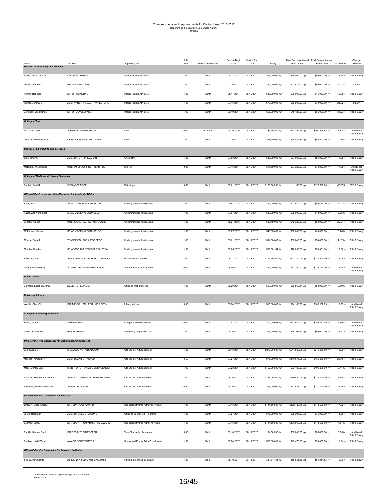|                                                                 |                                       |                                | Job<br>FTE |                     | Service Begin | Service End | Salary           | Total Previous Annual Total Current Annual |                  |            | Change                       |
|-----------------------------------------------------------------|---------------------------------------|--------------------------------|------------|---------------------|---------------|-------------|------------------|--------------------------------------------|------------------|------------|------------------------------|
| Name<br><b>Division of Intercollegiate Athletics</b>            | Job Title                             | Appointing Unit                |            | Service Description | Date          | Date        |                  | Rate of Pay                                | Rate of Pay      | % Increase | Reason                       |
| Acton, Justin Thomas                                            | DIR OF TICKETING                      | Intercollegiate Athletics      | 1.00       | 12mth               | 08/11/2017    | 08/15/2017  | \$45,000.00 /yr  | \$39,000.00 /yr                            | \$45,000.00 /yr  | 15.38%     | Title & Salary               |
| Dewar, Jennifer L                                               | MEDIA COMNC SPEC                      | Intercollegiate Athletics      | 1.00       | 12mth               | 07/16/2017    | 08/15/2017  | \$50,000.00 /yr  | \$47,476.00 /yr                            | \$50,000.00 /yr  | 5.32%      | Salary                       |
| Fuhrer, Rebecca                                                 | DIR OF TICKETING                      | Intercollegiate Athletics      | 1.00       | 12mth               | 08/11/2017    | 08/15/2017  | \$45,000.00 /yr  | \$39,000.00 /yr                            | \$45,000.00 /yr  | 15.38%     | Title & Salary               |
| Hunter, Jeremy G                                                | ASST VARSITY COACH - WRESTLING        | Intercollegiate Athletics      | 1.00       | 12mth               | 07/16/2017    | 08/15/2017  | \$70,000.00 /yr  | \$56,900.00 /yr                            | \$70,000.00 /yr  | 23.02%     | Salary                       |
| Zerrusen, Lee Michael                                           | DIR OF DEVELOPMENT                    | Intercollegiate Athletics      | 1.00       | 12mth               | 06/19/2017    | 08/15/2017  | \$65,000.00 /yr  | \$48,426.00 /yr                            | \$65,000.00 /yr  | 34.23%     | Title & Salary               |
| <b>College of Law</b>                                           |                                       |                                |            |                     |               |             |                  |                                            |                  |            |                              |
| Mazzone, Jason                                                  | ALBERT E JENNER PROF                  | Law                            | 0.00       | $9/12$ mth          | 08/16/2016    | 05/15/2017  | \$7,500.00 /yr   | \$193,355.98 /yr                           | \$200,855.98 /yr | 3.88%      | Additional<br>Title & Salary |
| Thomas, Michael Owen                                            | <b>DESIGN &amp; DIGITAL MKTG SPEC</b> | Law                            | 1.00       | 12mth               | 07/26/2017    | 08/15/2017  | \$58,500.00 /yr  | \$58,444.87 /yr                            | \$58,500.00 /yr  | 0.09%      | Title & Salary               |
| <b>College of Liberal Arts and Sciences</b>                     |                                       |                                |            |                     |               |             |                  |                                            |                  |            |                              |
| Cox, Jenny L                                                    | ASST DIR OF FIN & ADMIN               | Chemistry                      | 1.00       | 12mth               | 07/03/2017    | 08/15/2017  | \$86,000.00 /yr  | \$77,002.50 /yr                            | \$86,000.00 /yr  | 11.68%     | Title & Salary               |
| McDuffie, Kristi Renee                                          | INTERIM DIR OF FIRST YEAR RHET        | English                        | 0.00       | 12mth               | 07/16/2017    | 08/15/2017  | \$11,500.00 /yr  | \$67,320.00 /yr                            | \$78,820.00 /yr  | 17.08%     | Additional<br>Title & Salary |
| College of Medicine at Urbana-Champaign                         |                                       |                                |            |                     |               |             |                  |                                            |                  |            |                              |
| Bartlett, Brett R                                               | <b>CLIN ASST PROF</b>                 | Pathology                      | 0.60       | 12mth               | 07/01/2017    | 08/15/2017  | \$123,000.00 /yr | \$0.00 /yr                                 | \$123,000.00 /yr |            | #DIV/0! FTE & Salary         |
| Office of the Provost and Vice Chancellor for Academic Affairs  |                                       |                                |            |                     |               |             |                  |                                            |                  |            |                              |
| Abolt, Kaci L                                                   | SR ADMISSIONS COUNSELOR               | Undergraduate Admissions       | 1.00       | 12mth               | 07/017/17     | 08/15/2017  | \$40,000.00 /yr  | \$47,480.00 /yr                            | \$49,480.00 /yr  | 4.21%      | Title & Salan                |
| Kudla, Zoe Yung Sook                                            | SR ADMISSIONS COUNSELOR               | Undergraduate Admissions       | 1.00       | 12mth               | 07/07/2017    | 08/15/2017  | \$40,000.00 /yr  | \$38,000.00 /yr                            | \$40,000.00 /yr  | 5.26%      | Title & Salary               |
| Longtin, Amber                                                  | INTERNATIONAL RECRUIT COORD           | Undergraduate Admissions       | 1.00       | 12mth               | 12/21/2016    | 08/15/2017  | \$47,480.00 /yr  | \$42,320.00 /yr                            | \$53,000.00 /yr  | 25.24%     | Title & Salary               |
| McFadden, Casey L                                               | SR ADMISSIONS COUNSELOR               | Undergraduate Admissions       | 1.00       | 12mth               | 07/07/2017    | 08/15/2017  | \$40,000.00 /yr  | \$38,000.00 /yr                            | \$40,000.00 /yr  | 5.26%      | Title & Salary               |
| Modica, Gina R                                                  | TRANSF COURSE ARTIC SPEC              | Undergraduate Admissions       | 1.00       | 12mth               | 07/01/2017    | 08/15/2017  | \$34,000.00 /yr  | \$32,640.00 /yr                            | \$34,000.00 /yr  | 4.17%      | Title & Salary               |
| Murphy, Charles                                                 | SR ASSOC DIR RECRUIT & OUTREA         | Undergraduate Admissions       | 1.00       | 12mth               | 05/26/2017    | 08/15/2017  | \$80,561.64 /yr  | \$70,053.60 /yr                            | \$80,561.64 /yr  | 15.00%     | Title & Salary               |
| Provezis, Staci J                                               | ASSOC PROV ACAD EFFECTIVENESS         | Provost/VCAA Admin             | 1.00       | 12mth               | 06/21/2017    | 08/15/2017  | \$127,500.00 /yr | \$107,100.00 /yr                           | \$127,500.00 /yr | 19.05%     | Title & Salary               |
| Trame, Michelle Kay                                             | ACTING DIR OF STUDENT FIN AID         | Student Financial Aid-Admin    | 0.00       | 12mth               | 06/06/2017    | 08/15/2017  | \$24,000.00 /yr  | \$97,750.00 /yr                            | \$121,750.00 /yr | 24.55%     | Additional<br>Title & Salary |
| <b>Public Affairs</b>                                           |                                       |                                |            |                     |               |             |                  |                                            |                  |            |                              |
| Burnette, Elizabeth Jane                                        | <b>DESIGN SPECIALIST</b>              | Office of Web Services         | 1.00       | 12mth               | 06/20/2017    | 08/15/2017  | \$58,000.00 /yr  | \$56,862.11 /yr                            | \$58,000.00 /yr  | 2.00%      | Title & Salary               |
| <b>University Library</b>                                       |                                       |                                |            |                     |               |             |                  |                                            |                  |            |                              |
| Weible, Cherie' L                                               | INT ASSOC LIBRN FOR USER SERV         | Library Admin                  | 0.00       | 12mth               | 07/24/2017    | 08/15/2017  | \$15,000.00 /yr  | \$94,158.69 /yr                            | \$109,158.69 /yr | 15.93%     | Additional<br>Title & Salan  |
| <b>College of Veterinary Medicine</b>                           |                                       |                                |            |                     |               |             |                  |                                            |                  |            |                              |
| Flaws, Jodi A                                                   | INTERIM HEAD                          | Comparative Biosciences        | 0.00       | 12mth               | 07/01/2017    | 08/15/2017  | \$10,000.08 /yr  | \$143,071.47 /yr                           | \$153,071.55 /yr | 6.99%      | Additional<br>Title & Salary |
| Lanka, Saraswathi                                               | <b>RES SCIENTIST</b>                  | Veterinary Diagnostic Lab      | 1.00       | 12mth               | 05/16/2017    | 08/15/2017  | \$65,000.00 /yr  | \$56,702.63 /yr                            | \$65,000.00 /yr  | 14.63%     | Title & Salary               |
| <b>Office of the Vice Chancellor for Institutional Advancer</b> |                                       |                                |            |                     |               |             |                  |                                            |                  |            |                              |
| Lee, Susan E                                                    | SR ASSOC VC FOR ADVCMT                | Ofc VC Inst Advancement        | 1.00       | 12mth               | 06/16/2017    | 08/15/2017  | \$270,000.00 /yr | \$244,800.00 /yr                           | \$270,000.00 /yr | 10.29%     | Title & Salary               |
| Meenen, Kimberly K                                              | ASST DEAN FOR ADVCMT                  | Ofc VC Inst Advancement        | 0.50       | 12mth               | 07/24/2017    | 08/15/2017  | \$75,000.00 /yr  | \$118,675.00 /yr                           | \$150,000.00 /yr | 26.40%     | Title & Salary               |
| Moss, Christy Lea                                               | SR DIR OF STRATEGIC ENGAGEMENT        | Ofc VC Inst Advancement        | 1.00       | 12mth               | 07/28/2017    | 08/15/2017  | \$102,000.00 /yr | \$93,480.00 /yr                            | \$102,000.00 /yr | 9.11%      | Title & Salary               |
| Schmidt, Kenneth Alexander                                      | ASST VC CMPGN & STRATG ENGAGMT        | Ofc VC Inst Advancement        | 1.00       | 12mth               | 06/16/2017    | 08/15/2017  | \$175,000.00 /yr | \$170,490.00 /yr                           | \$175,000.00 /yr | 2.65%      | Title & Salary               |
| Vazquez, Heather Finneran                                       | SR DIR OF ADVCMT                      | Ofc VC Inst Advancement        | 0.50       | 12mth               | 05/30/2017    | 08/15/2017  | \$55,000.00 /yr  | \$91,928.00 /yr                            | \$110,000.00 /yr | 19.66%     | Title & Salary               |
| Office of the Vice Chancellor for Research                      |                                       |                                |            |                     |               |             |                  |                                            |                  |            |                              |
| Gregory, Linda Andree                                           | DIR, SPA POST-AWARD                   | Sponsored Prgms Adm Post-Award | 1.00       | 12mth               | 07/16/2017    | 08/15/2017  | \$144,500.00 /yr | \$122,748.76 /yr                           | \$144,500.00 /yr | 17.72%     | Title & Salary               |
| Jorge, Helena P                                                 | ASST DIR. NEGOTIATIONS                | Office of Sponsored Programs   | 1.00       | 12mth               | 04/27/2017    | 08/15/2017  | \$75,000.00 /yr  | \$65,395.00 /yr                            | \$75,000.00 /vr  |            | 14.69% Title & Salary        |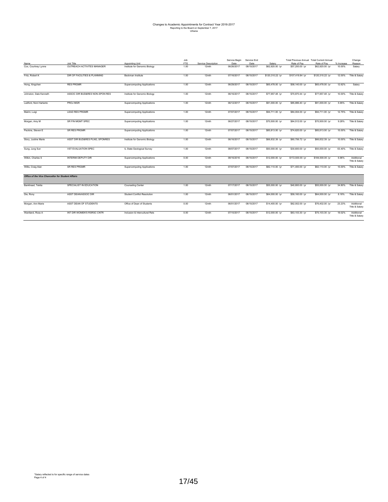## Changes to Academic Appointments for Contract Year 2016-2017 Reporting to the Board on September 7, 2017 Urbana

|                                                   |                                |                                    | Job  |                     | Service Begin | Service End |                  | Total Previous Annual Total Current Annual |                  |            | Change                       |
|---------------------------------------------------|--------------------------------|------------------------------------|------|---------------------|---------------|-------------|------------------|--------------------------------------------|------------------|------------|------------------------------|
| Name                                              | Job Title                      | Appointing Unit                    | FTE  | Service Description | Date          | Date        | Salary           | Rate of Pay                                | Rate of Pay      | % Increase | Reason                       |
| Cox, Courtney Lynne                               | OUTREACH ACTIVITES MANAGER     | Institute for Genomic Biology      | 1.00 | 12mth               | 06/26/2017    | 08/15/2017  | \$62.920.00 /vr  | \$57,200.00 /vr                            | \$62.920.00 /vr  | 10.00%     | Salary                       |
| Fritz, Robert K                                   | DIR OF FACILITIES & PLANNING   | Beckman Institute                  | 1.00 | 12mth               | 07/16/2017    | 08/15/2017  | \$120,310.22 /yr | \$107,419.84 /yr                           | \$120,310.22 /yr | 12.00%     | Title & Salary               |
| Hong, Xingchen                                    | <b>RES PRGMR</b>               | <b>Supercomputing Applications</b> | 1.00 | 12mth               | 06/29/2017    | 08/15/2017  | \$65,478.00 /yr  | \$58,140.00 /yr                            | \$65,478.00 /yr  | 12.62%     | Salary                       |
| Johnston, Dale Kenneth                            | ASSOC DIR BUD&RES NON-SPON RES | Institute for Genomic Biology      | 1.00 | 12mth               | 06/16/2017    | 08/15/2017  | \$77,957.48 /yr  | \$70,870.44 /yr                            | \$77,957.48 /yr  | 10.00%     | Title & Salary               |
| Ledford, Noni Hartanto                            | PROJ MGR                       | <b>Supercomputing Applications</b> | 1.00 | 12mth               | 06/12/2017    | 08/15/2017  | \$91,000.00 /yr  | \$85,886.40 /yr                            | \$91,000.00 /yr  | 5.95%      | Title & Salary               |
| Marini, Luigi                                     | <b>LEAD RES PRGMR</b>          | <b>Supercomputing Applications</b> | 1.00 | 12mth               | 07/07/2017    | 08/15/2017  | \$94,711.00 /yr  | \$84,004.00 /vr                            | \$94,711.00 /yr  | 12.75%     | Title & Salary               |
| Morgan, Amy M                                     | SR FIN MGMT SPEC               | <b>Supercomputing Applications</b> | 1.00 | 12mth               | 06/27/2017    | 08/15/2017  | \$70,500.00 /yr  | \$64,512.00 /yr                            | \$70,500.00 /yr  | 9.28%      | Title & Salary               |
| Peckins, Steven E                                 | SR RES PRGMR                   | <b>Supercomputing Applications</b> | 1.00 | 12mth               | 07/07/2017    | 08/15/2017  | \$85,813.00 /yr  | \$74,620.00 /vr                            | \$85,813.00 /yr  | 15.00%     | Title & Salary               |
| Story, Justine Marie                              | ASST DIR BUD&RES PLNG, SPONRES | Institute for Genomic Biology      | 1.00 | 12mth               | 06/16/2017    | 08/15/2017  | \$66,832.39 /yr  | \$60,756.72 /yr                            | \$66,832.39 /yr  | 10.00%     | Title & Salary               |
| Sung, Jung Sun                                    | <b>VST EVALUATION SPEC</b>     | IL State Geological Survey         | 1.00 | 12mth               | 08/07/2017    | 08/15/2017  | \$50,000.00 /yr  | \$30,600.00 /yr                            | \$50,000.00 /yr  | 63.40%     | Title & Salary               |
| Wilkin, Charles S                                 | INTERIM DEPUTY DIR             | <b>Supercomputing Applications</b> | 0.00 | 12mth               | 08/16/2016    | 08/15/2017  | \$12,000.00 /yr  | \$172,500.00 /yr                           | \$184,500.00 /yr | 6.96%      | Additional<br>Title & Salary |
| Willis, Craig Alan                                | <b>SR RES PRGMR</b>            | <b>Supercomputing Applications</b> | 1.00 | 12mth               | 07/07/2017    | 08/15/2017  | \$82.110.00 /vr  | \$71,400.00 /vr                            | \$82.110.00 /vr  | 15.00%     | Title & Salary               |
| Office of the Vice Chancellor for Student Affairs |                                |                                    |      |                     |               |             |                  |                                            |                  |            |                              |
| Bankhead, Tekita                                  | SPECIALIST IN EDUCATION        | <b>Counseling Center</b>           | 1.00 | 12mth               | 07/17/2017    | 08/15/2017  | \$55,000.00 /yr  | \$40,800.00 /yr                            | \$55,000.00 /yr  | 34.80%     | Title & Salary               |
| Die, Rony                                         | ASST DEAN/ASSOC DIR            | <b>Student Conflict Resolution</b> | 1.00 | 12mth               | 06/01/2017    | 08/15/2017  | \$64,000.00 /yr  | \$59,160.00 /yr                            | \$64,000.00 /vr  | 8.18%      | Title & Salary               |
| Morgan, Ann Marie                                 | ASST DEAN OF STUDENTS          | Office of Dean of Students         | 0.00 | 12mth               | 06/01/2017    | 08/15/2017  | \$14,400.00 /yr  | \$62,002.00 /yr                            | \$76,402.00 /yr  | 23.23%     | Additional<br>Title & Salary |
| Wantland, Ross A                                  | INT DIR WOMEN'S RSRSC CNTR     | Inclusion & Intercultural Rels     | 0.00 | 12mth               | 07/10/2017    | 08/15/2017  | \$12,000.00 /yr  | \$63.103.30 /vr                            | \$75,103.30 /yr  | 19.02%     | Additional<br>Title & Salary |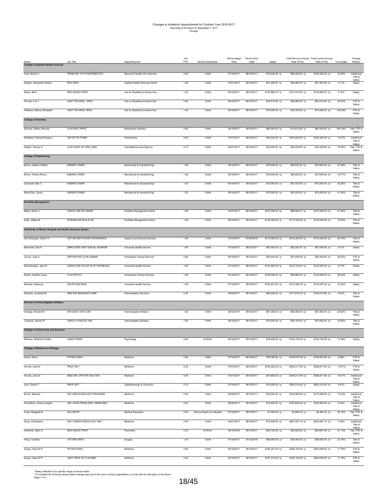|                                                            | Job Title                        | <b>Appointing Unit</b>              | Job<br>FTE | Service Description        | Service Begin<br>Date | Service End<br>Date | Salary           | Total Previous Annual Total Current Annual<br>Rate of Pay | Rate of Pay      | % Increase | Change<br>Reason                  |
|------------------------------------------------------------|----------------------------------|-------------------------------------|------------|----------------------------|-----------------------|---------------------|------------------|-----------------------------------------------------------|------------------|------------|-----------------------------------|
| <b>College of Applied Health Sciences</b>                  |                                  |                                     |            |                            |                       |                     |                  |                                                           |                  |            |                                   |
| Isola, Miriam L.                                           | PRGM DIR, HLTH INFORMATICS       | Biomed & Health Info Sciences       | 0.00       | 12mth                      | 07/16/2017            | 08/15/2017          | \$10,000.00 /yr  | \$99,450.00 /yr                                           | \$109,450.00 /yr | 10.06%     | Additional<br>Title &<br>Salary   |
| Kastelz, Alexandra Helene                                  | <b>RES SPEC</b>                  | Applied Health Sciences Admin       | 1.00       | 12mth                      | 07/01/2017            | 08/15/2017          | \$51,460.00 /yr  | \$48,960.00 /yr                                           | \$51,460.00 /yr  | 5.11%      | Salary                            |
| Marks, Beth                                                | RES ASSOC PROF                   | Inst on Disability & Human Dev      | 1.00       | 12mth                      | 05/16/2017            | 08/15/2017          | \$132,862.67 /yr | \$127,579.00 /yr                                          | \$132,862.67 /yr | 4.14%      | Salary                            |
| Peculis, Lori J                                            | ASST TECHNOL SPEC                | Inst on Disability & Human Dev      | 0.60       | 12mth                      | 06/16/2017            | 08/15/2017          | \$44,016.00 /yr  | \$36,680.00 /yr                                           | \$44,016.00 /yr  | 20.00%     | FTE &<br>Salary                   |
| Waldera, Kathryn Elizabeth                                 | ASST TECHNOL SPEC                | Inst on Disability & Human Dev      | 1.00       | 12mth                      | 06/16/2017            | 08/15/2017          | \$70,680.00 /yr  | \$35,340.00 /yr                                           | \$70,680.00 /yr  | 100.00%    | FTE &<br>Salary                   |
| <b>College of Dentistry</b>                                |                                  |                                     |            |                            |                       |                     |                  |                                                           |                  |            |                                   |
| Escobar, Bleidy Marcela                                    | <b>CLIN ASST PROF</b>            | Restorative Dentistry               | 0.60       | 12mth                      | 06/19/2017            | 08/15/2017          | \$60,000.00 /yr  | \$10,612.08 /yr                                           | \$60,000.00 /yr  | 465.39%    | Title, FTE &<br>Salary            |
| Karateew, Edward Dwayne                                    | DIR OF PG PGRM                   | Periodontics                        | 0.00       | 12mth                      | 07/01/2017            | 08/15/2017          | \$30,000.00 /yr  | \$163,000.00 /yr                                          | \$183,000.00 /yr | 12.27%     | Additional<br>Title &             |
| Wigdor, Harvey A                                           | CLIN CHIEF OF ORAL MED           | Oral Medicine and Diag Sci          | 0.15       | 12mth                      | 06/21/2017            | 08/15/2017          | \$20,000.00 /yr  | \$25,226.60 /yr                                           | \$45,226.60 /yr  | 79.28%     | Salary<br>Title, FTE &<br>Salary  |
| <b>College of Engineering</b>                              |                                  |                                     |            |                            |                       |                     |                  |                                                           |                  |            |                                   |
| Bohne, Nathan William                                      | <b>ENERGY ENGR</b>               | Mechanical & Industrial Engr        | 1.00       | 12mth                      | 05/19/2017            | 08/15/2017          | \$75,000.00 /yr  | \$58,832.50 /yr                                           | \$75,000.00 /yr  | 27.48%     | Title &<br>Salary                 |
| Brown, Patrick Rocco                                       | <b>ENERGY ENGR</b>               | Mechanical & Industrial Engr        | 1.00       | 12mth                      | 05/16/2017            | 08/15/2017          | \$75,000.00 /yr  | \$62,620.00 /yr                                           | \$75,000.00 /yr  | 19.77%     | Title &<br>Salary                 |
| Campbell, Ben C                                            | <b>ENERGY ENGR</b>               | Mechanical & Industrial Engr        | 1.00       | 12mth                      | 05/16/2017            | 08/15/2017          | \$75,000.00 /yr  | \$57,570.00 /yr                                           | \$75,000.00 /yr  | 30.28%     | Title &<br>Salary                 |
| Mora-Diaz, Oscar                                           | <b>ENERGY ENGR</b>               | Mechanical & Industrial Engr        | 1.00       | 12mth                      | 05/16/2017            | 08/15/2017          | \$75,000.00 /yr  | \$53,025.00 /yr                                           | \$75,000.00 /yr  | 41.44%     | Title &                           |
| <b>Facilities Management</b>                               |                                  |                                     |            |                            |                       |                     |                  |                                                           |                  |            | Salary                            |
| Baker, Karen J                                             | ASSOC DIR FAC MGMT               | <b>Facilities Management Admin</b>  | 1.00       | 12mth                      | 04/27/2017            | 08/15/2017          | \$107,000.00 /yr | \$88,062.41 /yr                                           | \$107,000.00 /yr | 21.50%     | Title &                           |
| Kulik, Jeffrey M.                                          | <b>INTERIM DIR BUS &amp; FIN</b> | <b>Facilities Management Admin</b>  | 1.00       | 12mth                      | 06/16/2017            | 08/15/2017          | \$130,000.00 /yr | \$117,300.00 /yr                                          | \$130,000.00 /yr | 10.83%     | Salary<br>Title &                 |
| University of Illinois Hospital and Health Sciences System |                                  |                                     |            |                            |                       |                     |                  |                                                           |                  |            | Salary                            |
| Abu-Ghazalah, Mazin H                                      | VST SR DIR PATIENT EXPERIENCE    | Support and General Services        | 1.00       | 12mth                      | 07/31/2017            | 07/30/2018          | \$174,000.00 /yr | \$122,400.00 /yr                                          | \$174,000.00 /yr | 42.16%     | Title &                           |
|                                                            |                                  |                                     |            |                            |                       |                     |                  |                                                           |                  |            | Salary                            |
| Biamonte, Geri K                                           | EMPLOYEE ASST SOCIAL WORKER      | University Health Service           | 1.00       | 12mth                      | 07/16/2017            | 08/15/2017          | \$67,000.00 /yr  | \$63,202.07 /yr                                           | \$67,000.00 /yr  | 6.01%      | Salary                            |
| Carver, Julie A                                            | ORTHOPTIST-CLIN ADMNR            | Ambulatory Clinical Services        | 0.80       | 12mth                      | 06/16/2017            | 08/15/2017          | \$55,445.65 /yr  | \$37,838.58 /yr                                           | \$55,445.65 /yr  | 46.53%     | FTE &<br>Salary                   |
| Eichenberger, Jean M                                       | ASSOC DIR OCCUP HLTH OUTREACH    | University Health Service           | 1.00       | 12mth                      | 07/16/2017            | 08/15/2017          | \$133,500.00 /yr | \$122,730.63 /yr                                          | \$133,500.00 /yr | 8.77%      | Salary                            |
| Eisele, Heather Laura                                      | <b>CLIN PSYCH</b>                | <b>Ambulatory Clinical Services</b> | 1.00       | 12mth                      | 07/16/2017            | 08/15/2017          | \$120,000.00 /yr | \$94,860.00 /yr                                           | \$120,000.00 /yr | 26.50%     | Salary                            |
| Mischak, Rebecca                                           | DIR PHYSN PRAC                   | University Health Service           | 1.00       | 12mth                      | 07/16/2017            | 08/15/2017          | \$144,637.00 /yr | \$131,488.35 /yr                                          | \$144,637.00 /yr | 10.00%     | Salary                            |
| Radosta, Jonathan M                                        | MED DIR MANAGED CARE             | <b>Administration Services</b>      | 0.30       | 12mth                      | 05/05/2017            | 08/15/2017          | \$60,000.00 /yr  | \$177,875.42 /yr                                          | \$195,012.80 /yr | 9.63%      | Title &<br>Salary                 |
| <b>Division of Intercollegiate Athletics</b>               |                                  |                                     |            |                            |                       |                     |                  |                                                           |                  |            |                                   |
| Grinage, Richard M                                         | SR ASSOC ATHL DIR                | Intercollegiate Athletics           | 1.00       | 12mth                      | 06/16/2017            | 08/15/2017          | \$81,300.00 /yr  | \$66,300.00 /yr                                           | \$81,300.00 /yr  | 22.62%     | Title &<br>Salary                 |
| Yopchick, Daniel W                                         | ASSOC ATHLETIC DIR               | Intercollegiate Athletics           | 1.00       | 12mth                      | 06/16/2017            | 08/15/2017          | \$75,000.00 /yr  | \$56,100.00 /yr                                           | \$75,000.00 /yr  | 33.69%     | Title &<br>Salary                 |
| <b>College of Liberal Arts and Sciences</b>                |                                  |                                     |            |                            |                       |                     |                  |                                                           |                  |            |                                   |
|                                                            |                                  | r sychology                         |            |                            |                       |                     |                  |                                                           |                  |            |                                   |
| <b>College of Medicine at Chicago</b>                      |                                  |                                     |            |                            |                       |                     |                  |                                                           |                  |            |                                   |
| Arami, Shiva                                               | PHYSN SURG                       | Medicine                            | 0.49       | 12mth                      | 07/16/2017            | 08/15/2017          | \$78,385.84 /yr  | \$145,575.26 /yr                                          | \$159,972.66 /yr | 9.89%      | FTE &<br>Salary                   |
| Arruda, Jose Al                                            | PROF (RT)                        | Medicine                            | 0.30       | 12mth                      | 07/01/2017            | 08/15/2017          | \$109,222.20 /yr | \$345,317.80 /yr                                          | \$396,817.80 /yr | 14.91%     | FTE &                             |
| Arruda, Jose Al                                            | MED DIR, OFFSITE DIALYSIS        | Medicine                            | 0.00       | 12mth                      | 07/01/2017            | 08/15/2017          | \$47,859.26 /yr  | \$345,317.80 /yr                                          | \$396,817.80 /yr | 14.91%     | Salary<br>Additional              |
| Azar, Dimitri T                                            | PROF (RT)                        | Ophthalmology & Visual Sci          | 0.15       | 12mth                      | 07/16/2017            | 08/15/2017          | \$75,000.00 /yr  | \$760,215.00 /yr                                          | \$835,215.00 /yr | 9.87%      | Title &<br>Salary<br>Salary       |
| Bonini, Marcelo                                            | DIR, REDOX BIOLOGY PROGRAM       | Medicine                            | 0.00       | 12mth                      | 04/28/2017            | 08/15/2017          | \$20,000.00 /yr  | \$150,089.00 /yr                                          | \$170,089.00 /yr | 13.33%     | Additional                        |
| Chowdhery, Rozina Asghar                                   | DIR, ACAD PRGM (APD, HEMA/ONC)   | Medicine                            | 0.00       | 12mth                      | 06/20/2017            | 08/15/2017          | \$10,000.00 /yr  | \$183,600.00 /yr                                          | \$193,600.00 /yr | 5.45%      | Title &<br>Salary<br>Additional   |
| Czart, Margaret B                                          | ADJ INSTR                        | Medical Education                   | 0.05       | Service Dates as Indicated | 07/16/2017            | 08/15/2017          | \$1,000.00 /yr   | \$3,983.32 /yr                                            | \$4,983.32 /yr   | 25.10%     | Title &<br>Salary<br>Title, FTE & |
| Gans, Christopher                                          | DIR, CARDIO-ONCOLOGY UNIT        | Medicine                            | 0.00       | 12mth                      | 04/21/2017            | 08/15/2017          | \$15,000.00 /yr  | \$207,007.12 /yr                                          | \$222,007.12 /yr | 7.25%      | Salary<br>Additional              |
| Herbener, Ellen S                                          | RES ASSOC PROF                   | Psychiatry                          | 0.25       | $9/12$ mth                 | 08/16/2016            | 05/15/2017          | \$20,105.29 /yr  | \$64,592.00 /yr                                           | \$84,697.29 /yr  | 31.13%     | Title &<br>Salary<br>Title, FTE & |
| Hong, Yuanfan                                              | VST RES SPEC                     | Surgery                             | 1.00       | 12mth                      | 07/16/2017            | 07/15/2018          | \$48,000.00 /yr  | \$39,094.50 /yr                                           | \$48,000.00 /yr  | 22.78%     | Salary<br>Title &                 |
|                                                            |                                  |                                     |            |                            |                       |                     |                  |                                                           |                  |            | Salary                            |
| Koppe, Sean W P                                            | PHYSN SURG                       | Medicine                            | 0.55       | 12mth                      | 05/16/2017            | 08/15/2017          | \$192,331.63 /yr | \$326,150.00 /yr                                          | \$364,606.63 /yr | 11.79%     | FTE &<br>Salary                   |
| Koppe, Sean W P                                            | ASST PROF OF CLIN MED            | Medicine                            | 0.45       | 12mth                      | 05/16/2017            | 08/15/2017          | \$157,275.00 /yr | \$326,150.00 /yr                                          | \$364,606.63 /yr | 11.79%     | FTE &<br>Salary                   |

\*Salary reflected is for specific range of service dates<br>\*\*A complete list of faculty whose salary change was part of the union contract negotiations is on file with the Secretary of the Board.<br>Page 1 of 3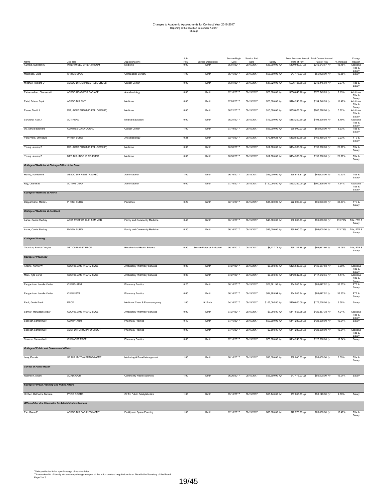| *Salary reflected is for specific range of service dates                                                                                  |
|-------------------------------------------------------------------------------------------------------------------------------------------|
| ** A complete list of faculty whose salary change was part of the union contract negotiations is on file with the Secretary of the Board. |
| Page 2 of 3                                                                                                                               |

|                                                           |                                       |                                    | Job         |                              | Service Begin      | Service End        |                           | Total Previous Annual Total Current Annual |                                 |                      | Change                          |
|-----------------------------------------------------------|---------------------------------------|------------------------------------|-------------|------------------------------|--------------------|--------------------|---------------------------|--------------------------------------------|---------------------------------|----------------------|---------------------------------|
| Name<br>Kukreja, Subhash C                                | Job Title<br>INTERIM SEC CHIEF, RHEUM | <b>Appointing Unit</b><br>Medicine | FTE<br>0.00 | Service Description<br>12mth | Date<br>05/01/2017 | Date<br>08/15/2017 | Salary<br>\$25,000.00 /yr | Rate of Pay<br>\$190,043.67 /yr            | Rate of Pay<br>\$215,043.67 /yr | % Increase<br>13.15% | Reason<br>Additional            |
| Marchese, Enza                                            | SR RES SPEC                           |                                    | 1.00        | 12mth                        | 05/16/2017         | 08/15/2017         | \$55,000.00 /yr           | \$47,476.00 /yr                            | \$55,000.00 /yr                 | 15.85%               | Title &<br>Salary               |
|                                                           |                                       | Orthopaedic Surgery                |             |                              |                    |                    |                           |                                            |                                 |                      | Salary                          |
| Minshall, Richard D                                       | ASSOC DIR, SHARED RESOURCES           | Cancer Center                      | 0.00        | 12mth                        | 06/01/2017         | 08/15/2017         | \$37,020.00 /yr           | \$236,425.60 /yr                           | \$243,445.60 /yr                | 2.97%                | Title &<br>Salary               |
| Paisansathan, Chanannait                                  | ASSOC HEAD FOR FAC AFF                | Anesthesiology                     | 0.00        | 12mth                        | 07/18/2017         | 08/15/2017         | \$25,000.00 /yr           | \$350,645.20 /yr                           | \$375,645.20 /yr                | 7.13%                | Additional<br>Title &           |
| Patel, Pritesh Rajni                                      | ASSOC DIR BMT                         | Medicine                           | 0.00        | 12mth                        | 07/05/2017         | 08/15/2017         | \$20,000.00 /yr           | \$174,240.99 /yr                           | \$194,240.99 /yr                | 11.48%               | Salary<br>Additional<br>Title & |
| Peace, David J                                            | DIR, ACAD PRGM (ID FELLOWSHIP)        | Medicine                           | 0.00        | 12mth                        | 06/21/2017         | 08/15/2017         | \$10,000.00 /yr           | \$255,026.00 /yr                           | \$265,026.00 /yr                | 3.92%                | Salary<br>Additional<br>Title & |
| Schwartz, Alan J                                          | ACT HEAD                              | <b>Medical Education</b>           | 0.00        | 12mth                        | 05/24/2017         | 08/15/2017         | \$15,000.00 /yr           | \$183,200.50 /yr                           | \$198,200.50 /yr                | 8.19%                | Salary<br>Additional<br>Title & |
| Uy, Almae Balandra                                        | CLIN RES DATA COORD                   | Cancer Center                      | 1.00        | 12mth                        | 07/19/2017         | 08/15/2017         | \$65,000.00 /yr           | \$60,000.00 /yr                            | \$65,000.00 /yr                 | 8.33%                | Salary<br>Title &<br>Salary     |
| Votta-Velis, Effrossyni                                   | PHYSN SURG                            | Anesthesiology                     | 0.21        | 12mth                        | 02/16/2017         | 08/15/2017         | \$76,180.23 /yr           | \$162,822.60 /yr                           | \$166,450.23 /yr                | 2.23%                | FTE &<br>Salary                 |
| Young, Jeremy D                                           | DIR, ACAD PRGM (ID FELLOWSHIP)        | Medicine                           | 0.00        | 12mth                        | 06/30/2017         | 08/15/2017         | \$17,500.00 /yr           | \$164,560.00 /yr                           | \$199,560.00 /yr                | 21.27%               | Title &<br>Salary               |
| Young, Jeremy D                                           | MED DIR, IDOC ID TELEMED              | Medicine                           | 0.00        | 12mth                        | 06/30/2017         | 08/15/2017         | \$17,500.00 /yr           | \$164,560.00 /yr                           | \$199,560.00 /yr                | 21.27%               | Title &<br>Salary               |
| College of Medicine at Chicago Office of the Dean         |                                       |                                    |             |                              |                    |                    |                           |                                            |                                 |                      |                                 |
| Helling, Kathleen E                                       | ASSOC DIR REGSTR & REC                | Administration                     | 1.00        | 12mth                        | 06/16/2017         | 08/15/2017         | \$65,000.00 /yr           | \$58,971.81 /yr                            | \$65,000.00 /yr                 | 10.22%               | Title &<br>Salary               |
| Ray, Charles E                                            | <b>ACTING DEAN</b>                    | Administration                     | 0.00        | 12mth                        | 07/16/2017         | 08/15/2017         | \$120,000.00 /yr          | \$492,252.00 /yr                           | \$500,305.00 /yr                | 1.64%                | Additional<br>Title &           |
| <b>College of Medicine at Peoria</b>                      |                                       |                                    |             |                              |                    |                    |                           |                                            |                                 |                      | Salary                          |
| Deppermann, Marte L                                       | PHYSN SURG                            | Pediatrics                         | 0.29        | 12mth                        | 02/16/2017         | 08/15/2017         | \$34,800.00 /yr           | \$72,000.00 /yr                            | \$96,000.00 /yr                 | 33.33%               | FTE &<br>Salary                 |
| <b>College of Medicine at Rockford</b>                    |                                       |                                    |             |                              |                    |                    |                           |                                            |                                 |                      |                                 |
| Asner, Carrie Sharkey                                     | ASST PROF OF CLIN FAM MED             | Family and Community Medicine      | 0.40        | 12mth                        | 06/16/2017         | 08/15/2017         | \$40,800.00 /yr           | \$30,600.00 /yr                            | \$96,000.00 /yr                 | 213.73%              | Title, FTE &<br>Salary          |
| Asner, Carrie Sharkey                                     | PHYSN SURG                            | Family and Community Medicine      | 0.30        | 12mth                        | 06/16/2017         | 08/15/2017         | \$45,000.00 /yr           | \$30,600.00 /yr                            | \$96,000.00 /yr                 | 213.73%              | Title, FTE &<br>Salary          |
| <b>College of Nursing</b>                                 |                                       |                                    |             |                              |                    |                    |                           |                                            |                                 |                      |                                 |
| Thornton, Patrick Douglas                                 | VST CLIN ASST PROF                    | Biobehavioral Health Science       | 0.50        | Service Dates as Indicated   | 06/16/2017         | 08/15/2017         | \$8,777.78 /yr            | \$58,184.88 /yr                            | \$66,962.66 /yr                 | 15.09%               | Title, FTE &<br>Salary          |
| <b>College of Pharmacy</b>                                |                                       |                                    |             |                              |                    |                    |                           |                                            |                                 |                      |                                 |
| Khamo, Nehrin W                                           | COORD, AMB PHARM SVCS                 | Ambulatory Pharmacy Services       | 0.00        | 12mth                        | 07/27/2017         | 08/15/2017         | \$7,000.00 /yr            | \$125,587.83 /yr                           | \$130,587.83 /yr                | 3.98%                | Additional                      |
| Mork, Kyle Corso                                          | COORD, AMB PHARM SVCS                 | Ambulatory Pharmacy Services       | 0.00        | 12mth                        | 07/27/2017         | 08/15/2017         | \$7,000.00 /yr            | \$112,642.65 /yr                           | \$117,642.65 /yr                | 4.44%                | Title &<br>Salary<br>Additional |
| Panganiban, Janelle Valdez                                | <b>CLIN PHARM</b>                     |                                    | 0.20        | 12mth                        | 06/16/2017         | 08/15/2017         |                           | \$64,985.94 /yr                            | \$86,647.92 /yr                 | 33.33%               | Title &<br>Salary<br>FTE &      |
|                                                           |                                       | Pharmacy Practice                  |             |                              |                    |                    | \$21,661.98 /yr           |                                            |                                 |                      | Salary                          |
| Panganiban, Janelle Valdez                                | <b>CLIN INSTR</b>                     | <b>Pharmacy Practice</b>           | 0.60        | 12mth                        | 06/16/2017         | 08/15/2017         | \$64,985.94 /yr           | \$64,985.94 /yr                            | \$86,647.92 /yr                 | 33.33%               | FTE &<br>Salary                 |
| Pauli, Guido Frank                                        | PROF                                  | Medicinal Chem & Pharmacognosy     | 1.00        | $9/12$ mth                   | 04/16/2017         | 08/15/2017         | \$165,000.00 /yr          | \$160,000.00 /yr                           | \$175,000.00 /yr                | 9.38%                | Salary                          |
| Sarwar, Monazzah Akbar                                    | COORD, AMB PHARM SVCS                 | Ambulatory Pharmacy Services       | 0.00        | 12mth                        | 07/27/2017         | 08/15/2017         | \$7,000.00 /yr            | \$117,857.38 /yr                           | \$122,857.38 /yr                | 4.24%                | Additional<br>Title &           |
| Spencer, Samantha H                                       | <b>CLIN PHARM</b>                     | Pharmacy Practice                  | 0.40        | 12mth                        | 07/16/2017         | 08/15/2017         | \$50,200.00 /yr           | \$114,240.00 /yr                           | \$128,000.00 /yr                | 12.04%               | Salary<br>Salary                |
| Spencer, Samantha H                                       | ASST DIR DRUG INFO GROUP              | Pharmacy Practice                  | 0.00        | 12mth                        | 07/16/2017         | 08/15/2017         | \$2,500.00 /yr            | \$114,240.00 /yr                           | \$128,000.00 /yr                | 12.04%               | Additional<br>Title &           |
| Spencer, Samantha H                                       | CLIN ASST PROF                        | Pharmacy Practice                  | 0.60        | 12mth                        | 07/16/2017         | 08/15/2017         | \$75,300.00 /yr           | \$114,240.00 /yr                           | \$128,000.00 /yr                | 12.04%               | Salary<br>Salary                |
|                                                           |                                       |                                    |             |                              |                    |                    |                           |                                            |                                 |                      |                                 |
| <b>College of Public and Government Affairs</b>           |                                       |                                    |             |                              |                    |                    |                           |                                            |                                 |                      |                                 |
| Levy, Pamela                                              | SR DIR MKTG & BRAND MGMT              | Marketing & Brand Management       | 1.00        | 12mth                        | 06/16/2017         | 08/15/2017         | \$96,000.00 /yr           | \$88,000.00 /yr                            | \$96,000.00 /yr                 | 9.09%                | Title &                         |
| <b>School of Public Health</b>                            |                                       |                                    |             |                              |                    |                    |                           |                                            |                                 |                      | Salary                          |
| Robinson, Stuart                                          | <b>ACAD ADVR</b>                      | Community Health Sciences          | 1.00        | 12mth                        | 06/26/2017         | 08/15/2017         | \$56,500.00 /yr           | \$47,476.00 /yr                            | \$56,500.00 /yr                 | 19.01%               | Salary                          |
| <b>College of Urban Planning and Public Affairs</b>       |                                       |                                    |             |                              |                    |                    |                           |                                            |                                 |                      |                                 |
| Holihen, Katherine Barbara                                | PROG COORD                            | Ctr for Public Safety&Justice      | 1.00        | 12mth                        | 05/16/2017         | 08/15/2017         | \$58,140.00 /yr           | \$57,000.00 /yr                            | \$58,140.00 /yr                 | 2.00%                | Salary                          |
| Office of the Vice Chancellor for Administrative Services |                                       |                                    |             |                              |                    |                    |                           |                                            |                                 |                      |                                 |
| Pac. Beata P                                              | ASSOC DIR FAC INFO MGMT               | Facility and Space Planning        | 1.00        | 12mth                        | 07/16/2017         | 08/15/2017         | \$85,000.00 /yr           | \$72,975.00 /yr                            | \$85,000.00 /yr                 | 16.48%               | Title &<br>Salary               |

19/45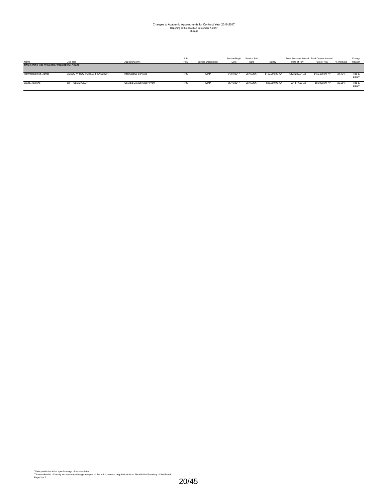## Changes to Academic Appointments for Contract Year 2016-2017 Reporting to the Board on September 7, 2017 Chicago

| Name                                                        | Job Title                      | Appointing Unit            | Job<br>FTE | Service Description | Service Begin<br>Date | Service End<br>Date | Salary           | Total Previous Annual Total Current Annual<br>Rate of Pay | Rate of Pav      | % Increase | Change<br>Reason  |
|-------------------------------------------------------------|--------------------------------|----------------------------|------------|---------------------|-----------------------|---------------------|------------------|-----------------------------------------------------------|------------------|------------|-------------------|
| <b>Office of the Vice Provost for International Affairs</b> |                                |                            |            |                     |                       |                     |                  |                                                           |                  |            |                   |
| Hammerschmidt, James                                        | ASSOC VPROV INATL AFF/EXEC DIR | International Services     | 1.00       | 12mth               | 04/01/2017            | 08/15/2017          | \$150,000.00 /vr | \$123,222,94 /vr                                          | \$150,000.00 /yr | 21.73%     | Title &<br>Salan  |
| Wang, Jianfeng                                              | DIR - US/ASIA EDP              | US/Asia Executive Dev Prom | 1.00       | 12mth               | 05/16/2017            | 08/15/2017          | \$95,000.00 /yr  | \$74,817.00 /yr                                           | \$95,000.00 /yr  | 26.98%     | Title &<br>Salary |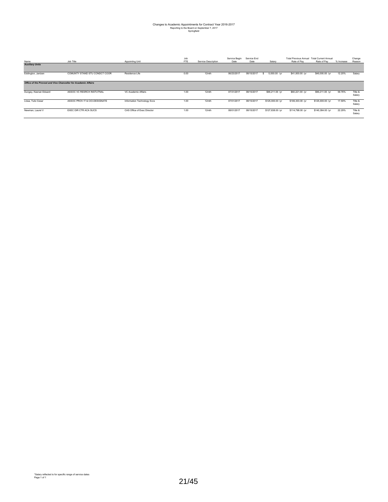## Changes to Academic Appointments for Contract Year 2016-2017 Reporting to the Board on September 7, 2017 Springfield

| Name                                                           | Job Title                     | Appointing Unit             | Job<br><b>FTE</b> | Service Description | Service Begin<br>Date | Service End<br>Date | Salary               | <b>Total Previous Annual</b><br>Rate of Pav | <b>Total Current Annual</b><br>Rate of Pay | % Increase | Change<br>Reason  |
|----------------------------------------------------------------|-------------------------------|-----------------------------|-------------------|---------------------|-----------------------|---------------------|----------------------|---------------------------------------------|--------------------------------------------|------------|-------------------|
| <b>Auxiliary Units</b>                                         |                               |                             |                   |                     |                       |                     |                      |                                             |                                            |            |                   |
| Eddington, Jantzen                                             | COMUNTY STAND STU CONDCT COOR | Residence Life              | 0.00              | 12mth               | 06/23/2017            | 08/15/2017          | 5,000.00 /yr<br>- 55 | \$41,000.00 /yr                             | \$46,000.00 /yr                            | 12.20%     | Salary            |
| Office of the Provost and Vice Chancellor for Academic Affairs |                               |                             |                   |                     |                       |                     |                      |                                             |                                            |            |                   |
| Dungey, Keenan Edward                                          | ASSOC VC RESRCH INSTUTNAL     | VC Academic Affairs         | 1.00              | 12mth               | 07/31/2017            | 08/15/2017          | \$96,211.00 /yr      | \$60,221.00 /yr                             | \$96,211.00 /yr                            | 59.76%     | Title &<br>Salary |
| Llosa, Tulio Cesar                                             | ASSOC PROV IT & CIO-DESIGNATE | Information Technology Svcs | 1.00              | 12mth               | 07/01/2017            | 08/15/2017          | \$125,000.00 /yr     | \$106,303.00 /yr                            | \$125,000.00 /yr                           | 17.59%     | Title &<br>Salary |
| Newman, Laurel V                                               | EXEC DIR CTR ACA SUCS         | CAS Office of Exec Director | 1.00              | 12mth               | 08/01/2017            | 08/15/2017          | \$127,838.00 /yr     | \$114,798.00 /yr                            | \$140,384.00 /yr                           | 22.29%     | Title &<br>Salary |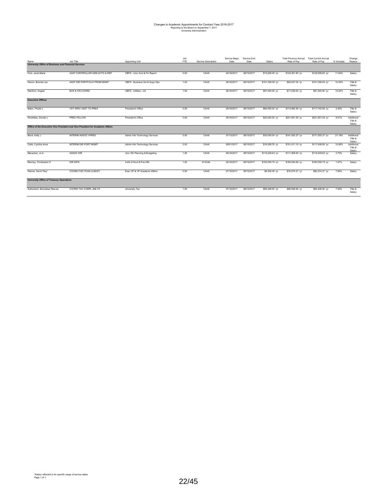### Changes to Academic Appointments for Contract Year 2016-2017 Reporting to the Board on September 7, 2017 University Administration

| Name                                                        | Job Title                                                                      | Appointing Unit                | Job<br><b>FTE</b> | Service Description | Service Begin<br>Date | Service End<br>Date | Salary           | <b>Total Previous Annual</b><br>Rate of Pav | <b>Total Current Annual</b><br>Rate of Pay | % Increase | Change<br>Reason                |
|-------------------------------------------------------------|--------------------------------------------------------------------------------|--------------------------------|-------------------|---------------------|-----------------------|---------------------|------------------|---------------------------------------------|--------------------------------------------|------------|---------------------------------|
| <b>University Office of Business and Financial Services</b> |                                                                                |                                |                   |                     |                       |                     |                  |                                             |                                            |            |                                 |
| Ford, Janet Marie                                           | ASST CONTROLLER ADM ACTG & REP                                                 | OBFS - Univ Acct & Fin Report  | 0.00              | 12mth               | 04/16/2017            | 08/15/2017          | \$15,638.00 /yr  | \$134,361.60 /yr                            | \$149,999.60 /yr                           | 11.64%     | Salary                          |
| Hixson, Brenda Lee                                          | ASST DIR PORTFOLIO PRGM MGMT                                                   | OBFS - Business Sol & Supp Ops | 1.00              | 12mth               | 06/16/2017            | 08/15/2017          | \$101,390.00 /yr | \$90,527.04 /yr                             | \$101,390.00 /yr                           | 12.00%     | Title &<br>Salary               |
| Stanford, Angela                                            | <b>BUS &amp; FIN COORD</b>                                                     | OBFS - Utilities - UA          | 1.00              | 12mth               | 06/19/2017            | 08/15/2017          | \$81,000.00 /yr  | \$71,039.00 /yr                             | \$81,000.00 /yr                            | 14.02%     | Title &<br>Salary               |
| <b>Executive Offices</b>                                    |                                                                                |                                |                   |                     |                       |                     |                  |                                             |                                            |            |                                 |
| Baker, Phyllis L                                            | VST SPEC ASST TO PRES                                                          | President's Office             | 0.50              | 12mth               | 05/16/2017            | 08/15/2017          | \$66,000.00 /yr  | \$114,982.56 /yr                            | \$117,742.56 /yr                           | 2.40%      | Title &<br>Salary               |
| Wuebbles, Donald J                                          | PRES FELLOW                                                                    | President's Office             | 0.00              | 12mth               | 06/16/2017            | 08/15/2017          | \$20,000.00 /yr  | \$201,851.00 /yr                            | \$221,851.00 /yr                           | 9.91%      | Additional<br>Title &<br>Salary |
|                                                             | Office of the Executive Vice President and Vice President for Academic Affairs |                                |                   |                     |                       |                     |                  |                                             |                                            |            |                                 |
| Block, Kelly J                                              | <b>INTERIM ASSOC VPRES</b>                                                     | Admin Info Technology Services | 0.00              | 12mth               | 07/13/2017            | 08/15/2017          | \$30,000.00 /yr  | \$141,593.37 /yr                            | \$171,593.37 /yr                           | 21.19%     | Additional<br>Title &<br>Salary |
| Cobb, Cynthia Anne                                          | <b>INTERIM DIR PORT MGMT</b>                                                   | Admin Info Technology Services | 0.00              | 12mth               | 08/01/2017            | 08/15/2017          | \$16,058.76 /yr  | \$101,411.19 /yr                            | \$117,499.95 /yr                           | 15.86%     | Additional<br>Title &<br>Salary |
| Menacher, Jo A                                              | ASSOC DIR                                                                      | Univ Ofc Planning & Budgeting  | 1.00              | 12mth               | 06/16/2017            | 08/15/2017          | \$116,049.63 /yr | \$111,909.00 /yr                            | \$116,049.63 /yr                           | 3.70%      | Salary                          |
| Mooney, Christopher Z                                       | <b>DIR IGPA</b>                                                                | Instit of Govt & Pub Affs      | 1.00              | $9/12$ mth          | 02/16/2017            | 08/15/2017          | \$153,055.75 /yr | \$180,054.66 /yr                            | \$183,055.75 /yr                           | 1.67%      | Salary                          |
| Warner, Kevin Paul                                          | COORD FISC PLNG & BDGT                                                         | Exec VP & VP Academic Affairs  | 0.00              | 12mth               | 07/16/2017            | 08/15/2017          | \$6,000.00 /yr   | \$76,574.37 /yr                             | \$82.574.37 /vr                            | 7.84%      | Salary                          |
| <b>University Office of Treasury Operations</b>             |                                                                                |                                |                   |                     |                       |                     |                  |                                             |                                            |            |                                 |
| Sutherland, Brendalee Reeves                                | COORD TAX COMPL ANLYS                                                          | University Tax                 | 1.00              | 12mth               | 07/16/2017            | 08/15/2017          | \$94,448.00 /vr  | \$88,269.59 /yr                             | \$94,448.00 /vr                            | 7.00%      | Title &<br>Salary               |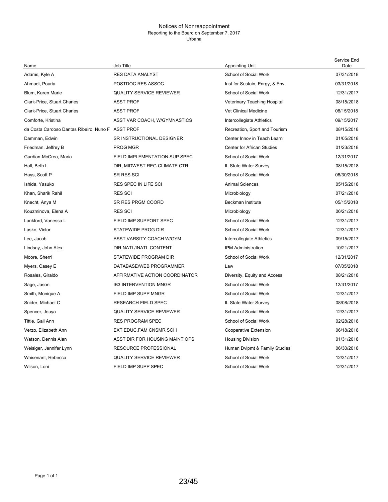#### Notices of Nonreappointment Reporting to the Board on September 7, 2017 Urbana

| Name                                              | Job Title                       | <b>Appointing Unit</b>         | Service End<br>Date |
|---------------------------------------------------|---------------------------------|--------------------------------|---------------------|
| Adams, Kyle A                                     | <b>RES DATA ANALYST</b>         | <b>School of Social Work</b>   | 07/31/2018          |
| Ahmadi, Pouria                                    | POSTDOC RES ASSOC               | Inst for Sustain, Enrgy, & Env | 03/31/2018          |
| Blum, Karen Marie                                 | <b>QUALITY SERVICE REVIEWER</b> | School of Social Work          | 12/31/2017          |
| <b>Clark-Price, Stuart Charles</b>                | <b>ASST PROF</b>                | Veterinary Teaching Hospital   | 08/15/2018          |
| <b>Clark-Price, Stuart Charles</b>                | <b>ASST PROF</b>                | Vet Clinical Medicine          | 08/15/2018          |
| Comforte, Kristina                                | ASST VAR COACH, W/GYMNASTICS    | Intercollegiate Athletics      | 09/15/2017          |
| da Costa Cardoso Dantas Ribeiro, Nuno F ASST PROF |                                 | Recreation, Sport and Tourism  | 08/15/2018          |
| Damman, Edwin                                     | SR INSTRUCTIONAL DESIGNER       | Center Innov in Teach Learn    | 01/05/2018          |
| Friedman, Jeffrey B                               | PROG MGR                        | Center for African Studies     | 01/23/2018          |
| Gurdian-McCrea, Maria                             | FIELD IMPLEMENTATION SUP SPEC   | <b>School of Social Work</b>   | 12/31/2017          |
| Hall, Beth L                                      | DIR, MIDWEST REG CLIMATE CTR    | IL State Water Survey          | 08/15/2018          |
| Hays, Scott P                                     | SR RES SCI                      | School of Social Work          | 06/30/2018          |
| Ishida, Yasuko                                    | <b>RES SPEC IN LIFE SCI</b>     | <b>Animal Sciences</b>         | 05/15/2018          |
| Khan, Sharik Rahil                                | <b>RES SCI</b>                  | Microbiology                   | 07/21/2018          |
| Knecht, Anya M                                    | <b>SR RES PRGM COORD</b>        | <b>Beckman Institute</b>       | 05/15/2018          |
| Kouzminova, Elena A                               | <b>RES SCI</b>                  | Microbiology                   | 06/21/2018          |
| Lankford, Vanessa L                               | FIELD IMP SUPPORT SPEC          | School of Social Work          | 12/31/2017          |
| Lasko, Victor                                     | <b>STATEWIDE PROG DIR</b>       | School of Social Work          | 12/31/2017          |
| Lee, Jacob                                        | ASST VARSITY COACH W/GYM        | Intercollegiate Athletics      | 09/15/2017          |
| Lindsay, John Alex                                | DIR NATL/INATL CONTENT          | <b>IPM Administration</b>      | 10/21/2017          |
| Moore, Sherri                                     | STATEWIDE PROGRAM DIR           | School of Social Work          | 12/31/2017          |
| Myers, Casey E                                    | DATABASE/WEB PROGRAMMER         | Law                            | 07/05/2018          |
| Rosales, Giraldo                                  | AFFIRMATIVE ACTION COORDINATOR  | Diversity, Equity and Access   | 08/21/2018          |
| Sage, Jason                                       | <b>IB3 INTERVENTION MNGR</b>    | School of Social Work          | 12/31/2017          |
| Smith, Monique A                                  | FIELD IMP SUPP MNGR             | School of Social Work          | 12/31/2017          |
| Snider, Michael C                                 | <b>RESEARCH FIELD SPEC</b>      | IL State Water Survey          | 08/08/2018          |
| Spencer, Jouya                                    | <b>QUALITY SERVICE REVIEWER</b> | School of Social Work          | 12/31/2017          |
| Tittle, Gail Ann                                  | <b>RES PROGRAM SPEC</b>         | <b>School of Social Work</b>   | 02/28/2018          |
| Verzo, Elizabeth Ann                              | EXT EDUC, FAM CNSMR SCI I       | Cooperative Extension          | 06/18/2018          |
| Watson, Dennis Alan                               | ASST DIR FOR HOUSING MAINT OPS  | <b>Housing Division</b>        | 01/31/2018          |
| Weisiger, Jennifer Lynn                           | <b>RESOURCE PROFESSIONAL</b>    | Human Dvlpmt & Family Studies  | 06/30/2018          |
| Whisenant, Rebecca                                | <b>QUALITY SERVICE REVIEWER</b> | <b>School of Social Work</b>   | 12/31/2017          |
| Wilson, Loni                                      | FIELD IMP SUPP SPEC             | <b>School of Social Work</b>   | 12/31/2017          |
|                                                   |                                 |                                |                     |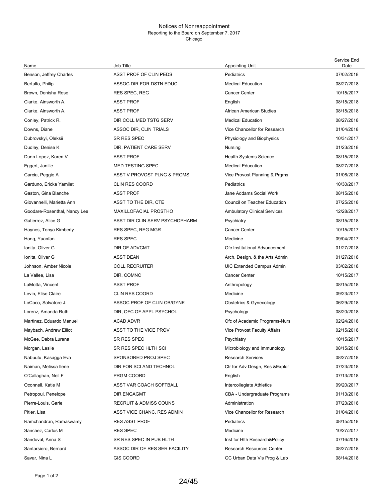#### Notices of Nonreappointment Reporting to the Board on September 7, 2017 Chicago

| Name                         | Job Title                         | <b>Appointing Unit</b>              | Service End<br>Date |
|------------------------------|-----------------------------------|-------------------------------------|---------------------|
| Benson, Jeffrey Charles      | ASST PROF OF CLIN PEDS            | Pediatrics                          | 07/02/2018          |
| Bertulfo, Philip             | ASSOC DIR FOR DSTN EDUC           | <b>Medical Education</b>            | 08/27/2018          |
| Brown, Denisha Rose          | RES SPEC, REG                     | <b>Cancer Center</b>                | 10/15/2017          |
| Clarke, Ainsworth A.         | <b>ASST PROF</b>                  | English                             | 08/15/2018          |
| Clarke, Ainsworth A.         | <b>ASST PROF</b>                  | African American Studies            | 08/15/2018          |
| Conley, Patrick R.           | DIR COLL MED TSTG SERV            | <b>Medical Education</b>            | 08/27/2018          |
| Downs, Diane                 | ASSOC DIR, CLIN TRIALS            | Vice Chancellor for Research        | 01/04/2018          |
| Dubrovskyi, Oleksii          | SR RES SPEC                       | Physiology and Biophysics           | 10/31/2017          |
| Dudley, Denise K             | DIR, PATIENT CARE SERV            | Nursing                             | 01/23/2018          |
| Dunn Lopez, Karen V          | <b>ASST PROF</b>                  | <b>Health Systems Science</b>       | 08/15/2018          |
| Eggert, Janille              | <b>MED TESTING SPEC</b>           | <b>Medical Education</b>            | 08/27/2018          |
| Garcia, Peggie A             | ASST V PROVOST PLNG & PRGMS       | Vice Provost Planning & Prgms       | 01/06/2018          |
| Garduno, Ericka Yamilet      | <b>CLIN RES COORD</b>             | Pediatrics                          | 10/30/2017          |
| Gaston, Gina Blanche         | <b>ASST PROF</b>                  | Jane Addams Social Work             | 08/15/2018          |
| Giovannelli, Marietta Ann    | ASST TO THE DIR, CTE              | Council on Teacher Education        | 07/25/2018          |
| Goodare-Rosenthal, Nancy Lee | <b>MAXILLOFACIAL PROSTHO</b>      | <b>Ambulatory Clinical Services</b> | 12/28/2017          |
| Gutierrez, Alice G           | ASST DIR CLIN SERV PSYCHOPHARM    | Psychiatry                          | 08/15/2018          |
| Haynes, Tonya Kimberly       | <b>RES SPEC, REG MGR</b>          | <b>Cancer Center</b>                | 10/15/2017          |
| Hong, Yuanfan                | <b>RES SPEC</b>                   | Medicine                            | 09/04/2017          |
| Ionita, Oliver G             | DIR OF ADVCMT                     | Ofc Institutional Advancement       | 01/27/2018          |
| Ionita, Oliver G             | <b>ASST DEAN</b>                  | Arch, Design, & the Arts Admin      | 01/27/2018          |
| Johnson, Amber Nicole        | <b>COLL RECRUITER</b>             | <b>UIC Extended Campus Admin</b>    | 03/02/2018          |
| La Vallee, Lisa              | DIR, COMNC                        | <b>Cancer Center</b>                | 10/15/2017          |
| LaMotta, Vincent             | <b>ASST PROF</b>                  | Anthropology                        | 08/15/2018          |
| Levin, Elise Claire          | <b>CLIN RES COORD</b>             | Medicine                            | 09/23/2017          |
| LoCoco, Salvatore J.         | ASSOC PROF OF CLIN OB/GYNE        | Obstetrics & Gynecology             | 06/29/2018          |
| Lorenz, Amanda Ruth          | DIR, OFC OF APPL PSYCHOL          | Psychology                          | 08/20/2018          |
| Martinez, Eduardo Manuel     | <b>ACAD ADVR</b>                  | Ofc of Academic Programs-Nurs       | 02/24/2018          |
| Maybach, Andrew Elliot       | ASST TO THE VICE PROV             | <b>Vice Provost Faculty Affairs</b> | 02/15/2018          |
| McGee, Debra Lurena          | SR RES SPEC                       | Psychiatry                          | 10/15/2017          |
| Morgan, Leslie               | SR RES SPEC HLTH SCI              | Microbiology and Immunology         | 08/15/2018          |
| Nabuufu, Kasagga Eva         | SPONSORED PROJ SPEC               | <b>Research Services</b>            | 08/27/2018          |
| Naiman, Melissa Ilene        | DIR FOR SCI AND TECHNOL           | Ctr for Adv Desgn, Res & Explor     | 07/23/2018          |
| O'Callaghan, Neil F          | PRGM COORD                        | English                             | 07/13/2018          |
| Oconnell, Katie M            | ASST VAR COACH SOFTBALL           | Intercollegiate Athletics           | 09/20/2017          |
| Petropoul, Penelope          | <b>DIR ENGAGMT</b>                | CBA - Undergraduate Programs        | 01/13/2018          |
| Pierre-Louis, Garie          | <b>RECRUIT &amp; ADMISS COUNS</b> | Administration                      | 07/23/2018          |
| Pitler, Lisa                 | ASST VICE CHANC, RES ADMIN        | Vice Chancellor for Research        | 01/04/2018          |
| Ramchandran, Ramaswamy       | <b>RES ASST PROF</b>              | Pediatrics                          | 08/15/2018          |
| Sanchez, Carlos M            | <b>RES SPEC</b>                   | Medicine                            | 10/27/2017          |
| Sandoval, Anna S             | SR RES SPEC IN PUB HLTH           | Inst for Hith Research&Policy       | 07/16/2018          |
| Santarsiero, Bernard         | ASSOC DIR OF RES SER FACILITY     | <b>Research Resources Center</b>    | 08/27/2018          |
| Savar, Nina L                | <b>GIS COORD</b>                  | GC Urban Data Vis Prog & Lab        | 08/14/2018          |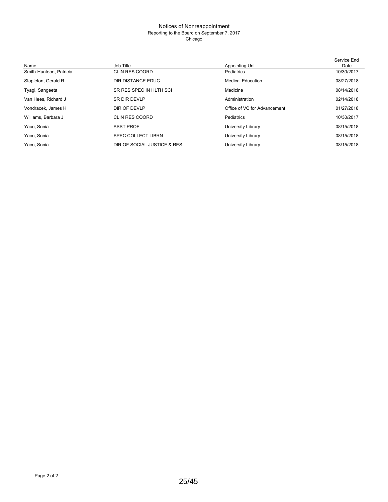#### Notices of Nonreappointment Reporting to the Board on September 7, 2017 Chicago

|                         |                             |                              | Service End |
|-------------------------|-----------------------------|------------------------------|-------------|
| Name                    | Job Title                   | Appointing Unit              | Date        |
| Smith-Huntoon, Patricia | <b>CLIN RES COORD</b>       | Pediatrics                   | 10/30/2017  |
| Stapleton, Gerald R     | DIR DISTANCE EDUC           | <b>Medical Education</b>     | 08/27/2018  |
| Tyagi, Sangeeta         | SR RES SPEC IN HLTH SCI     | Medicine                     | 08/14/2018  |
| Van Hees, Richard J     | <b>SR DIR DEVLP</b>         | Administration               | 02/14/2018  |
| Vondracek, James H      | DIR OF DEVLP                | Office of VC for Advancement | 01/27/2018  |
| Williams, Barbara J     | CLIN RES COORD              | Pediatrics                   | 10/30/2017  |
| Yaco, Sonia             | <b>ASST PROF</b>            | University Library           | 08/15/2018  |
| Yaco, Sonia             | <b>SPEC COLLECT LIBRN</b>   | University Library           | 08/15/2018  |
| Yaco, Sonia             | DIR OF SOCIAL JUSTICE & RES | University Library           | 08/15/2018  |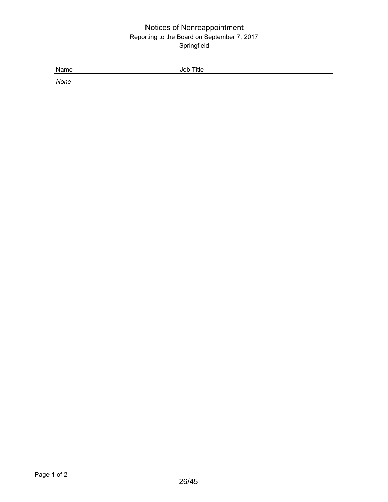### Notices of Nonreappointment Reporting to the Board on September 7, 2017 Springfield

Name Job Title

*None*

26/45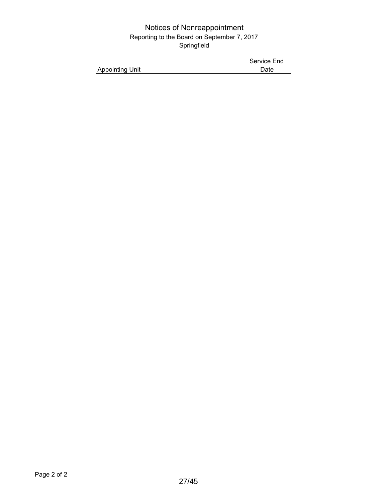### Notices of Nonreappointment Reporting to the Board on September 7, 2017 Springfield

|                        | Service End |
|------------------------|-------------|
| <b>Appointing Unit</b> | Date        |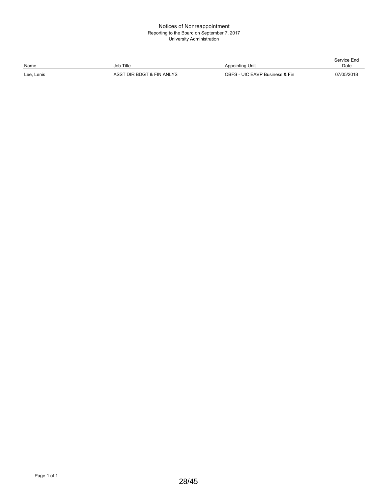#### Notices of Nonreappointment Reporting to the Board on September 7, 2017 University Administration

| Name       | Job Title                 | Appointing Unit                | Service End<br>Date |
|------------|---------------------------|--------------------------------|---------------------|
| Lee, Lenis | ASST DIR BDGT & FIN ANLYS | OBFS - UIC EAVP Business & Fin | 07/05/2018          |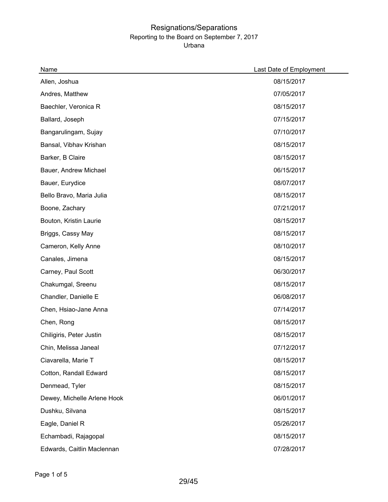| Name                        | Last Date of Employment |
|-----------------------------|-------------------------|
| Allen, Joshua               | 08/15/2017              |
| Andres, Matthew             | 07/05/2017              |
| Baechler, Veronica R        | 08/15/2017              |
| Ballard, Joseph             | 07/15/2017              |
| Bangarulingam, Sujay        | 07/10/2017              |
| Bansal, Vibhav Krishan      | 08/15/2017              |
| Barker, B Claire            | 08/15/2017              |
| Bauer, Andrew Michael       | 06/15/2017              |
| Bauer, Eurydice             | 08/07/2017              |
| Bello Bravo, Maria Julia    | 08/15/2017              |
| Boone, Zachary              | 07/21/2017              |
| Bouton, Kristin Laurie      | 08/15/2017              |
| Briggs, Cassy May           | 08/15/2017              |
| Cameron, Kelly Anne         | 08/10/2017              |
| Canales, Jimena             | 08/15/2017              |
| Carney, Paul Scott          | 06/30/2017              |
| Chakumgal, Sreenu           | 08/15/2017              |
| Chandler, Danielle E        | 06/08/2017              |
| Chen, Hsiao-Jane Anna       | 07/14/2017              |
| Chen, Rong                  | 08/15/2017              |
| Chiligiris, Peter Justin    | 08/15/2017              |
| Chin, Melissa Janeal        | 07/12/2017              |
| Ciavarella, Marie T         | 08/15/2017              |
| Cotton, Randall Edward      | 08/15/2017              |
| Denmead, Tyler              | 08/15/2017              |
| Dewey, Michelle Arlene Hook | 06/01/2017              |
| Dushku, Silvana             | 08/15/2017              |
| Eagle, Daniel R             | 05/26/2017              |
| Echambadi, Rajagopal        | 08/15/2017              |
| Edwards, Caitlin Maclennan  | 07/28/2017              |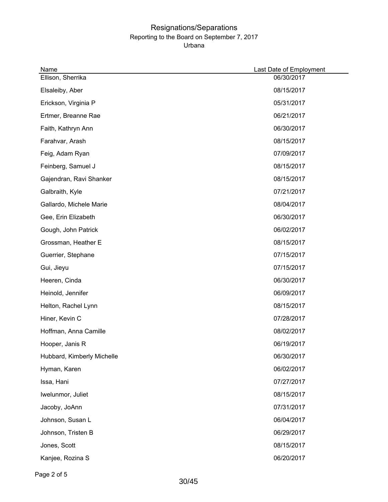| Name                       | Last Date of Employment |
|----------------------------|-------------------------|
| Ellison, Sherrika          | 06/30/2017              |
| Elsaleiby, Aber            | 08/15/2017              |
| Erickson, Virginia P       | 05/31/2017              |
| Ertmer, Breanne Rae        | 06/21/2017              |
| Faith, Kathryn Ann         | 06/30/2017              |
| Farahvar, Arash            | 08/15/2017              |
| Feig, Adam Ryan            | 07/09/2017              |
| Feinberg, Samuel J         | 08/15/2017              |
| Gajendran, Ravi Shanker    | 08/15/2017              |
| Galbraith, Kyle            | 07/21/2017              |
| Gallardo, Michele Marie    | 08/04/2017              |
| Gee, Erin Elizabeth        | 06/30/2017              |
| Gough, John Patrick        | 06/02/2017              |
| Grossman, Heather E        | 08/15/2017              |
| Guerrier, Stephane         | 07/15/2017              |
| Gui, Jieyu                 | 07/15/2017              |
| Heeren, Cinda              | 06/30/2017              |
| Heinold, Jennifer          | 06/09/2017              |
| Helton, Rachel Lynn        | 08/15/2017              |
| Hiner, Kevin C             | 07/28/2017              |
| Hoffman, Anna Camille      | 08/02/2017              |
| Hooper, Janis R            | 06/19/2017              |
| Hubbard, Kimberly Michelle | 06/30/2017              |
| Hyman, Karen               | 06/02/2017              |
| Issa, Hani                 | 07/27/2017              |
| Iwelunmor, Juliet          | 08/15/2017              |
| Jacoby, JoAnn              | 07/31/2017              |
| Johnson, Susan L           | 06/04/2017              |
| Johnson, Tristen B         | 06/29/2017              |
| Jones, Scott               | 08/15/2017              |
| Kanjee, Rozina S           | 06/20/2017              |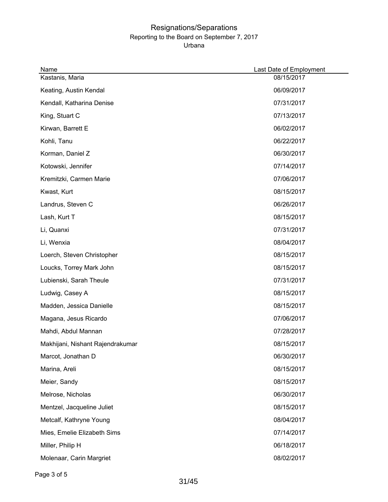| Name                             | Last Date of Employment |
|----------------------------------|-------------------------|
| Kastanis, Maria                  | 08/15/2017              |
| Keating, Austin Kendal           | 06/09/2017              |
| Kendall, Katharina Denise        | 07/31/2017              |
| King, Stuart C                   | 07/13/2017              |
| Kirwan, Barrett E                | 06/02/2017              |
| Kohli, Tanu                      | 06/22/2017              |
| Korman, Daniel Z                 | 06/30/2017              |
| Kotowski, Jennifer               | 07/14/2017              |
| Kremitzki, Carmen Marie          | 07/06/2017              |
| Kwast, Kurt                      | 08/15/2017              |
| Landrus, Steven C                | 06/26/2017              |
| Lash, Kurt T                     | 08/15/2017              |
| Li, Quanxi                       | 07/31/2017              |
| Li, Wenxia                       | 08/04/2017              |
| Loerch, Steven Christopher       | 08/15/2017              |
| Loucks, Torrey Mark John         | 08/15/2017              |
| Lubienski, Sarah Theule          | 07/31/2017              |
| Ludwig, Casey A                  | 08/15/2017              |
| Madden, Jessica Danielle         | 08/15/2017              |
| Magana, Jesus Ricardo            | 07/06/2017              |
| Mahdi, Abdul Mannan              | 07/28/2017              |
| Makhijani, Nishant Rajendrakumar | 08/15/2017              |
| Marcot, Jonathan D               | 06/30/2017              |
| Marina, Areli                    | 08/15/2017              |
| Meier, Sandy                     | 08/15/2017              |
| Melrose, Nicholas                | 06/30/2017              |
| Mentzel, Jacqueline Juliet       | 08/15/2017              |
| Metcalf, Kathryne Young          | 08/04/2017              |
| Mies, Emelie Elizabeth Sims      | 07/14/2017              |
| Miller, Philip H                 | 06/18/2017              |
| Molenaar, Carin Margriet         | 08/02/2017              |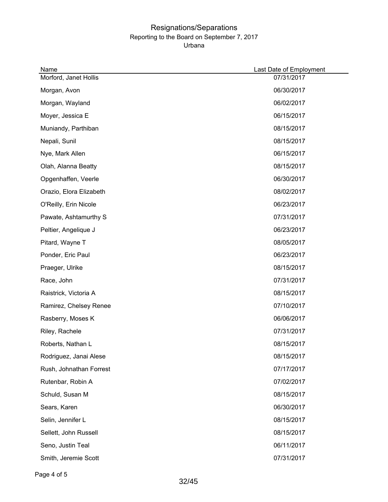| Name                    | Last Date of Employment |
|-------------------------|-------------------------|
| Morford, Janet Hollis   | 07/31/2017              |
| Morgan, Avon            | 06/30/2017              |
| Morgan, Wayland         | 06/02/2017              |
| Moyer, Jessica E        | 06/15/2017              |
| Muniandy, Parthiban     | 08/15/2017              |
| Nepali, Sunil           | 08/15/2017              |
| Nye, Mark Allen         | 06/15/2017              |
| Olah, Alanna Beatty     | 08/15/2017              |
| Opgenhaffen, Veerle     | 06/30/2017              |
| Orazio, Elora Elizabeth | 08/02/2017              |
| O'Reilly, Erin Nicole   | 06/23/2017              |
| Pawate, Ashtamurthy S   | 07/31/2017              |
| Peltier, Angelique J    | 06/23/2017              |
| Pitard, Wayne T         | 08/05/2017              |
| Ponder, Eric Paul       | 06/23/2017              |
| Praeger, Ulrike         | 08/15/2017              |
| Race, John              | 07/31/2017              |
| Raistrick, Victoria A   | 08/15/2017              |
| Ramirez, Chelsey Renee  | 07/10/2017              |
| Rasberry, Moses K       | 06/06/2017              |
| Riley, Rachele          | 07/31/2017              |
| Roberts, Nathan L       | 08/15/2017              |
| Rodriguez, Janai Alese  | 08/15/2017              |
| Rush, Johnathan Forrest | 07/17/2017              |
| Rutenbar, Robin A       | 07/02/2017              |
| Schuld, Susan M         | 08/15/2017              |
| Sears, Karen            | 06/30/2017              |
| Selin, Jennifer L       | 08/15/2017              |
| Sellett, John Russell   | 08/15/2017              |
| Seno, Justin Teal       | 06/11/2017              |
| Smith, Jeremie Scott    | 07/31/2017              |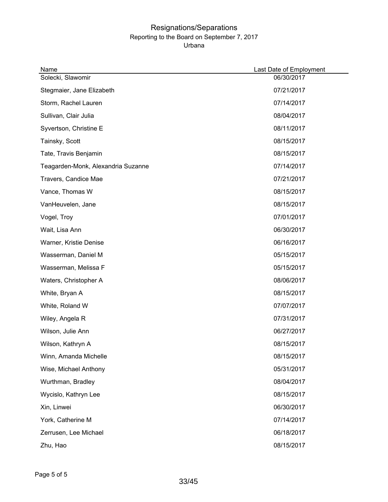| Name                               | Last Date of Employment |  |
|------------------------------------|-------------------------|--|
| Solecki, Slawomir                  | 06/30/2017              |  |
| Stegmaier, Jane Elizabeth          | 07/21/2017              |  |
| Storm, Rachel Lauren               | 07/14/2017              |  |
| Sullivan, Clair Julia              | 08/04/2017              |  |
| Syvertson, Christine E             | 08/11/2017              |  |
| Tainsky, Scott                     | 08/15/2017              |  |
| Tate, Travis Benjamin              | 08/15/2017              |  |
| Teagarden-Monk, Alexandria Suzanne | 07/14/2017              |  |
| Travers, Candice Mae               | 07/21/2017              |  |
| Vance, Thomas W                    | 08/15/2017              |  |
| VanHeuvelen, Jane                  | 08/15/2017              |  |
| Vogel, Troy                        | 07/01/2017              |  |
| Wait, Lisa Ann                     | 06/30/2017              |  |
| Warner, Kristie Denise             | 06/16/2017              |  |
| Wasserman, Daniel M                | 05/15/2017              |  |
| Wasserman, Melissa F               | 05/15/2017              |  |
| Waters, Christopher A              | 08/06/2017              |  |
| White, Bryan A                     | 08/15/2017              |  |
| White, Roland W                    | 07/07/2017              |  |
| Wiley, Angela R                    | 07/31/2017              |  |
| Wilson, Julie Ann                  | 06/27/2017              |  |
| Wilson, Kathryn A                  | 08/15/2017              |  |
| Winn, Amanda Michelle              | 08/15/2017              |  |
| Wise, Michael Anthony              | 05/31/2017              |  |
| Wurthman, Bradley                  | 08/04/2017              |  |
| Wycislo, Kathryn Lee               | 08/15/2017              |  |
| Xin, Linwei                        | 06/30/2017              |  |
| York, Catherine M                  | 07/14/2017              |  |
| Zerrusen, Lee Michael              | 06/18/2017              |  |
| Zhu, Hao                           | 08/15/2017              |  |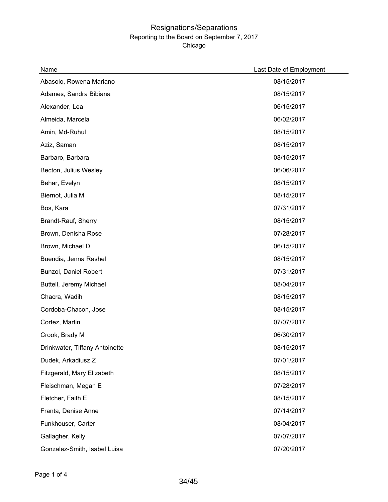| Name                           | Last Date of Employment |
|--------------------------------|-------------------------|
| Abasolo, Rowena Mariano        | 08/15/2017              |
| Adames, Sandra Bibiana         | 08/15/2017              |
| Alexander, Lea                 | 06/15/2017              |
| Almeida, Marcela               | 06/02/2017              |
| Amin, Md-Ruhul                 | 08/15/2017              |
| Aziz, Saman                    | 08/15/2017              |
| Barbaro, Barbara               | 08/15/2017              |
| Becton, Julius Wesley          | 06/06/2017              |
| Behar, Evelyn                  | 08/15/2017              |
| Biernot, Julia M               | 08/15/2017              |
| Bos, Kara                      | 07/31/2017              |
| Brandt-Rauf, Sherry            | 08/15/2017              |
| Brown, Denisha Rose            | 07/28/2017              |
| Brown, Michael D               | 06/15/2017              |
| Buendia, Jenna Rashel          | 08/15/2017              |
| Bunzol, Daniel Robert          | 07/31/2017              |
| Buttell, Jeremy Michael        | 08/04/2017              |
| Chacra, Wadih                  | 08/15/2017              |
| Cordoba-Chacon, Jose           | 08/15/2017              |
| Cortez, Martin                 | 07/07/2017              |
| Crook, Brady M                 | 06/30/2017              |
| Drinkwater, Tiffany Antoinette | 08/15/2017              |
| Dudek, Arkadiusz Z             | 07/01/2017              |
| Fitzgerald, Mary Elizabeth     | 08/15/2017              |
| Fleischman, Megan E            | 07/28/2017              |
| Fletcher, Faith E              | 08/15/2017              |
| Franta, Denise Anne            | 07/14/2017              |
| Funkhouser, Carter             | 08/04/2017              |
| Gallagher, Kelly               | 07/07/2017              |
| Gonzalez-Smith, Isabel Luisa   | 07/20/2017              |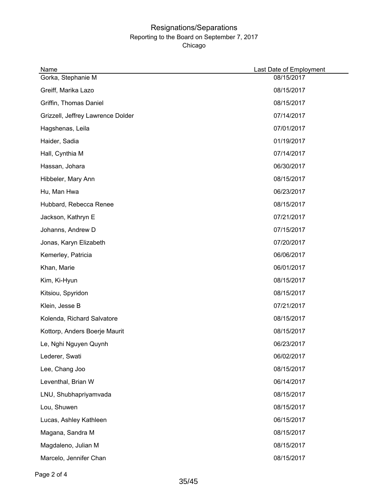| Name                              | Last Date of Employment |
|-----------------------------------|-------------------------|
| Gorka, Stephanie M                | 08/15/2017              |
| Greiff, Marika Lazo               | 08/15/2017              |
| Griffin, Thomas Daniel            | 08/15/2017              |
| Grizzell, Jeffrey Lawrence Dolder | 07/14/2017              |
| Hagshenas, Leila                  | 07/01/2017              |
| Haider, Sadia                     | 01/19/2017              |
| Hall, Cynthia M                   | 07/14/2017              |
| Hassan, Johara                    | 06/30/2017              |
| Hibbeler, Mary Ann                | 08/15/2017              |
| Hu, Man Hwa                       | 06/23/2017              |
| Hubbard, Rebecca Renee            | 08/15/2017              |
| Jackson, Kathryn E                | 07/21/2017              |
| Johanns, Andrew D                 | 07/15/2017              |
| Jonas, Karyn Elizabeth            | 07/20/2017              |
| Kemerley, Patricia                | 06/06/2017              |
| Khan, Marie                       | 06/01/2017              |
| Kim, Ki-Hyun                      | 08/15/2017              |
| Kitsiou, Spyridon                 | 08/15/2017              |
| Klein, Jesse B                    | 07/21/2017              |
| Kolenda, Richard Salvatore        | 08/15/2017              |
| Kottorp, Anders Boerje Maurit     | 08/15/2017              |
| Le, Nghi Nguyen Quynh             | 06/23/2017              |
| Lederer, Swati                    | 06/02/2017              |
| Lee, Chang Joo                    | 08/15/2017              |
| Leventhal, Brian W                | 06/14/2017              |
| LNU, Shubhapriyamvada             | 08/15/2017              |
| Lou, Shuwen                       | 08/15/2017              |
| Lucas, Ashley Kathleen            | 06/15/2017              |
| Magana, Sandra M                  | 08/15/2017              |
| Magdaleno, Julian M               | 08/15/2017              |
| Marcelo, Jennifer Chan            | 08/15/2017              |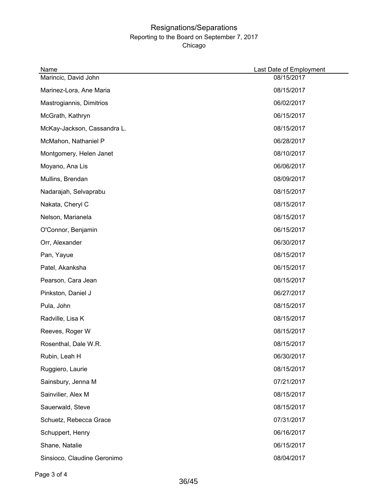| Name                        | Last Date of Employment |
|-----------------------------|-------------------------|
| Marincic, David John        | 08/15/2017              |
| Marinez-Lora, Ane Maria     | 08/15/2017              |
| Mastrogiannis, Dimitrios    | 06/02/2017              |
| McGrath, Kathryn            | 06/15/2017              |
| McKay-Jackson, Cassandra L. | 08/15/2017              |
| McMahon, Nathaniel P        | 06/28/2017              |
| Montgomery, Helen Janet     | 08/10/2017              |
| Moyano, Ana Lis             | 06/06/2017              |
| Mullins, Brendan            | 08/09/2017              |
| Nadarajah, Selvaprabu       | 08/15/2017              |
| Nakata, Cheryl C            | 08/15/2017              |
| Nelson, Marianela           | 08/15/2017              |
| O'Connor, Benjamin          | 06/15/2017              |
| Orr, Alexander              | 06/30/2017              |
| Pan, Yayue                  | 08/15/2017              |
| Patel, Akanksha             | 06/15/2017              |
| Pearson, Cara Jean          | 08/15/2017              |
| Pinkston, Daniel J          | 06/27/2017              |
| Pula, John                  | 08/15/2017              |
| Radville, Lisa K            | 08/15/2017              |
| Reeves, Roger W             | 08/15/2017              |
| Rosenthal, Dale W.R.        | 08/15/2017              |
| Rubin, Leah H               | 06/30/2017              |
| Ruggiero, Laurie            | 08/15/2017              |
| Sainsbury, Jenna M          | 07/21/2017              |
| Sainvilier, Alex M          | 08/15/2017              |
| Sauerwald, Steve            | 08/15/2017              |
| Schuetz, Rebecca Grace      | 07/31/2017              |
| Schuppert, Henry            | 06/16/2017              |
| Shane, Natalie              | 06/15/2017              |
| Sinsioco, Claudine Geronimo | 08/04/2017              |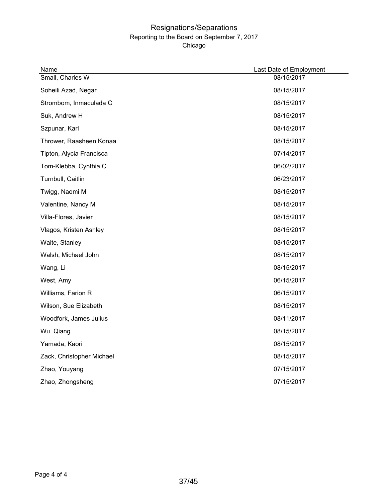| Name                      | Last Date of Employment |
|---------------------------|-------------------------|
| Small, Charles W          | 08/15/2017              |
| Soheili Azad, Negar       | 08/15/2017              |
| Strombom, Inmaculada C    | 08/15/2017              |
| Suk, Andrew H             | 08/15/2017              |
| Szpunar, Karl             | 08/15/2017              |
| Thrower, Raasheen Konaa   | 08/15/2017              |
| Tipton, Alycia Francisca  | 07/14/2017              |
| Tom-Klebba, Cynthia C     | 06/02/2017              |
| Turnbull, Caitlin         | 06/23/2017              |
| Twigg, Naomi M            | 08/15/2017              |
| Valentine, Nancy M        | 08/15/2017              |
| Villa-Flores, Javier      | 08/15/2017              |
| Vlagos, Kristen Ashley    | 08/15/2017              |
| Waite, Stanley            | 08/15/2017              |
| Walsh, Michael John       | 08/15/2017              |
| Wang, Li                  | 08/15/2017              |
| West, Amy                 | 06/15/2017              |
| Williams, Farion R        | 06/15/2017              |
| Wilson, Sue Elizabeth     | 08/15/2017              |
| Woodfork, James Julius    | 08/11/2017              |
| Wu, Qiang                 | 08/15/2017              |
| Yamada, Kaori             | 08/15/2017              |
| Zack, Christopher Michael | 08/15/2017              |
| Zhao, Youyang             | 07/15/2017              |
| Zhao, Zhongsheng          | 07/15/2017              |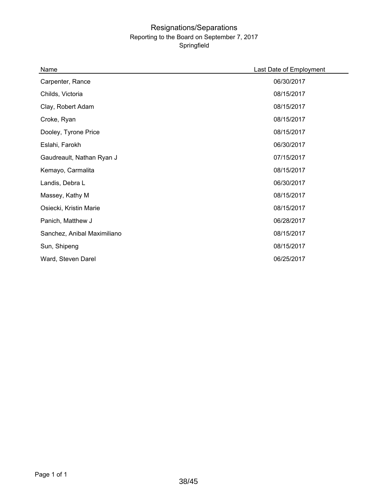| Name                        | Last Date of Employment |
|-----------------------------|-------------------------|
| Carpenter, Rance            | 06/30/2017              |
| Childs, Victoria            | 08/15/2017              |
| Clay, Robert Adam           | 08/15/2017              |
| Croke, Ryan                 | 08/15/2017              |
| Dooley, Tyrone Price        | 08/15/2017              |
| Eslahi, Farokh              | 06/30/2017              |
| Gaudreault, Nathan Ryan J   | 07/15/2017              |
| Kemayo, Carmalita           | 08/15/2017              |
| Landis, Debra L             | 06/30/2017              |
| Massey, Kathy M             | 08/15/2017              |
| Osiecki, Kristin Marie      | 08/15/2017              |
| Panich, Matthew J           | 06/28/2017              |
| Sanchez, Anibal Maximiliano | 08/15/2017              |
| Sun, Shipeng                | 08/15/2017              |
| Ward, Steven Darel          | 06/25/2017              |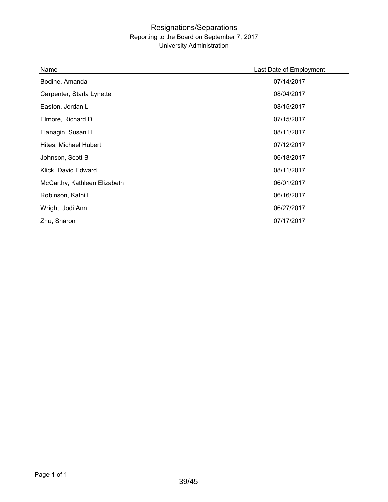#### Resignations/Separations Reporting to the Board on September 7, 2017 University Administration

| Name                         | Last Date of Employment |
|------------------------------|-------------------------|
| Bodine, Amanda               | 07/14/2017              |
| Carpenter, Starla Lynette    | 08/04/2017              |
| Easton, Jordan L             | 08/15/2017              |
| Elmore, Richard D            | 07/15/2017              |
| Flanagin, Susan H            | 08/11/2017              |
| Hites, Michael Hubert        | 07/12/2017              |
| Johnson, Scott B             | 06/18/2017              |
| Klick, David Edward          | 08/11/2017              |
| McCarthy, Kathleen Elizabeth | 06/01/2017              |
| Robinson, Kathi L            | 06/16/2017              |
| Wright, Jodi Ann             | 06/27/2017              |
| Zhu, Sharon                  | 07/17/2017              |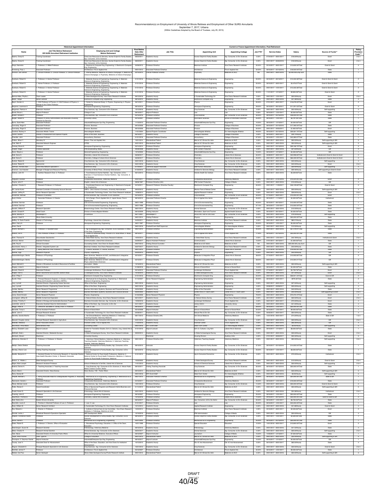### Recommendation(s) on Employment of University of Illinois Retirees and Employment of Other SURS Annuitants<br>September 7, 2017, Urbana<br>(Within Guidelines Adopted by the Board of Trustees, July 25, 2013)

|                                                                                   | <b>Historical Appointment Information</b>                                                                                          |                                                                                                                                                                                |                                     |                                                            |                                                            | Current or Future Appointment Information, Post-Retirement      |                    |                                                                 |                                        |                                                 |                                            |
|-----------------------------------------------------------------------------------|------------------------------------------------------------------------------------------------------------------------------------|--------------------------------------------------------------------------------------------------------------------------------------------------------------------------------|-------------------------------------|------------------------------------------------------------|------------------------------------------------------------|-----------------------------------------------------------------|--------------------|-----------------------------------------------------------------|----------------------------------------|-------------------------------------------------|--------------------------------------------|
| Name                                                                              | <b>Job Title Before Retirement</b><br>OR SURS Annuitant Retirement Institution                                                     | <b>Employing Unit and College</b><br>Before Retirement                                                                                                                         | First Re<br>Date After<br>Retiremen | <b>Job Title</b>                                           | <b>Appointing Unit</b>                                     | <b>Appointing College</b>                                       | Job FTE*           | <b>Service Dates</b>                                            | Salary                                 | Source of Funds*                                | Provisio<br>Code***                        |
| Adams, Cheryl E.                                                                  | aining Coordinator                                                                                                                 | hild Care Resources & Services, Human Dvipmt & Family Stude<br>Consumer, & Env Sciences                                                                                        | 08/22/2011                          | ademic Hourly                                              | luman Dvlpmt & Family Studies                              | Agr, Consumer, & Env Sciences                                   | 0.00%              | 07/24/2017 - 08/31/2017                                         | \$18.00/Hourly                         | Grant                                           | 284                                        |
| Adams, Cheryl E<br>Ahuja, Narendra                                                | ining Coordinato<br>Professor: 2. Willett Professo                                                                                 | ld Care Resources & Services, Human Dvlpmt & Family Stud<br>r. Consumer, & Env Sciences<br>Electrical & Computer Eng, Engineering; 2. Electrical & Comput                      | 08/22/201<br>03/28/2013             | <b>Semic Hourly</b><br>cressor Emeritus                    | nan Dvlpmt & Family Studies<br>ackman Institute            | Agr, Consumer, & Env Science<br>Vice Chanc Research Institutes  | 0.00%<br>20.00%    | 09/01/2017 - 06/30/201<br>05/16/2017 - 08/31/2017               | \$18.00/Hourly<br>\$13,835,50/Total    | Grant<br>Grant & Grant                          | 284<br>$\overline{2}$                      |
| Armstrong, Paul J.                                                                |                                                                                                                                    | g. Engineering<br>tecture, Fine & Applied Arts                                                                                                                                 | 09/01/2012                          | ciate Professor Emeritus                                   | hitecture                                                  | ine & Applied Arts                                              | 30.00%             | 08/16/2017 - 05/15/2018                                         | \$18,500.00/Total                      | State                                           |                                            |
|                                                                                   |                                                                                                                                    | dicine, Medicine at Urbana-Champaign; 2.<br>bana-Champaign; 3. Psychiatry, Medicine at Urbana-Champaig                                                                         |                                     |                                                            |                                                            |                                                                 |                    |                                                                 |                                        |                                                 |                                            |
| Averback, Robert S.                                                               | Professor, 2. Hamer Professo                                                                                                       | Materials Science & Engineering, Engineering; 2. Materials<br>ience & Engineerng, Engineering                                                                                  | 01/01/2016                          | cressor Emeritus                                           | Materials Science & Engineerng                             | ingineering                                                     | 50.00%             | 06/16/2017 - 08/15/2017                                         | \$13,333.36/Tota                       | Grant & Grant & Gran                            |                                            |
| Averhank Robert S                                                                 | Hamer Professor: 2. Professor                                                                                                      | rials Science & Engineering, Engineering: 2, Materials<br>Mate<br>nos & Engineering, Engineering                                                                               | 01/01/2016                          | Professor Emeritus                                         | Materials Science & Engineering                            | ingineering                                                     | 50.00%             | 08/16/2017 - 08/31/2017                                         | \$3,478,27/Total                       | Grant & Grant & Grant                           | $\overline{2}$                             |
| Averback, Robert S.<br>Averback, Robert S.                                        | Professor: 2. Hamer Professo<br>rofessor: 2. Hamer Professor                                                                       | Materials Science & Engineering, Engineering; 2. Material<br>ience & Engineerng, Engineering<br>ring, Engineering; 2. Material<br>ince & Eng                                   | 01/01/2016<br>01/01/2016            | dessor Emeritus<br>ssor Fmornis                            | erials Science & Engineemp<br>teriais Science & Engineeme  | ngineering<br>ineering                                          | 50.00%<br>50.00%   | $-10/31/201$<br>09/01/2017<br>11/01/2017 - 12/15/2017           | \$13,333.36/Tota<br>\$9,855,09/Total   | Grant & Grant & Gran<br>Grant & Grant           | $\boldsymbol{2}$                           |
| .<br>Bannon-Niles, Phyllis L<br>Basar, Tangul                                     | eam Leade                                                                                                                          | noa & Engin<br>gineerig, Engineering<br>ogical Survey, Vice Chanc Research Insti                                                                                               | 09/12/2016                          | mic Hourly                                                 | . Sustainable Tech<br>clogy Ct                             | ice Chanc Res                                                   | 0.00%              | 09/01/2017 - 12/31/2011                                         | \$20.00/Hourly                         | Gran                                            | 284                                        |
| Baym, Gordon A.                                                                   | Senior Lecturer<br>CAS Professor of Physics; 2. CAS Professor of Physics; 3                                                        | ectrical & Computer Eng. Engineering<br>Center for Advanced Study; 2. Physics, Engineering; 3. Physics                                                                         | 08/16/2014<br>06/13/2011            | Academic Hourly<br>cfessor Emeritus                        | Electrical & Computer Eng<br><b>Trysics</b>                | Engineering<br>phineering                                       | $0.00\%$<br>50.00% | 09/01/2017 - 08/31/2018<br>07/01/2017 - 08/31/2017              | \$47.38/Hourly<br>\$16,678.00/Total    | State<br>Grant                                  | $-4$<br>$\overline{2}$                     |
| Bergman, Lawrence A                                                               | sge & Ann Fisher Professor                                                                                                         | pace Engineering, Engineering                                                                                                                                                  | 08/16/2016                          | assor Fmarhis                                              | ospace Engineering                                         | ngineering                                                      | 29.00%             | 08/16/2017 - 08/15/2017                                         | \$11,251,03/Total                      | Grant & Gran                                    | $\overline{2}$                             |
| Bingaman, Patricia A.<br>Bonds, Bruce L.                                          | tension Assistant<br>djunct Professor                                                                                              | op Sciences, Agr, Consumer & Env Sciences<br>loge of Law                                                                                                                       | 12/12/2016<br>08/16/2017            | femic Hourly<br><b>Idiunct Professor</b>                   | Crop Sciences<br>Law                                       | Agr, Consumer, & Env Scienc                                     | 0.00%<br>5.50%     | 09/01/2017 - 08/31/2018<br>08/16/2017 - 12/31/2017              | \$23.45/Hourly<br>\$5,500.00/Total     | Self-supporting<br>State                        | $-4$                                       |
| Briskin, Donald P.<br>Burger, Robert H.                                           | <b>Chasson</b><br>Messor of Library Administration and Associate University                                                        | .<br>200 Sciences, Agr. Consumer & Env Sciences<br>iversity Library                                                                                                            | 05/16/2016<br>02/16/200             | rofessor Emeritus<br>essor Emeritus                        | Crop Sciences<br>ormation Sciences                         | Agr, Consumer, & Env Sciences<br>Ichool of Information Sciences | 30.00%<br>25.00%   | 08/16/2017 - 05/15/2018<br>08/16/2017 - 12/31/2017              | \$48,000.00/Total<br>\$6,791.00/Total  | State<br>State                                  | $\mathbf{1}$                               |
| Burns, Scott Aller                                                                | rarian for Services                                                                                                                | trial&Enterprise Sys Eng, Engineering                                                                                                                                          | 11/16/2010                          |                                                            | strial&Enterprise Sys Eng                                  | ngineering                                                      | 10.00%             | 08/16/2017 - 12/15/201                                          | \$4,000.00/Tra                         | Gitt                                            |                                            |
| Cannaday, Roger E<br>Cannaday, Roger E.                                           | sociate Professo                                                                                                                   | ance, Business<br>ance, Business                                                                                                                                               | 09/16/2006<br>09/16/2006            | ciate Professor Emeritus<br>ociate Professor Emeritus      | Finance<br>Finance                                         | College of Busin<br>liege of Business                           | 25.00%<br>20.00%   | 08/16/2017 - 05/15/2018<br>09/01/2017 - 09/30/2017              | \$17,395.00/Tota<br>\$1,950.00/Total   | State<br>Grant                                  | $\overline{2}$                             |
| Cardinal, Rodney A.<br>Carroll, Sandra                                            | ciate Athletic Traine<br>Director of Assessment and Special Projects                                                               | olegiate Athletics<br>fice of the Dean, Business                                                                                                                               | 11/01/2004<br>06/16/2017            | Special Projects Coordina<br>Academic Hourly               | tercollegiate Athletics<br>College of Business             | College of Business                                             | 49.00%<br>0.00%    | 08/16/2017 - 05/15/2018<br>06/16/2017 - 08/31/2017              | \$29,561.70/Tota<br>\$49.74/Hourly     | self-supporting<br>State                        | $\overline{4}$                             |
| Chandler, John<br>Chilton, Athan Y                                                | Associate Professo<br>Secretary IV                                                                                                 | countancy, Business<br>ance / Fine and Applied Arts                                                                                                                            | 01/01/2016<br>10/01/2014            | Associate Professor Emeritus<br>Standardized Patient       | Accountancy<br>Med at UC Clinical Sci Adm                  | College of Business<br>Medicine at UIUC                         | 67.00%<br>0.00%    | 08/16/2017 - 12/31/2017<br>09/01/2017 - 08/31/2018              | \$43,382.67/Total<br>\$50,00/Hourly    | State<br>Self-supporting & Gift                 | ٦<br>- 5                                   |
| Cole, Mark E<br>Conway, Bruce A                                                   | Issociate Network Enginee<br>toure                                                                                                 | <b>ITES</b>                                                                                                                                                                    | 02/21/2015                          | Standardized Patient<br>Professor Emeritus                 | Med at UC Clinical Sci Adm                                 | Medicine at UIUC                                                | 0.00%              | 09/01/2017 - 08/31/2018                                         | \$50,00/Hourly                         | Self-supporting & Gift                          | $\sim$                                     |
| Cooper, Roger                                                                     | reative Specialis                                                                                                                  | ospace Engineering, Engineering<br>PM Broadcasting, Media                                                                                                                      | 03/14/2014<br>09/28/2008            | cademic Hourly                                             | lerospace Engineering<br>IPM Content Production            | naineerina<br>hiege of Media                                    | 0.00%              | 40.00% 09/01/2017 - 03/15/2018<br>09/01/2017 - 08/31/2018       | \$29.166.70/Total<br>\$21.63/Hourly    | Grant<br>Gift                                   | $\overline{2}$<br>$\overline{4}$           |
| Davis, Wayne J<br>Dlott, Dana D.                                                  | chassick                                                                                                                           | ineral Engineering, Enginee<br>mistry, Liberal Arts & Sciences                                                                                                                 | 12/16/2005<br>06/08/2017            | essor Emeritus<br>fessor Emeritus                          | idustrial&Enterprise Sys Eng<br>Chemistry                  | gineering<br>eral Arts & Science                                | 10.00%<br>50.00%   | 08/16/2017 - 12/15/2017<br>06/08/2017 - 08/31/2017              | \$4,000,00/Tota<br>\$32,998.82/Total   | Gitt<br>Institutional & Grant & Grant & Gran    | $\overline{2}$                             |
| Dlott, Dana D.<br>Dunker, Robert E                                                | votessor                                                                                                                           | mistry, College of Liberal Arts & Sciences<br>op Sciences, Agr, Consumer & Env Sciences                                                                                        | 06/08/2017<br>05/01/2016            | dessor Emeritus<br>demic Hourly                            | Chemistry<br>Crop Sciences                                 | peral Arts & Sciences<br>Agr, Consumer, & Env Sc                | 25.00%<br>0.00%    | 09/01/2017 - 08/31/2018<br>09/01/2017 - 08/31/2018              | \$66,309.95/Total<br>\$40.00/Hourly    | onal & Grant & Grant & Grant<br>Self-supporting | $\overline{2}$<br>$\overline{4}$           |
| Dunker, Robert E.<br>Edmison, Ronald Dear                                         | Agronomist<br>Local Area Network Specialist 1                                                                                      | Crop Sciences, Agr, Consumer & Env Sciences<br>lectronics Shop                                                                                                                 | 05/01/2016<br>07/19/2017            | Academic Hourly<br><b>Technical Support Associate</b>      | Crop Sciences<br>Staff Human Resource                      | Agr, Consumer, & Env Sciences<br>Provost & VC Acad Affairs      | $0.00\%$<br>0.00%  | 09/01/2017 - 08/31/2018<br>07/19/2017 - 08/31/2017              | \$40.00/Hourly<br>\$30.92/Hourly       | Grant<br>Self-supporting                        | 284<br>- 5                                 |
| Emerson, Lisa Haeub<br>Erdman, John W.                                            | Manager of Budget and Resource Planning                                                                                            | Nyorcity of Illinois Pross I Inivorsity Administrate                                                                                                                           | 01/30/2012                          | Academic Hourly                                            | Institute for Genomic Biology                              | Vice Chanc Research Institute                                   | 0.00%              | 09/01/2017 - 08/31/2018                                         | \$59,46/Hourly                         | Self-supporting & Grant & Gran                  | $\overline{4}$                             |
|                                                                                   | Nutrition Research Chair: 2. Professor                                                                                             | Food Science & Human Nutrition. Agr. Consumer, & Env<br>ces; 2. Food Science & Human Nutrition, Agr, Consumer,                                                                 | 06/13/2013                          | Professor Emeritus                                         | terdis Health Sci Institute                                | Vice Chanc Research Institutes                                  | 2.60%              | 09/01/2017 - 08/31/2018                                         | \$5,009,92/Total                       | State                                           |                                            |
| Ferguson, Duncan<br>Frayne, John P.                                               | Professor<br>Professor                                                                                                             | r Sciences<br>mparative Biosciences, Veterinary Medicine<br>nnlish I iharal Arts & Sniannas                                                                                    | 04/01/2017<br>08/06/1997            | Professor Financial<br>Professor Emeritus (AH)             | Comparative Biosciences<br><b>IPM Content Production</b>   | Veterinary Medicine<br>College of Media                         | 5.00%<br>0.00%     | 09/01/2017 - 07/31/2018<br>09/01/2017 - 08/31/2018              | \$10,544,05/Total<br>\$15,00/Hourly    | Grant<br>Gift                                   | $\overline{2}$<br>$\overline{4}$           |
| Gardner, Chester S                                                                | Research Professor: 2. Professo                                                                                                    | Coordinated Science Lab. Engineering: 2. Electrical & Comp.<br>Engineerin                                                                                                      | 04/16/2011                          | earch Professor (Emeritus Faculty                          | lectrical & Computer Eng                                   | gineering                                                       | 50.00%             | 09/01/2017 - 11/20/2017                                         | \$46,129,82/Total                      | Grant & Gram                                    |                                            |
| Gill, Janice Kuntz<br>Gordon, Jeffrey R.                                          | tant Controller of Un<br>Senior Research Specialist                                                                                | S - UIUC Grants & Contracts, University Ad<br>Sustainable Technology Center, Vice Chanc Research Institu                                                                       | 12/08/2014                          | mic Hourly<br>Academic Hourly                              | fton Park & Retreat Cen<br>Applied Research Institute      | ncellos<br>Engineering                                          | 0.00%<br>0.00%     | $-08/31/2018$<br>09/01/2017 - 08/31/2018                        | \$36.84/Hourly                         | ieif-supporting & Git<br>Grant                  | $\overline{4}$<br>284                      |
| Grossman, Michael<br>Gunji, Kimiko                                                | rofessor of Genetics<br>Associate Professor; 2. Directo                                                                            | imal Sciences, Agr, Consumer, & Env Sciences<br>Art & Design, Fine & Applied Arts; 2. Japan House, Fine &                                                                      | 05/16/2012<br>08/16/2012            | <b>Professor Emeritus</b><br>ociate Professor Eme          | Crop Sciences<br>ine & Applied Arts Admi                   | Agr, Consumer, & Env Sciences<br>ine & Applied Arts             | 20.00%<br>25.00%   | 07/16/2017 - 08/31/2017<br>08/16/2017 - 11/15/2017              | \$10,000,00/Total<br>\$4,500,00/Total  | Grant<br>nstitutiona                            | $\mathbf{1}$                               |
| Gurlinkel, German                                                                 | chassicr                                                                                                                           | will & Environmental Engineering, Engineering                                                                                                                                  | 08/21/1998                          | fessor Emeritus                                            | Civil & Environmental Eng                                  | Engineering                                                     | 45.00%             | 06/16/2017 - 08/15/201                                          | \$13,000.00/Tota                       | State                                           |                                            |
| Gurlinkel, German<br>Hanafin, William F                                           | rchassice                                                                                                                          | vil & Environmental Engineering, Engineering<br>schnology Center: Vice Chanc Research Insti                                                                                    | 08/21/1998<br>08/01/2014            | Nessor Emeritus<br><b>Semic Hourly</b>                     | Civil & Environmental Eng<br>nimal Sciences                | Engineering<br>Agr, Consumer, & Env S                           | 27.10%<br>0.00%    | 08/16/2017 - 12/31/2017<br>09/01/2017 - 08/31/2018              | \$13,000.00/Total<br>\$12,00/Hourly    | State<br>Grant                                  | $\mathbf{1}$<br>284                        |
| Hardin, Donald R.<br>Harris, Beverly R                                            | lead Coach<br>Storekeeper II                                                                                                       | vision of Intercollegiate Athletics<br>CS/ACES                                                                                                                                 | 08/16/2009<br>06/11/2007            | <b>Wisiting Instructor</b><br>Storekeeper II               | Recreation, Sport and Tourisn<br>ACES Info Tech & Cmc Svcs | Applied Health Sciences<br>Agr. Consumer, & Env Sciences        | 5.00%<br>0.00%     | 06/16/2017 - 08/15/2017<br>09/01/2017 - 08/31/2018              | \$4,500.00/Total<br>\$19.25/Hourly     | State<br>Self-supporting                        | $\rightarrow$<br>$\overline{\phantom{a}}$  |
| Hassani, Sadri D.<br>Heffley, III, Earle Franklin                                 | Illinois State Universit<br>Director of Technology                                                                                 | vchology, Liberal Arts & Sciences                                                                                                                                              | 09/01/2014<br>04/25/2011            | Visiting Professor<br>Academic Hourly                      | Physics<br>Beckman Institute                               | Engineering<br>Vice Chanc Research Institutes                   | 50.00%<br>0.00%    | 06/16/2017 - 06/15/2017<br>09/01/2017 - 08/31/2018              | \$20,000,00/Total<br>\$80.21/Hourly    | State<br>State                                  | $\rightarrow$<br>$-4$                      |
| Hilton, Harry H.                                                                  | <b>Nascus</b>                                                                                                                      | space Engineering, Engineering                                                                                                                                                 | 08/21/1997                          | Professor Emeritus                                         | ospace Engineer                                            | ngineering                                                      | 25.00%             | 08/16/2017 - 12/31/2017                                         | \$5,000,00/Total                       | State                                           |                                            |
| Hines, David<br>Hirschi, Michael I                                                | rofessor, 2. Assistant De                                                                                                          | Agr & Biological Eng, Agr, Consumer, & Env Sciences; 2                                                                                                                         | 09/01/2016<br>09/01/2012            | ootball Event Staff Supervis<br>fessor Emeritus            | tercollegiate Athletics<br>ngineering Adm                  | Div Intercollegiate Athletics<br>ngineering                     | 0.00%<br>40.00%    | 09/01/2017 - 08/31/2018<br>09/01/2017 - 08/31/2018              | \$10.50/Hourly<br>\$57,479.97/Total    | Self-supporting<br>Stat                         | 5                                          |
| Hobson, Ian R.                                                                    | CAS Professor of Music; 2. Professor                                                                                               | the Dean, Engineering<br>Center for Advanced Study, Provost & VC Acad Affairs; 2: Musik<br>ahA beliqqA & er                                                                    | 08/16/2011                          | tofessor Emeritus                                          | Fine & Applied Arts Admin                                  | Fine & Applied Arts                                             | 17.00%             | 08/16/2017 - 05/15/2018                                         | \$25,000,007ctal                       | State                                           | $\mathbf{1}$                               |
| Holm, Thomas R.<br>Huhman, Marian                                                 | sundwater Geochemist<br>sistant Professor                                                                                          | tate Water Survey, Vice Chanc Research Institutes<br>munication, Liberal Arts & Sciences                                                                                       | 10/04/2014<br>03/29/2017            | Academic Hourly<br>djunct Assistant Professo               | IL State Water Survey<br>nmunication                       | Vice Chanc Research Institutes<br>eral Arts & Sciences          | $0.00\%$<br>13.00% | 09/01/2017 - 12/31/2017<br>07/01/2017 - 08/15/2017              | \$42.78/Hourly<br>\$1,200.00/Total     | Institutional & Grant<br>State                  | 284<br>$\blacksquare$                      |
| Joffe, Paul E.<br>Kaczmarski, Henry J                                             | Sinical Counseler<br>lirector, Integrated System Lab                                                                               | rseling Center, Vice Chanc for Student Affair<br>ckman Institute, Vice Chanc Research Institutes                                                                               | 09/07/2012<br>03/07/2017            | ating Clinical Couns<br><b>Academic Hourly</b>             | ledicine at UC Admi<br>stitute for Genomic Biology         | licine at UIUC<br>Vice Chanc Research Institutes                | NA.<br>0.00%       | 09/01/2017 - 08/31/2018<br>09/01/2017 - 08/31/2018              | 20,000.00/Lump Sur<br>\$43.00/Hourly   | Gift<br>State                                   | $\overline{4}$                             |
| Kahn, Charles M.                                                                  | 1. Bailey Memorial Chair Professor; 2. Profess                                                                                     | Finance, Business; 2. Finance, Business                                                                                                                                        | 09/01/2015                          | Professor Emeritus                                         | Economics                                                  | Liberal Arts & Sciences                                         | 25.00%             | 01/01/2018 - 05/15/2018                                         | \$19,000.00/Total                      | State                                           | т                                          |
| Karliner, Inga<br>Katzenellenbogen, Benit                                         | lesearch Physicist<br>plessor of Physiolog                                                                                         | rysics, Engineering<br>sic Sciences, Medicine at UIUC, and Molecular & Integrative<br>vsl. Liberal Arts & Sok                                                                  | 02/20/2015<br>05/16/2011            | Academic Hourly<br>cressor Emerita                         | Physics<br>Molecular & Integrative Phys                    | Engineering<br>Liberal Arts & Sciences                          | 0.00%<br>38.00%    | 09/01/2017 - 08/31/2018<br>07/16/2017 - 08/31/2017              | \$45,00/Hourly<br>\$10,905,80/Tota     | Gift<br>Gift                                    | $\overline{4}$                             |
| Katzeneilenbogen, B                                                               | essor of Physiology                                                                                                                | sine at UIUC, and Molecular & Integrative<br>hysi, Liberal Arts & Sciences                                                                                                     | 05/16/201                           |                                                            | cular & Integrative Phys                                   | eral Arts & Sci                                                 | 38.00%             | 09/01/2017                                                      | \$10,594.21/Tob                        |                                                 |                                            |
| Kazel, Mitchell S.<br>Kingery, Linda S.                                           | ector of Broadcast Journalism Resources & Facilities<br><b>Idjunct Instructor</b>                                                  | ism - Media<br>tool of Social Work                                                                                                                                             | 12/16/2015<br>01/08/2016            | ndardized Patient<br>djunct Instructor                     | Med at UC Clinical Sci Adm<br>chool of Social Work         | scine at UIUC<br>tool of Social Wo                              | 0.00%<br>15.00%    | 09/01/2017 - 08/31/2018<br>08/16/2017 - 12/31/2017              | \$50,00/Hour?<br>\$4,000,00/Total      | Self-supporting & Gift<br>State                 | 5                                          |
| Kovacic, David A.<br>Krapac, Ivan G.                                              | inriate Professo<br>enior Geochemist and Scientific Section Head                                                                   | scape Architecture, Fine & Applied Arts<br>Beological Survey, Vice Chanc Research Institute                                                                                    | 05/16/2012<br>10/18/2010            | viate Professor Fre<br>demic Hourly                        | IL State Geological Survey                                 | ine & Applied Arts<br>Vice Chanc Research Inst                  | 43.00%<br>0.00%    | 07/16/2017 - 08/15/2017<br>09/01/2017 - 08/31/2018              | \$3,739,76/Total<br>\$41.00/Hourly     | Grant<br>Grant                                  | $\overline{2}$<br>284                      |
| Krein, Philip T.<br>Kurath, Peter                                                 | Principal                                                                                                                          | trical & Computer Eng. Engineering<br>nical Sci & Engineering, Engineering; 2. Me                                                                                              | 01/01/2016<br>01/16/2007            | essor Emeritus<br>tior Research Engi                       | Electrical & Computer Eng                                  | Engineering<br>ngineering                                       | 25.00%<br>20.00%   | 09/01/2017 - 08/31/2018<br>08/16/2017                           | \$58,941.34/Total<br>\$979.33/Total    | Grant & Gift                                    | $\overline{2}$                             |
| Lacy, Lynnell                                                                     | Research Engineer; 2. Director of Adva<br>Testing and Evaluation Laboratory (AMTEL)<br>stant Director, Engineering Career Services | ience & Engineering, Engineering<br>ce of the Dean, Engineering                                                                                                                | 09/01/2016                          | Academic Hourly                                            | ngineering Ad<br>Engineering Administratio                 | Engineering                                                     | 0.00%              | $-08/31/201$<br>09/01/2017 - 08/31/2018                         | \$27.00/Hourly                         | Stat<br>Self-supporting                         | $\overline{2}$<br>$\overline{4}$           |
| Lacy, Lynnel<br>Landes, Marilo                                                    | ssistant Director, Engineering Career Services<br>enior Research Programs                                                          | fice of the Dean, Enginee<br>nes Information Systems, Business and Financial Servi-                                                                                            | 09/01/2016<br>nanusnna              | Academic Hourt<br><b>Academic Houriy</b>                   | Engineering Administration<br>Office of the Chancellor     | ingineering<br><b>Concellor</b>                                 | 0.00%<br>0.00%     | 09/06/2017 - 09/28/2017<br>09/01/2017 - 08/31/2018              | \$25.00/Hourly<br>R40.00/Hourly        | Self-supporting<br>State                        | $\overline{4}$<br>$\overline{4}$           |
| Landes, Marilou                                                                   | enior Research Programmer<br>nior Research Physicist                                                                               | ines Information Systems, Business and Financial Services                                                                                                                      | 03/04/2003<br>01/03/2006            | ademic Hourly<br>nior Research F                           | Center Innov in Teach Lean                                 | ter innov in Teach Learn                                        | 0.00%<br>79.00%    | 09/01/2017 - 08/31/2018<br>09/01/2017 - 08/31/2018              | \$42.00/Hourly<br>572,373.47/Total     | Self-supporting & Gram                          | 284                                        |
| Lesny, David Dona<br>Levengood, Jeffrey M.                                        | Idille Contaminant Specialist                                                                                                      | ysics, Engineering<br>Natural History Survey, Vice Chanc Research Institutes                                                                                                   | 06/14/2017                          | Academic Hourly                                            | Trysics<br>IL Natural History Survey                       | gineering<br>Vice Chanc Research Institutes                     | 0.00%              | 06/14/2017 - 06/30/2017                                         | \$30.50/Hourly                         | Grant<br>Grant                                  | $\overline{2}$<br>284                      |
| Lindsey, Timothy C<br>Lockmiller, John S.                                         | Director of Energy and Sustainable Business Programs<br>sprutive Assistant Dean for Administration                                 | siness Innovation Services, Agr, Consumer, & Env Sciences<br>ffice of the Dean, Agr, Consumer, & Env Sci                                                                       | 12/26/2016<br>04/11/2017            | Academic Hourly<br>Academic Hourly                         | Landscape Architecture<br>Library Admin                    | Fine & Applied Arts<br>University Library                       | 0.00%<br>0.00%     | 06/01/2017 - 08/31/2017<br>09/01/2017 - 08/31/2018              | \$70,00/Hourly<br>\$41,00/Hourly       | Grant<br>State                                  | $-4$<br>$\overline{4}$                     |
| Maggs, Peter B.<br>Manselle, Tonya L.                                             | 1 Clifford M. and Rette A. Carney Chair: 2. Professo<br><b>Sninal Assistant Printessor</b>                                         | Law: 2 Law<br>hool of Social Work                                                                                                                                              | 08/16/2014<br>05/16/2008            | Professor Emeritus<br>Adjunct Instructor                   | <b>School of Social Work</b>                               | School of Social Work                                           | 28.00%             | 08/16/2017 - 12/31/2017<br>20.00% 08/16/2017 - 12/31/2017       | \$30,000,00/Total<br>\$9,000,00/Total  | State<br>State                                  | т.                                         |
| Marlin, John C.<br>Marretta, Sandra Mantra                                        | ncipal Research Scientist<br>Professor; 2. Professor                                                                               | Sustainable Technology Ctr, Vice Chanc Research Institutes<br>Vet Clinical Medicine, Veterinary Medicine: 2. Veterinar                                                         | 02/08/2011<br>08/17/2015            | Academic Hourly<br>fessor Emerita (HA                      | Natural Res & Env Sci<br>Vet Clinical Medicine             | Agr, Consumer, & Env Science                                    | 0.00%<br>0.00%     | 06/05/2017 - 08/31/2017<br>10/31/2016 - 08/31/2017              | \$50.00/Hourly<br>\$74.20/Hourl        | State<br>.<br>State & Gif                       | 184                                        |
| Maxwell, Douglas James                                                            | Principal Research Specialist in Agriculture                                                                                       | iaching Hospital, Veterinary Medicine<br>top Sciences, Agr, Consumer & Env Sciences                                                                                            | 04/01/2016                          | Academic Hourly                                            | Crop Sciences                                              | Agr, Consumer, & Env Sciences                                   | 0.00%              | 0901/2017 - 08/31/2018                                          | \$30,00/Hourly                         | Gh                                              | 284                                        |
| McBride, Rebecca<br>McClintock, Anna Marie                                        | Senior Associate Director<br>Administrative Aide                                                                                   | annert Center, Fine & Applied Arts<br>unseling Center                                                                                                                          | 11/22/2016<br>09/01/2016            | Academic Hourly<br>SFC Event Staff                         | Krannert Center<br>State Farm Cente                        | Fine & Applied Arts<br>Div Intercollegiate Athletics            | 0.00%<br>0.00%     | 09/01/2017 - 08/31/2018<br>09/01/2017 - 08/31/2018              | \$66,26/Hourly<br>\$8.25/Hourly        | Gift<br>Self-supporting                         | $\overline{4}$<br>$\overline{\phantom{a}}$ |
| McCoy, Elizabeth Lowe                                                             | Adjunct Lecturer                                                                                                                   | inter for Translation Studies: Sch Lit: Cultures: Linn: Liberal Arts &                                                                                                         | 01/01/2016                          | Adjunct Lecturer                                           | Sch Lit. Cultures: Ling Adn                                | Liberal Arts & Sciences                                         |                    | 33.00% 08/16/2017 - 12/15/2017                                  | \$8,000,00/Total                       | State                                           |                                            |
| McEirath, Dale L.                                                                 | Assistant Director, Statewide Surveys<br>Electrician                                                                               | . State Archaeological Survey, Vice Chanc Research Institutes<br>iversity Housing                                                                                              |                                     | 09/22/2014 Academic Hourly<br>Electrician                  | IL State Archaeological Survey<br>Housing Division         | Vice Chanc Research Institutes<br>Auxiliary Units               | 0.00%              | 0.00% 09/01/2017 - 08/31/2018<br>07/01/2017 - 08/30/2017        | \$25.00/Hourly<br>\$52.32/Hourly       | Grant<br>Self-supporting                        | 284<br>5                                   |
| .<br>McIntosh, Steven<br>McKieman, Brendan C                                      | Professor: 2. Professor: 3. Directo                                                                                                | Veterinary Clinical Medicine, Veterinary Medicine; 2. Veterinar<br>aching Hospital, Veterinary Medicine; 3. Veterinary Teaching                                                | 09/01/2015                          | <b>Professor Emeritus (AH</b>                              | sterinary Teaching Hospital                                | terinary Medicin                                                | 0.00%              | 09/01/2017 - 08/31/2018                                         | \$90,00/Hourly                         | Self-supporting                                 | 384                                        |
| Medlyn, Debra Shelton                                                             | eaching Associate                                                                                                                  | pital, Veterniary Medicine<br>uman Development & Family Studies, Agr, Consumer, & Env                                                                                          | 08/16/2010                          | Instructor                                                 | Human Dvlpmt & Family Studies                              | Agr, Consumer, & Env Sciences                                   | 37.50%             | 08/16/2017 - 05/15/2018                                         | \$14,000.04/Total                      | State                                           | $\sim$                                     |
| Monday, Sharon Lee                                                                | Isiting Teaching Associate                                                                                                         | re<br>Development & Family Studies, Agr, Consumer, & Env<br>consid                                                                                                             | 08/16/2016                          | Visiting Instructor                                        | Human Dvlpmt & Family Studies                              | Agr, Consumer, & Env Sciences                                   | 25.00%             | 08/16/2017 - 12/31/2017                                         | \$8,000,00/Total                       | State                                           | $\overline{1}$                             |
| Mueller, Benjamin C.                                                              | 1. Assistant Director for Community Research; 2. Associate Directs<br>lea Health Education Center; 3. Research Associate           | I. National Center for Rural Health Professions, Medicine; 2.<br>ional Center for Rural Health Professions, Medicine; 3. Nation<br>ther for Rural Health Professions, Medicine |                                     | 01/01/2010 Academic Hourly                                 | Agr & Consumer Economics                                   | Agr, Consumer, & Env Sciences                                   | $0.00\%$           | 09/01/2017 - 08/31/2018                                         | \$75.00/Hourly                         | Institutional                                   | 284                                        |
| Nelson, Jr., Walter J.<br>Nilges, Mark Joseph<br>Noland, Dianne A.                | ate Geological Survey<br>lesearch Assistant Professor                                                                              | thool of Molecular & Cell Bio, Liberal Arts & Sciences                                                                                                                         | 11/01/2010                          | 10/30/2003 Academic Hourly<br>Academic Hourly              | IL State Geological Survey<br>School of Chemical Sciences  | Vice Chanc Research Institutes<br>Liberal Arts & Sciences       | 0.00%<br>0.00%     | 09/01/2017 - 08/31/2018<br>09/01/2017 - 08/31/2018              | \$12,00/Hourly<br>\$30.00/Hourly       | Grant & Grant<br>Self-supporting                | 284<br>284                                 |
|                                                                                   | Teaching Associate; 2. Teaching Associate                                                                                          | Crop Sciences, Agr, Consumer & Env Sciences; 2. Illinois Public                                                                                                                | 08/16/2011                          | Visiting Teaching Associate                                | Crop Sciences                                              | Agr, Consumer, & Env Sciences                                   | 30.00%             | 08/16/2017 - 05/15/2018                                         | \$20,000.04/Total                      | State                                           | ī                                          |
| Payne, Mare L                                                                     | ssociate Director: News Bureau                                                                                                     | idia Creative Content, Media<br>ws Bureau / NH - Public Affairs                                                                                                                | 09/01/2016                          | 09/15/2014 Standardized Patient<br>SFC Event Staff         | Med at UC Clinical Sci Adm<br>State Farm Center            | Adicine at UIUC<br>Div Intercollegiate Athletics                | 0.00%<br>0.00%     | 0901/2017 - 08/31/2018<br>09/01/2017 - 08/31/2018               | \$35,00/Hourly<br>\$8.25/Hourly        | Self-supporting & Gift<br>Self-supporting       | $5 -$<br>5                                 |
| Perry, Denise M<br>Philpott, Michael L                                            | Acting Associate Head for Undergraduate Programs; 2. Ass<br>chasace                                                                | Mechanical Sci & Engineering, Engineering; 2. Mechanical Sci                                                                                                                   | 08/27/2012                          | sociate Professor Emeritus                                 | chanical Sci & Engineering                                 | ngineering                                                      | 50.00%             | 08/16/2017 - 05/15/2018                                         | \$54,000.00/Total                      | State & Gift                                    |                                            |
| Pijanowski, Gerald J.<br>Plewa, Michael Jacob<br>Potter, Renee C                  | ciate Professor                                                                                                                    | igineering, Engineering<br>Immarative Biosciences, Veterinary Medicine<br>op Sciences, Agr, Consumer & Env Sciences                                                            | 04/16/2011<br>10/01/2012            | <b>Associate Professor Emerities</b><br>Professor Emeritus | omparative Biosciences<br>Crop Sciences                    | erinary Medicine<br>Agr, Consumer, & Env Scie                   | 25.00%             | 08/16/2017 - 12/31/2017<br>14.30% 09/01/2017 - 08/31/2018       | \$19,000,00/Total<br>\$25,000.00/Total | State<br>Grant & Grant & Gran                   | $\overline{2}$                             |
|                                                                                   | ard Coordinator                                                                                                                    | lice of Sponsored Programs and Research Admin@usiness an                                                                                                                       | 01/14/2012                          | Standardized Patient                                       | Med at UC Clinical Sci Adm                                 | edicine at UIUC                                                 | 0.00%              | 09/01/2017 - 08/31/2018                                         | \$50.00/Hourly                         | Self-supporting & Gift                          | 5                                          |
|                                                                                   | Research Specialist in Life Sciences<br>Professor                                                                                  | omology, Liberal Arts & Sciences<br>ospace Engineering, Engineering                                                                                                            | 05/01/2010<br>08/16/2007            | Academic Hourly<br>Professor Emeritie                      | Institute for Genomic Biology<br>Aerospace Engineering     | Vice Chanc Research Institutes<br>Engineering                   | $0.00\%$<br>25.00% | 09/01/2017 - 08/31/2018<br>08/16/2017 - 12/31/2017              | \$24,38/Hourly<br>\$20,000,00/Total    | Institutional<br>State                          | 284<br>$\overline{1}$                      |
| Pruiett, Karen S.<br>Prussing, John E.<br>Rauchfuss, Thomas B.<br>Raid, Debra Ann | Professor<br>astern Illinnis Hniversity                                                                                            | hemistry, Liberal Arts & Sciences                                                                                                                                              | 08/16/2017                          | 10/16/2016 Professor Emeritus<br>Adjunct Professor         | Chemistry<br>Agr, Consumer, & Env Sci Admn                 | i ihoral Arts & Snionnos<br>Agr, Consumer, & Env Sciences       | 20.00%             | 14.50% 09/16/2017 - 06/15/2018<br>08/16/2017 - 12/31/2017       | \$32,000,00/Total<br>\$8,750,00/Total  | Grant & Grant & Gift<br>State                   | $\overline{2}$                             |
| Reynolds, Laura A.<br>Rose, William B.                                            | Prentice H. Marshall Professor of Law; 2. Professor<br>nior Rosparch Architect                                                     | Law, 2 Law<br>Sustainable Technology Ctr, Vice Chanc Research Institute                                                                                                        | 01/01/2017<br>10/14/2014            | Professor Emerita<br>Academic Hourly                       | <b>Applied Research Institute</b>                          | Engineering                                                     | 0.00%              | 40.00% 08/16/2017 - 12/31/2017<br>0901/2017 - 08/31/2018        | \$40,000,00/Total<br>\$41.88/Hourly    | State<br>Grant & Gran                           | T                                          |
| Roy, Edward J.                                                                    | Director; 2. Professo                                                                                                              | Institute of Animal Care & Use Committee, Vice Chanc Rese                                                                                                                      | 10/23/2014                          | Professor Emeritus                                         | eckman Institute                                           | Vice Chanc Research Institutes                                  | 4.90%              | 05/16/2017 - 08/31/2017                                         | \$2,535.65/Total                       | Grant                                           | $\overline{2}$                             |
| Schulte, Leslie J.<br>Shapiro, Constance Hoenk                                    | roadcast Research-Operations Specialist<br>waa                                                                                     | titutes; 2. Pathology, Medicine at UIUC<br>P Development, Media<br>man Development & Family Studies, Agr, Consumer, & Env                                                      | 08/16/2014                          | 12/19/2016 Academic Hourly<br>Professor Emerita            | IPM Administration<br>uman Dylomt & Family Studies         | College of Media<br>Agr. Consumer, & Env Science                | 3.40%              | 0.00% 09/01/2017 - 08/31/2018<br>09/01/2017 - 12/31/2017        | \$20,00/Hourly<br>\$2,500,00/Total     | Gift<br>State                                   | $-4$<br>$\overline{7}$                     |
| Socio, Darrell F.                                                                 | tassis                                                                                                                             | hanical Sci & Engineering, Engineering                                                                                                                                         |                                     | 03/01/2005 Professor Emeritus                              | fechanical Sci & Engineering                               | Engineering                                                     |                    | 25.00% 08/16/2017 - 05/15/2018                                  | \$30,000.00/Total                      | State                                           | $\overline{\phantom{a}}$                   |
| Stake, Robert E.                                                                  | Professor; 2. Director, Office of Evaluation<br>seamh Sniamist                                                                     | Educational Psychology, Education; 2. Office of the Dean,<br>ucation                                                                                                           | 10/21/1998<br>08/16/2016            | Professor Emeritus                                         | Special Education                                          | Education                                                       | 12.20%<br>0.00%    | 10/01/2016 - 08/31/2017<br>09/01/2017 - 08/31/2018              | \$12,800.00/Total<br>\$41.50/Hourly    | Grant<br>State                                  | $\overline{2}$                             |
| Steenbergen, Susan M.<br>Sthes, Charles R.<br>Tate, Alexis                        | samh Animal Sniantic                                                                                                               | ology, Veterinary Medicine<br>tal Sciences, Agr, Consumer, & Env Sciences                                                                                                      | 06/04/2017                          | Academic Hourly<br>Academic Hourly                         | Pathobiology<br>nimal Sciences                             | feterinary Medicine<br>.<br>Agr, Consumer, & Env Sc             | 0.00%              | 09/01/2017 - 08/31/2018                                         | \$25,00/Hourly                         | Self-supporting                                 | $\overline{4}$<br>284                      |
| Taylor, Alice Yvonne                                                              | ssociate Director of University Public Affairs<br>Nark Typist III                                                                  | lice for University Relations, Executive Offices<br>lege of Education                                                                                                          | 08/16/2007<br>09/21/2013            | Adjunct Instructor<br>indardized Patient                   | Joumalism<br>led at UC Clinical Sci Adm                    | College of Media<br>scine at UIUC                               | 15.00%<br>0.00%    | 10/23/2017 - 12/13/2017<br>09/01/2017 - 08/31/2018              | \$7,500.00/Total<br>\$35.00/Hourly     | State<br>Self-supporting & Gif                  | -1<br>$\overline{\phantom{a}}$             |
| Thompson, II, Seymour Daniel Adjunct Instructor<br>Tousey, Joan V.                | ssociate Dean for Advancement                                                                                                      | lustrial&Enterprise Sys Eng, Engineering<br>fice of the Dean, Education, and Vice Chanc for Institution!                                                                       | 10/10/2012                          | 08/16/2017 Adjunct Lecturer<br>Academic Hourly             | Industrial&Enterprise Sys Eng<br>Ofc VC Inst Advancement   | Engineering<br>Ofc VC Inst Advancement                          | 0.00%              | 10.00% 08/16/2017 - 12/15/2017<br>06/15/2017 - 08/31/2017       | \$4,000.00/Total<br>\$65.00/Hourly     | Gift<br>State                                   | $\blacksquare$<br>$-4$                     |
|                                                                                   | tcipal Research Specialist in Life Sciences                                                                                        | p Sciences, Agr, Consumer & Env Sciences                                                                                                                                       | 10/01/2012                          | Academic Hourly                                            | Crop Sciences                                              | Agr, Consumer, & Env Sciences                                   |                    | 0.00% 09/01/2017 - 08/31/2018                                   | \$32.55/Hourly                         | Grant & Gram                                    | 284                                        |
| Wagner, Elizabeth D.<br>Warfield, James P.<br>Welbel, Carl Plus                   | rcfassor<br>Senior Geologist                                                                                                       | titecture, Fine & Applied Arts<br>llinois State Geological Survey/Prairie Research Institut                                                                                    | 05/16/2007                          | Professor Emeritus<br>09/21/2015 Standardized Patient      | Architecture<br>Med at UC Clinical Sci Adm                 | Fine & Applied Arts<br>Medicine at UIUC                         |                    | 30.00% 08/16/2017 - 12/31/2017<br>0.00% 09/01/2017 - 08/31/2018 | \$9,250.00/Total<br>\$50,00/Hourly     | State<br>Self-supporting & Gif                  | 1                                          |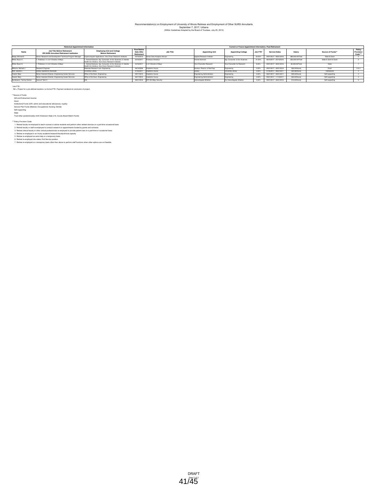### Recommendation(s) on Employment of University of Illinois Retirees and Employment of Other SURS Annuitants<br>September 7, 2017, Urbana<br>(Within Guidelines Adopted by the Board of Trustees, July 25, 2013)

|                          | <b>Historical Appointment Information</b>                               |                                                                                                                        |                                                 | Current or Future Appointment Information, Post-Retirement |                             |                               |          |                         |                   |                       |                                |
|--------------------------|-------------------------------------------------------------------------|------------------------------------------------------------------------------------------------------------------------|-------------------------------------------------|------------------------------------------------------------|-----------------------------|-------------------------------|----------|-------------------------|-------------------|-----------------------|--------------------------------|
| Name                     | Job Title Before Retirement<br>OR SURS Annuitant Retirement Institution | <b>Employing Unit and College</b><br><b>Refore Retirement</b>                                                          | <b>First Rehire</b><br>Date After<br>Retirement | <b>Job Title</b>                                           | <b>Appointing Unit</b>      | <b>Appointing College</b>     | Job FTE* | <b>Service Dates</b>    | Salary            | Source of Funds**     | Policy<br>Provision<br>Code*** |
| Welge, Michael E.        | Senior Research and Development Technical Program Manager               | Supercomputer Applications. Vice Chanc Research Institutes                                                             | 04/16/2013                                      | Senior Data Analytics Advisor                              | Applied Research Institute  | ingineering                   | 50.00%   | 09/01/2017 - 08/31/2018 | \$80,000,00/Total | State & Grant         |                                |
| White, Bryan A.          | I. Professor: 2. U of I Director of Mayo                                | . Animal Sciences, Agr. Consumer, & Env Sciences; 2. Interdis<br>Health Sci Initiative, Vice Chanc Research Institutes | 04/16/2017                                      | Professor Emeritus                                         | Animal Sciences             | Agr. Consumer, & Env Sciences | 21.50%   | 08/16/2017 - 05/15/2018 | \$50,000,00/Total | State & Grant & Grant |                                |
| White, Bryan A.          | I. Professor: 2. U of I Director of Mayo                                | . Animal Sciences, Agr. Consumer, & Env Sciences; 2. Interdis<br>Health Sci Initiative, Vice Chanc Research Institutes | 04/16/2017                                      | J of I Director of Mayo                                    | Vice Chancellor-Research    | Vice Chancellor for Research  | 8.00%    | 09/01/2017 - 08/31/2018 | \$5,000,00/Total  | State                 |                                |
| Williams, Michael J.     | Research Engineer                                                       | Materials Research Lab. Engineering                                                                                    | 06/16/2006                                      | Academic Hourly                                            | Nuclear, Plasma, & Rad Engr | Engineering                   | 0.00%    | 09/01/2017 - 08/31/2018 | \$35.25/Hourly    | Grant                 | 284                            |
| Wolf, Sandra L.          | Library Operations Associate                                            | University Library                                                                                                     | 07/25/2017                                      | Academic Hourly                                            |                             | University Library            | 0.00%    | 07/25/2017 - 08/31/2017 | \$20,98/Hourly    | Institutional         |                                |
| Yeazel, Mary             | Senior Assistant Director, Engineering Career Services                  | Office of the Dean, Engineering                                                                                        | 09/17/2013                                      | Academic Hourly                                            | noitsvänimbA onineeripne    | Engineering                   | 0.00%    | 08/21/2017 - 08/31/2017 | \$25,00/Hourly    | Self-supporting       |                                |
| Yeazel, Mary             | Senior Assistant Director, Engineering Career Services                  | Office of the Dean, Engineering                                                                                        | 09/17/2013                                      | Academic Hourly                                            | Engineering Administration  | Engineering                   | 0.00%    | 09/01/2017 - 11/10/2017 | \$25,00/Hourly    | Self-supporting       |                                |
| Zymkiewicz, Tammy Denise | Account Tech III                                                        |                                                                                                                        | 09/01/2016                                      | SFC EH Bidg, Security                                      | Intercollegiate Athletics   | Div Intercollegiate Athletics | 0.00%    | 09/01/2017 - 08/31/2018 | \$13,00/Hourly    | Self-supporting       |                                |
|                          |                                                                         |                                                                                                                        |                                                 |                                                            |                             |                               |          |                         |                   |                       |                                |

\*Job FTE: NA = Project for a pre-defined duration; no formal FTE. Payment rendered at conclusion of project.

\*\*Source of Funds<br>
Gift and Endowment Income<br>
Institutional Funds (ICR, admin and educational allowances, royalty)<br>
Self-supporting<br>Self-supporting<br>
Self-supporting

State

Trust-other (predominately UIUC Extension State of IL County Board Match Funds)

"Plate Toware Code<br> $\tau$ . The first control of the state of the control and product and perform other related services on a part-lime cocasional basis<br>2. Retred bookly or anti-remained to conduct research on equiportents t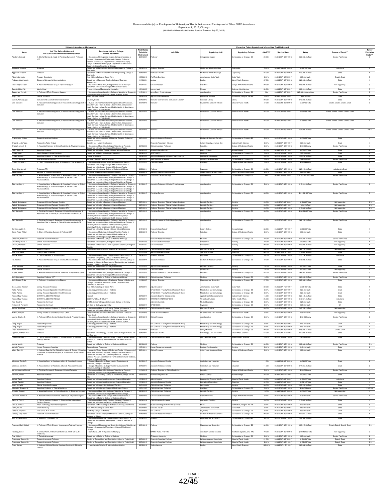### Recommendation(s) on Employment of University of Illinois Retirees and Employment of Other SURS Annuitants<br>September 7, 2017, Chicago<br>(Within Guidelines Adopted by the Board of Trustees, July 25, 2013)

|                                                | <b>Historical Appointment Information</b>                                                                                    |                                                                                                                                                                                                   | <b>First Rehire</b>      |                                                                                                       |                                                        | <b>Current or Future Appointr</b>                              | ent Information, Post-Re |                                                    |                                         |                                       | Policy                                    |
|------------------------------------------------|------------------------------------------------------------------------------------------------------------------------------|---------------------------------------------------------------------------------------------------------------------------------------------------------------------------------------------------|--------------------------|-------------------------------------------------------------------------------------------------------|--------------------------------------------------------|----------------------------------------------------------------|--------------------------|----------------------------------------------------|-----------------------------------------|---------------------------------------|-------------------------------------------|
| Name                                           | Job Title Before Retiremen<br>OR SURS Annuitant Retirement Institution                                                       | <b>Employing Unit and College</b><br><b>Before Retirement</b>                                                                                                                                     | Date After               | <b>Job Title</b>                                                                                      | <b>Appointing Unit</b>                                 | <b>Appointing College</b>                                      | Job FTE*                 | <b>Service Dates</b>                               | Salary                                  | Source of Funds'                      | Provision                                 |
| oraham, Edwan                                  | Chief of Service: 2. Head: 3. Physician Surgeon: 4. Professor                                                                | Department of Orthopaedic Surgery, College of Medicine at                                                                                                                                         | Retirement<br>05/01/200  |                                                                                                       | thopaedic Surgery                                      | oll Medicine at Chicago - CS                                   | 20.00%                   | 09/01/2017 - 08/31/2018                            | \$60,000.00/Tota                        |                                       | Code***                                   |
|                                                |                                                                                                                              | .<br>hicago; 2. Department of Orthopaedic Surgery, College of<br>fedicine at Chicago; 3. Department of Orthopaedic Surgery.                                                                       |                          |                                                                                                       |                                                        |                                                                |                          |                                                    |                                         |                                       |                                           |
|                                                |                                                                                                                              | sliege of Medicine at Chicago; 4. Department of Orthopaedic<br>roerv. College of Medicine at Chicago                                                                                              |                          |                                                                                                       |                                                        |                                                                |                          |                                                    |                                         |                                       |                                           |
| Aggarwal, Suresh K                             |                                                                                                                              | partment of Mechanical and Industrial Engineering, College of<br>gineering                                                                                                                        | 08/16/2014               | lessor Emeritu                                                                                        | achanical & Industrial Eng                             | ingineering                                                    | 7.00%                    | 05/16/2018 - 07/15/2018                            | \$2,327.56/Tota                         | Institutiona                          |                                           |
| Aggarwal, Suresh K.                            | rotessor                                                                                                                     | epartment of Mechanical and Industrial Engineering, College of                                                                                                                                    | 08/16/2014               | rofessor Emeritus                                                                                     | fechanical & Industrial Engr                           | Engineering                                                    | 27.00%                   | 08/16/2017 - 05/15/2018                            | \$40,400.01/Total                       | State                                 |                                           |
| Albright, Lonnetta                             | Program Coordinator                                                                                                          | ane Addams College of Social Work                                                                                                                                                                 | 12/06/2016               | Prof Train Dev Spec                                                                                   | Jane Addams Social Work                                | Social Work                                                    | 0.00%                    | 09/01/2017 - 09/29/2017                            | \$55.00/Hourly                          | Grant & Grant                         |                                           |
| Andrews, Linda Landis                          | irector of Managerial Communications                                                                                         | spartment of Managerial Studies, College of Business                                                                                                                                              | 11/16/2004               | acturer                                                                                               | English                                                | <b>Jberal Arts &amp; Sciences</b>                              | 67.00%                   | 08/16/2017 - 05/15/2018                            | \$26,000.04/Total                       | State                                 |                                           |
| Bash, Stephan Es                               | ssociate Professor (CT); 2. Physician Surger                                                                                 | ediatrics, College of Me<br>epartment of Pediatrics, College of Medicine at Peoria                                                                                                                |                          |                                                                                                       |                                                        | liege of Me                                                    | 30.00                    |                                                    |                                         | ell-supporting                        |                                           |
| Bassett, Gilbert W.<br>Baughman, Verna L       | rim Head<br>Professor (CT); 2. Physician Surgeon                                                                             |                                                                                                                                                                                                   | 12/14/2009<br>11/01/2011 | rim Head                                                                                              | inance                                                 | usiness Adm<br>Coll Medicine at Chicago - CS                   | 50.00%<br>NA             | 05/16/2017 - 08/15/2017<br>08/16/2017 - 09/15/201  | \$30,694.29/Tota<br>\$22,600.00/Lump Su | State<br>Service Plan Fund            |                                           |
|                                                |                                                                                                                              | Department of Anesthesiology, College of Medicine at Chicago;<br>tiversity of Illinois Hospital and Health Sciences System                                                                        |                          | mp Sum - Anest                                                                                        | esthesiology                                           |                                                                |                          |                                                    |                                         |                                       |                                           |
| Brigid, Lusk<br>Buczek, Nora Spurgis           | nical Professo<br>tructor and Assistant Reference Librarian                                                                  | ersity Library                                                                                                                                                                                    | 08/16/2016<br>09/16/2012 | unct Clinical Pro<br>uctor and Reference and Liaison Libraria                                         | <b>Hull House Muse</b><br>University Library           | itecture, Design, & the Arts<br>Library                        | 7.00%<br>20.00%          | 06/16/2017 - 07/15/2017<br>09/01/2017 - 08/31/2018 | \$600.00/Tob<br>\$10.300.00/Total       | Grant<br>State                        |                                           |
| Cali, Salvatore                                | Research Industrial Hygienist; 2. Research Industrial Hygienist<br>tructor                                                   | Division of Environmental and Occupational Health Sciences<br>chool of Public Health: 2. Great Lakes Centers. Occupational                                                                        | 09/01/2015               |                                                                                                       | ronmti & Occuptni Hith So                              | hool of Public Hea                                             | 47.00%                   | 05/16/2018 - 06/30/2018                            | \$5,527.88/Tota                         | Grant & Grant & Grant & Gran          |                                           |
|                                                |                                                                                                                              | aath Services Institute, School of Public Health; 3. Great Lake                                                                                                                                   |                          |                                                                                                       |                                                        |                                                                |                          |                                                    |                                         |                                       |                                           |
| Cali, Salvatore                                | Research Industrial Hygienist; 2. Research Industrial Hygienist;                                                             | tters, School of Public Health<br>Division of Environmental and Occupational Health Sciences                                                                                                      | 09/01/2015               | hstructor                                                                                             | Environmtl & Occuptni Hith Sci                         | School of Public Health                                        | 48.00%                   | 07/01/2017 - 08/15/2017                            | \$5,555,88/Total                        | Grant & Grant & Grant & Grant & Grant |                                           |
|                                                |                                                                                                                              | hool of Public Health; 2. Great Lakes Centers, Occupationa<br>ealth Services Institute, School of Public Health; 3. Great Lakes                                                                   |                          |                                                                                                       |                                                        |                                                                |                          |                                                    |                                         |                                       |                                           |
| Cali, Salvator                                 |                                                                                                                              | inters, School of Public Health<br>al and Occupat                                                                                                                                                 |                          |                                                                                                       | nti & Occupini Hith So                                 | ol of Publi                                                    | 48.009                   | 08/16/2017<br>08/31/201                            | \$1,963.65/To                           | Grant & Grant & Grant & Grant & Gran  |                                           |
|                                                | tructor                                                                                                                      | chool of Public Health; 2. Great Lakes Centers, Occupational<br>sath Services Institute, School of Public Health; 3. Great Lakes                                                                  |                          |                                                                                                       |                                                        |                                                                |                          |                                                    |                                         |                                       |                                           |
| Cali, Salvatore                                | 1. Research Industrial Hygienist; 2. Research Industrial Hygienist;                                                          | ters, School of Public Health<br>Division of Environmental and Occupational Health Sciences.                                                                                                      | 09/01/2015               | structor                                                                                              | ironmtl & Occuptni Hith Sci                            | chool of Public Health                                         | 48.00%                   | 09/01/2017 - 05/15/2018                            | \$31,909.29/Total                       | Grant & Grant & Grant & Grant & Grant | 2&5                                       |
|                                                | tointo                                                                                                                       | chool of Public Health: 2. Great Lakes Centers, Occupational<br>ath Services Institute, School of Public Health; 3. Great Lakes                                                                   |                          |                                                                                                       |                                                        |                                                                |                          |                                                    |                                         |                                       |                                           |
| Chakrabarty, Krishna                           | search Assistant Professo                                                                                                    | inters, School of Public Health<br>tent of Biochemistry and Molecular Genetics. College of                                                                                                        | 06/01/2000               | lasaarch Assistant Profass                                                                            | liochem & Molecular Genetics                           | Coll Medicine at Chicago - BS                                  | 2.00%                    | 09/01/2017 - 08/31/2018                            | \$2,003.99/Total                        | State                                 |                                           |
| Chapital, Leslie Ware                          | Research & Policy Analyst                                                                                                    | edicine at Chicago<br>sability and Human Development                                                                                                                                              |                          | Research Associate II (Hourly)                                                                        | Inst on Disability & Human Dev                         | Applied Health Sciences                                        | 0.00%                    | 06/20/2017 - 08/31/2017                            | \$37.00/Hourly                          | Grant                                 | 4                                         |
| Chatrath, Umesh C.                             | Associate Professor of Clinical Pediatrics; 2. Physician Surgeon                                                             | Department of Pediatrics, College of Medicine at Peoria: 2.<br>partment of Pediatrics, College of Medicine at Peoria                                                                              | 03/15/2006               | Clinical Associate Professor                                                                          | ediatrics                                              | <b>Cliege of Medicine at Peoria</b>                            | 0.00%                    | 09/01/2017 - 08/31/2018                            | \$100.00/Hourly                         | Service Plan Fund                     | $\overline{4}$                            |
| Cirillo, Nancy R.                              | ssociate Professor                                                                                                           | spartment of English, College of Liberal Arts and Sciences                                                                                                                                        | 08/16/2005               | Honors College Faculty                                                                                | Honors College                                         | Honors College                                                 | 33.00%                   | 08/16/2017 - 12/31/2017                            | \$8,000.00/Total                        | State                                 | $\overline{2}$                            |
| Cohan, Janet<br>Cohen, Rhonna L                | Senior Research Nurse Coodinator<br>ssociate Professor of Clinical Oral Pathology                                            | epartment of Medicine / College of Medicine<br>ollege of Dentstry                                                                                                                                 | 06/18/2012<br>06/16/2005 | SPEC RSDIS<br>Associate Professor of Clinical Oral Pathol                                             | Medicine<br>Dentistry Administratio                    | Coll Medicine at Chicago - CS<br>Dentistry                     | 0.00%<br>20.00%          | 09/01/2017 - 08/31/2018<br>09/01/2017 - 08/31/2018 | \$57,59/Hourly<br>\$22,634,40/Total     | Grant<br>State                        | $\overline{4}$<br>$\overline{7}$          |
| Corazon, Recalde                               | Staff Specialist in Nursing                                                                                                  | dicine: Obstetrics and Gynecology                                                                                                                                                                 | 08/01/2013               | Staff Specialist in Nursing                                                                           | Obstetrics & Gynecology                                | Coll Medicine at Chicago - CS                                  | 0.00%                    | 09/01/2017 - 08/31/2018                            | \$48.08/Hourly                          | Service Plan Fund                     | $\overline{3}$                            |
| Cusack, Thomas J                               | Chair; 2. Physician Surgeon; 3. Professor of Clinical Radiology                                                              | Department of Radiology, College of Medicine at Peoria; 2.<br>epartment of Radiology, College of Medicine at Peoria; 3.                                                                           | 01/01/2011               | <b>Sinical Professe</b>                                                                               | diology                                                | College of Medicine at Peoria                                  | 0.00%                    | 09/01/2017 - 08/31/2018                            | \$108.38/Hourly                         |                                       |                                           |
| Davis, John Marcell                            | rofessor (RT)                                                                                                                | partment of Radiology, College of Medicine at Peoria<br>spartment of Psychiatry, College of Medicine at Chicago                                                                                   | 08/20/2014               | otessor                                                                                               | Psychiatry                                             | Coll Medicine at Chicago - CS                                  | 20.00%                   | 09/01/2017 - 08/31/2018                            | \$29,419.92/Total                       | Institutional & Grant                 | $\overline{2}$                            |
| Dybas, Mary A                                  | Manager of Research Operations                                                                                               | hysiology and Biophysics/College of Medicine                                                                                                                                                      | 09/25/2016               | Business Administrative Associate                                                                     | Urban Planning &Public Affairs                         | Urban Planning &Public Affairs                                 | 0.00%                    | 09/01/2017 - 08/31/2018                            | \$35.00/Hourly                          | State                                 | 5                                         |
| Edelman, Guy J.                                | Associate Head for Education: 2 Associate Professor of Clinical<br>logy; 3. Physician Surgeon; 4. Section Chief              | Department of Anesthesiology, College of Medicine at Chicago:                                                                                                                                     | 01/16/2017               | Lump Sum - Anesthesiology                                                                             | Anesthesiology                                         | Coll Medicine at Chicago - CS                                  | NA                       | 08/16/2017 - 09/15/2017                            | \$12,153,00/Lump Sum                    | Service Plan Funds                    | $\mathbf{3}$                              |
|                                                | roanesthesia                                                                                                                 | spartment of Anesthesiology, College of Medicine at Chicago; 3<br>spartment of Anesthesiology, College of Medicine at Chicago; 4<br>partment of Anesthesiology, College of Medicine at Chicago    |                          |                                                                                                       |                                                        |                                                                |                          |                                                    |                                         |                                       |                                           |
| Edelman, Guy J                                 | Associate Head for Education; 2. Associate Professor of Clini<br>nesthesiology; 3. Physician Surgeon; 4. Section Chief,      | t of Anesthesiology, College of Me<br>spartment of Anesthesiology, College of Medicine at Chicago; 3                                                                                              | 01/16/2017               | Associate Professor of Clinical Anesthe                                                               |                                                        | Coll Medicine at Chicago - CS                                  | 5.00%                    | 09/01/2017 - 08/31/2018                            | \$15,994.55/Tot                         | Service Plan Fund                     |                                           |
|                                                | uroanesthesia                                                                                                                | spartment of Anesthesiology, College of Medicine at Chicago; 4<br>spartment of Anesthesiology, College of Medicine at Chicago                                                                     |                          |                                                                                                       |                                                        |                                                                |                          |                                                    |                                         |                                       |                                           |
| Edelman, Guy J.                                | 1. Associate Head for Education; 2. Associate Professor of Clinica<br>lesthesiology; 3. Physician Surgeon; 4. Section Chief, | Department of Anesthesiology, College of Medicine at Chicago<br>spartment of Anesthesiology, College of Medicine at Chicago; 3                                                                    | 01/16/2017               | <b>Trysician Surgeon</b>                                                                              | Anesthesiology                                         | Coll Medicine at Chicago - CS                                  | 35.00%                   | 09/01/2017 - 08/31/2018                            | \$111,961.83/Total                      | Service Plan Funds                    |                                           |
|                                                | uroanesthesia                                                                                                                | spartment of Anesthesiology, College of Medicine at Chicago; 4<br>spartment of Anesthesiology, College of Medicine at Chicago                                                                     |                          |                                                                                                       |                                                        |                                                                |                          |                                                    |                                         |                                       |                                           |
| Fadavi, Shahrbanoo                             | Professor of Clinical Pediatric Dentistry                                                                                    | spartment of Pediatric Dentistry, College of Dentistry                                                                                                                                            | 08/01/2014               | Professor Emerita of Clinical Pediatric Dentistry                                                     | Pediatric Dentistry                                    | Dentistry                                                      | 20.00%                   | 08/01/2017 - 08/15/2017                            | \$1,916,67/Total                        | Self-supporting                       | 183                                       |
| Fadavi, Shahrbanoo<br>Fadayi, Shahrbanoo       | ssor of Clinical Pediatric Dentistry (CT<br>rofessor of Clinical Pediatric Dentistry (CT)                                    | partment of Pediatric Dentistry, College of Dentistry<br>spartment of Pediatric Dentistry, College of Dentistry                                                                                   | 08/01/2014<br>08/01/2014 | essor Emerita of Clinical Pediatric Dentistry<br>essor Emerita of Clinical Pediatric Dentistry        | Pediatric Dentistry<br>Pediatric Dentistry             | Dentistry<br>Dentistry                                         | 20.00%<br>20.00%         | 08/16/2017 - 08/31/2017<br>09/01/2017 - 08/31/2018 | \$434.78/Total<br>\$10,000.00/Total     | Self-supporting<br>Self-supporting    | 183<br>183                                |
| Feld, James M.                                 | . Physician Surgeon; 2. Professor of Clinical Anesthesiology; 3                                                              | Department of Anesthesiplogy, College of Medicine at Chicago                                                                                                                                      | 08/01/2010               | hysician Surgeon                                                                                      | esthesiology                                           | Coll Medicine at Chicago - CS                                  | 40.00%                   | 09/01/2017 - 08/31/2018                            | \$132,260,87/Total                      | Service Plan Funds                    |                                           |
|                                                | ciate Chief of Service: 4 Clinical Director Anesthesia OR                                                                    | partment of Anesthesiology, College of Medicine at Chicago: 3<br>versity of Illinois Hospital & Health Sciences System; 4.                                                                        |                          |                                                                                                       |                                                        |                                                                |                          |                                                    |                                         |                                       |                                           |
| Feld, James M.                                 | Physician Sumann: 2. Professor of Clinical Anasthesiology                                                                    | iversity of Illinois Hospital and Health Sciences System<br>.<br>Department of Anesthesiology, College of Medicine at Chicago;<br>epartment of Anesthesiology, College of Medicine at Chicago; 3. | 08/01/2010               | Visiting Professor of Clinical Anesthesi                                                              |                                                        | Coll Medicine at Chicago - CS                                  | 20.00%                   | 09/01/2017 - 08/31/2018                            | \$66.130.43/Total                       | Service Plan Fund                     |                                           |
|                                                | ociate Chief of Service; 4. Clinical Director Anesthesia OR                                                                  | tiversity of Illinois Hospital & Health Sciences System; 4.                                                                                                                                       |                          |                                                                                                       |                                                        |                                                                |                          |                                                    |                                         |                                       |                                           |
| Gardiner, Judith K.                            | Professor                                                                                                                    | niversity of Illinois Hospital and Health Sciences System<br>epartment of English, College of Liberal Arts and Sciences                                                                           |                          | 01/01/2013 Honors College Faculty                                                                     | Honors College                                         | Honors College                                                 | 33.00%                   | 08/16/2017 - 12/31/2017                            | \$8,000.00/Total                        | State                                 | $\overline{1}$                            |
| Geiss, Roger William                           | Chair; 2. Physician Surgeon; 3. Professor (CT)                                                                               | Department of Pathology, College of Medicine Peoria; 2.<br>partment of Pathology, College of Medicine Peoria; 3.                                                                                  | 08/24/2015               | ofessor Emeritus                                                                                      | athology                                               | College of Medicine at Peoria                                  | 0.00%                    | 09/01/2017 - 08/31/2018                            | \$90.00/Hourly                          | State                                 | $\overline{4}$                            |
| Ghassemi, Mahmood                              | Research Assistant Professor                                                                                                 | artment of Pathology, College of Medicine Peoria<br>spartment of Medicine, College of Medicine at Chicago                                                                                         |                          | Research Assistant Professor                                                                          | Medicine                                               | Coll Medicine at Chicago - CS                                  | 40.00%                   | 09/01/2017 - 08/31/2018                            | \$44,560.73/Total                       | Service Plan Funds                    | $\overline{2}$                            |
| Greenberg, Daniel A.                           | Clinical Associate Professor                                                                                                 | epartment of Periodontics. College of Dentistry                                                                                                                                                   | 11/01/1998               | Clinical Assistant Professor                                                                          | Periodontics                                           | Dentistry                                                      | 40.00%                   | 09/01/2017 - 08/31/2018                            | \$9,000,00/Total                        | Self-supporting                       | $\overline{1}$                            |
| Greene, Charles S                              | nical Professo                                                                                                               | spartment of Oral Medicine and Diagnostics Sciences, Coll<br>entistry                                                                                                                             | 11/01/1997               | inical Professor                                                                                      | <b>Irthodontics</b>                                    | entistry                                                       | 20.00%                   | 09/01/2017 - 08/31/2018                            | \$10,000,00/Total                       | Self-supporting                       |                                           |
| Grider, Linda Marie<br>Hall, Vinni Maria       | Assistant Director<br>Chicago State University                                                                               | iversity of Illinois Hospital & Health Sciences System                                                                                                                                            | 09/16/2012<br>01/01/2004 | Clinical Assistant Professor<br>Adjunct Assistant Professor                                           | Pharmacy Practice<br>Special Education                 | Pharmacy<br>Education                                          | 60.00%<br>66.00%         | 09/01/2017 - 08/31/2018<br>08/16/2017 - 12/31/2017 | \$66,130.43/Total<br>\$14,000,00/Total  | Self-supporting<br>State              |                                           |
| Harrow, Martin                                 | Chief of Services; 2. Professor (RT                                                                                          | Department of Psychiatry, College of Medicine at Chicago; 2.<br>artment of Psychiatry, College of Medicine at Chicago                                                                             | 09/04/2012               | lessor Emeritus                                                                                       | sychiatry                                              | Coll Medicine at Chicago - CS                                  | 20.00%                   | 09/01/2017 - 08/31/2018                            | \$30,176.04/Total                       | Institutiona                          |                                           |
| Ho, Yee-Kin                                    | Associate Professor (RT); 2. Director, Medical Studies                                                                       | Department of Biochemistry and Molecular Genetics, College of<br>dicine at Chicago; 2. Department of Biochemistry and Molecula                                                                    | 08/09/2011               | ssociate Professor                                                                                    | Biochem & Molecular Genetics                           | Coll Medicine at Chicago - BS                                  | 49.00%                   | 09/01/2017 - 08/31/2018                            | \$45,088,93/Tota                        | State                                 |                                           |
| Hohit, William F.                              | Clinical Professor                                                                                                           | etics, College of Medicine at Chicago<br>epartment of Orthodontics, College of Dentistry                                                                                                          | 11/01/2015               | <b>Adjunct Clinical Professor</b>                                                                     | Pediatric Dentistry                                    | Dentistry                                                      | 10.00%                   | 09/01/2017 - 08/31/2018                            | \$5,000,00/Total                        | State                                 | 1                                         |
| Hohit, William F.                              | <b>Sinical Professor</b>                                                                                                     | epartment of Orthodontics, College of Dentistry                                                                                                                                                   | 11/01/2015               | Clinical Professor                                                                                    | Orthodontics                                           | Dentistry                                                      | 10.00%                   | 09/01/2017 - 08/31/2018                            | \$5,000,00/Total                        | Self-supportin                        |                                           |
| Hupert, Jordan                                 | Assistant Professor of Clinical Pediatrics: 2. Physician Surg                                                                | Department of Pediatrics, College of Medicine at Chicago; 2.<br>spartment of Pediatrics, College of Medicine at Chicago                                                                           | 05/01/2015               | istant Professor of Clinical Pediatric                                                                | ediatrics                                              | Coll Medicine at Chicago - CS                                  | 45.00%                   | 09/01/2017 - 08/31/2018                            | \$69 502 50/Total                       | Service Plan Fund                     |                                           |
| Jaffe, Howard A.<br>Jaffe, Randal Cra          | Associate Professor (CT)<br>Professor, 2. Assistant to the Dire-                                                             | tent of Medicine. College of Medicine at Chicago<br>Department of Physiology & Biophysics, College of Medic                                                                                       | 06/16/2015<br>11/16/2007 | Clinical Associate Professor<br>ofessor Emeritus                                                      | Medicine<br>ysiology and Biophysic                     | Coll Medicine at Chicago - CS<br>Coll Medicine at Chicago - BS | 10.00%<br>27.00%         | 09/01/2017 - 08/31/2018<br>09/01/2017 - 08/31/2018 | \$20,039,57/Total<br>\$29,482.15/Total  | Service Plan Funds<br>State           | $\overline{\mathbf{3}}$                   |
|                                                |                                                                                                                              | hicago; 2. Research Resources Center, Office of the Vice<br>hancellor of Research                                                                                                                 |                          |                                                                                                       |                                                        |                                                                |                          |                                                    |                                         |                                       |                                           |
| Jones, Lorrie Rickman<br>Kallo, Patricia       | iting Research Professo<br>lisiting Research Specialist in Health Sciences                                                   | Idams College of Social Work<br>crobiology and Immunology / Medicine                                                                                                                              | 08/16/2017               | Adjunct Lecturer<br>SPEC RSDIS / Faculty/Clinical/Research Hourly                                     | Jane Addams Social Work<br>Microbiology and Immunology | Social Work<br>Coll Medicine at Chicago - BS                   | 30.00%<br>0.00%          | 08/16/2017 - 12/31/2017<br>07/03/2017 - 08/31/2017 | \$6,941.55/Total<br>\$23.18/Hourly      | State<br>Grant                        | $\overline{4}$                            |
| Kallo, Patricia                                | Visiting Research Specialist in Health Sciences                                                                              | crobiology and Immunology / Medicine                                                                                                                                                              |                          | SPEC RSDIS / Faculty/Clinical/Research Hourly                                                         | Microbiology and Immunology                            | Coll Medicine at Chicago - BS                                  | 0.00%                    | 09/01/2017 - 03/31/2018                            | \$23.18/Hourly                          | Grant                                 | $\overline{4}$                            |
| Keehn, Mary Theres<br>Keehn, Mary Therese      | DIR PHYSL MED AND REHAB<br>DIR PHYSL MED AND REHAB                                                                           | scital<br><b>CCUPATIONAL THERAPY</b>                                                                                                                                                              | 08/16/2011<br>08/16/2011 | Associate Dean for Clinical Affairs<br><b>NTRM DIR INTERPROF EDU</b>                                  | Applied Health Sciences Admin<br>VC for Health Affairs | Applied Health Sciences<br>VC for Health Affairs               | 15.00%<br>25.00%         | 09/01/2017 - 08/31/2018<br>09/01/2017 - 08/31/2018 | \$23,145.65/Total<br>\$40,931,00/Total  | State<br>Institutional                | $\overline{7}$<br>$\overline{7}$          |
| Kirk, Rosaline                                 | sistant to the Head                                                                                                          | ral Medicine and Diagnostic Sciences, College of Dentistry                                                                                                                                        |                          | ninistrative Aide                                                                                     | Medical Education                                      | Coll Medicine at Chicago - BS                                  | 0.00%                    | 09/01/2017 - 08/31/2018                            | \$25.36/Hourly                          | State                                 | $\sqrt{5}$                                |
| Kratochwill, Patricia E<br>Kuchta, Ann Marie   | ssistant to the Head<br>Clinical Assistant Professor; 2. Clinical Pharmacist                                                 | C Dept of Otolaryngology, COM<br>Department of Pharamcy Practice, College of Pharmacy: 2.                                                                                                         | 05/03/2017<br>08/16/2012 | <b>SPEC RSDIS</b><br>Inical Assistant Professor                                                       | Psychiatry<br>Pharmacy Practice                        | Coll Medicine at Chicago - CS<br>Pharmacy                      | 0.00%<br>40.00%          | 09/01/2017 - 08/31/2018<br>09/01/2017 - 08/31/2018 | \$35.00/Hourly<br>\$45,759.12/Total     | Gift<br>Self-supporting               | $\overline{4}$<br>$\overline{\mathbf{3}}$ |
| Kuffner, Mary Jo                               | iting Director of Operations, CHS & CADE                                                                                     | ment of Pharmacy Practice, College of Pharmacy<br>for the Advancement of Distance Education / School of                                                                                           | 07/01/2016               | rants & Contract Admi                                                                                 | Dir for Ady Dist Educ Pub Hith                         | chool of Public Health                                         | 0.00%                    | 09/01/2017 - 08/31/2018                            | \$35.95/Hourly                          | Seif-supportin                        |                                           |
| Laurito, Charles E.                            | Professor (CT): 2. Center Medical Director: 3. Physician Surg                                                                | ublic Health<br>ment of Anesthesiology. College of Medicine at Chicago                                                                                                                            | 09/01/2015               | Clinical Professo                                                                                     | <b>Inesthesiology</b>                                  | Coll Medicine at Chicago - CS                                  | 0.00%                    | 09/01/2017 - 08/31/2018                            | \$161.00/Hourly                         | Service Plan Funds                    |                                           |
|                                                |                                                                                                                              | iversity of Illinois Hospital and Health Sciences System; 3.<br>iversity of Illinois Hospital and Health Sciences System                                                                          |                          |                                                                                                       |                                                        |                                                                |                          |                                                    |                                         |                                       |                                           |
| Liang, Zhiguo<br>Liang, Zhiguo                 | lesearch Specialist<br>earch Specialist                                                                                      | crobiology and Immunology / Medicine<br>robiology and Immunology / Medicine                                                                                                                       |                          | SPEC RSDIS / Faculty/Clinical/Research Hourly<br><b>SPEC RSDIS / Faculty/Clinical/Research Hourly</b> | Microbiology and Immunology<br>logy and Immunology     | Coll Medicine at Chicago - BS<br>Coll Medicine at Chicago - BS | 0.00%<br>0.00%           | 06/26/2017 - 08/31/2017<br>09/01/2017 - 03/31/2018 | \$29.72/Hourly<br>\$29.72/Hourly        | Grant<br>Grant                        | $\overline{4}$<br>$\overline{4}$          |
| Linsk, Nathan L                                |                                                                                                                              |                                                                                                                                                                                                   |                          |                                                                                                       |                                                        |                                                                |                          |                                                    |                                         |                                       |                                           |
| Lippman, Matthew Ross                          | fessor                                                                                                                       | spartment of Criminology, Law and Justice, College of Liberal Arts<br>nd Sciences                                                                                                                 | 08/16/2012               | ofessor Emeritus                                                                                      | minology, Law, and Justice                             | beral Arts & Sciences                                          | 67.00%                   | 08/16/2017 - 12/31/2017                            | \$17,000.00/Total                       | State                                 | $\mathbf{1}$                              |
| Littleton, Michael J                           | . Clinical Assistant Professor; 2. Coordinator of Occupat<br>herapy Services                                                 | Department of Occupational Therapy, College of Applied Healt<br>siences; 2. University of Illinois Hospital and Health Sciences                                                                   | 09/01/2014               | <b>Cinical Assistant Professo</b>                                                                     | Coupational Therapy                                    | Applied Health Sciences                                        | 0.00%                    | 09/01/2017 - 08/31/2018                            | \$40.00/Hourly                          |                                       |                                           |
| Lopata, Melvin                                 |                                                                                                                              | partment of Medicine, College of Medicine at Chicago                                                                                                                                              | 08/16/2003               | rofessor                                                                                              | dicine                                                 | Coll Medicine at Chicago - CS                                  | 30.00%                   | 09/01/2017 - 08/31/2018                            | \$38,326.55/Total                       | Service Plan Funds                    | 183                                       |
| McInnis, Tayone<br>Miler, Glenn D.             | Assistant Dean for Pre-Clinical Curriculum: 2. Director: Education                                                           | Academic Affairs, College of Medicine at Peoria; 2. Department                                                                                                                                    | 0/01/2014<br>08/01/2014  | Clinical Professor                                                                                    | Dentistry Ac<br>COM-Peoria Academic Affairs            | College of Medicine at Peoria                                  | 0.00%                    | 09/01/2017 - 08/31/2018<br>09/01/2017 - 08/31/2018 | \$40.64/Hourly<br>\$50,00/Hourly        | State                                 | $\epsilon$<br>$\overline{4}$              |
|                                                | miculum; 3. Physician Surgeon; 4. Professor of Clinical Family                                                               | amily and Community Medicine, College of Medicine Peorla; 3.<br>epartment of Family and Community Medicine, College of                                                                            |                          |                                                                                                       |                                                        |                                                                |                          |                                                    |                                         |                                       |                                           |
|                                                | ractice                                                                                                                      | edicine Peoria: 4. Department of Family and Community Medici                                                                                                                                      |                          |                                                                                                       |                                                        |                                                                |                          |                                                    |                                         |                                       |                                           |
| Mitchener, Carole P                            | Associate Dean for Academic Affairs; 2. Associate Professo                                                                   | age of Medicine Peoria<br>College of Education; 2. Department of Curriculum and                                                                                                                   | 04/16/2017               | Associate Professor Emerita                                                                           | Curriculum and Instructio                              | ducation                                                       | 11.00%                   | 05/16/2018 - 08/15/2018                            | \$3,785.76/Total                        | Grant                                 | $\overline{2}$                            |
| Mitchener, Carole P                            | Associate Dean for Academic Affairs: 2. Associate Professo                                                                   | struction, College of Education<br>College of Education; 2. Department of Curriculum and<br>Conege of Education; 2. Depart<br>truction, College of Education                                      | 04/16/2017               | Issociate Professor Emerita                                                                           | Jurriculum and Instruction                             | iration                                                        | 11.00%                   | 08/16/2017 - 05/15/2018                            | \$11,357,28/Total                       | Grant                                 | $\overline{2}$                            |
| Morgan, Andrew Michael                         | Physician Surgeon; 2. Professor of Clinical Pediatrics                                                                       | Department of Pediatrics, College of Medicine at Peoria: 2.                                                                                                                                       | 11/14/2012               | Professor Emeritus of Clinical Pediatrics                                                             | ediatrics                                              | ollege of Medicine at Peoria                                   | 0.00%                    | 09/01/2017 - 08/31/2018                            | \$100.00/Hourly                         | Service Plan Funds                    | $\overline{4}$                            |
| Munman, Robert                                 | ssociate Professor                                                                                                           | partment of Pediatrics, College of Medicine at Peoria<br>spartment of Art History, College of Architecture, Design and the                                                                        | 08/16/2009               | lonors College Faculty                                                                                | Honors College                                         | Honors College                                                 | 33.00%                   | 08/16/2017 - 12/31/2017                            | \$8,000,00/Total                        | State                                 | 1                                         |
| Myford, Carol                                  | conriste Protessor                                                                                                           | partment of Educational Psychology, College of Education                                                                                                                                          | 10/16/2015               | Adjunct Lecturer                                                                                      | Environmtl & Occuptni Hith Sci                         | School of Public Health                                        | 20,00%                   | 06/16/2017 - 07/15/2017<br>06/16/2017 - 07/15/2017 | S1 500 00/Total                         | Institutional                         | $\overline{7}$                            |
| Mylord, Carol M.<br>Nakib, Nuha M.             | ociate Professor<br>Clinical Associate Professor                                                                             | spartment of Educational Psychology, College of Education<br>epartment of Periodontics, College of Dentistry                                                                                      | 10/16/2015<br>04/01/2009 | ociate Professor Emerita<br>Clinical Associate Professor                                              | ducational Psychology<br>Periodontics                  | ucation<br>Dentistry                                           | 42.00%<br>40.00%         | 09/01/2017 - 08/31/2018                            | \$4,761.47/Total<br>\$57,232,89/Total   | State<br>State                        | $\mathbf{1}$<br>$\mathbf{1}$              |
| Nijensohn, Eduardo M.<br>Noronha, Peter A.     | <b>Associate Professor of Clinical Radiology</b>                                                                             | enartment of Radiology, College of Medicine at Chicago                                                                                                                                            | 12/01/1997               | Clinical Associate Professor                                                                          | Radiology                                              | Coll Medicine at Chicago - CS                                  | 0.00%                    | 09/01/2017 - 08/31/2018                            | \$150.00/Hourly                         | Service Plan Funds                    | 18384                                     |
|                                                | Associate Professor of Clinical Pediatrics: 2. Physician Surgeo                                                              | Department of Pediatrics, College of Medicine at Chicago: 2<br>.<br>Department of Pediatrics, College of Medicine at Chicago<br>1. Department of Medicine, College of Medicine at Peona; 2.       | 08/16/2012               | Clinical Associate Professor<br>Clinical Assistant Professor                                          | Pediatric Dentistr                                     | Dentistry                                                      | 10.00%                   | 01/16/2018 - 05/15/2018                            | \$2,000,00/Total                        | Self-supporting                       |                                           |
| O'Connor, Richard P.                           | Assistant Professor of Clinical Medicine; 2. Physician Surgeon                                                               | partment of Medicine, College of Medicine at Peoria                                                                                                                                               | 08/16/2015               |                                                                                                       | hternal Medicine<br><b>Restorative Dentistry</b>       | College of Medicine at Peoria                                  | 0.00%                    | 09/01/2017 - 08/31/2018                            | \$75.00/Hourly                          | Service Plan Funds                    | $\overline{4}$                            |
| Parsons, Terry L.                              | Clinical Assistant Professor; 2. Director of the International<br>entistry Program                                           | Department of Restorative Dentistry, College of Dentistry; 2.<br>epartment of Restorative Dentistry, College of Dentistry                                                                         | 06/06/2016               | <b>Jinical Assistant Professo</b>                                                                     |                                                        | Dentistry                                                      | 20.00%                   | 09/01/2017 - 08/31/2018                            | \$15,000.00/Total                       | State                                 | $\mathbf{1}$                              |
| Paulus, James L.<br>Perlini, Laurie            | sic Technology Instrumental Specialist<br>iraduate Hourly                                                                    | o/College of Architecture, Design, and the Arts<br>ane Addams College of Social Work                                                                                                              | 12/01/2007<br>09/01/2014 | Music Technology Instrumental Specialist<br>Graduate Hourly                                           | Jane Addams Social Work                                | Architecture, Design, & the Arts<br>Social Work                | 0.00%<br>0.00%           | 09/01/2017 - 08/31/2018<br>05/15/2017 - 08/15/2017 | \$40.00/Hourly<br>\$50.00/Hourly        | State<br>State                        | $\overline{7}$                            |
| Petkovic, Miljana S                            | ES SPEC IN HLTH SCI                                                                                                          | ychiatry-College of Medicine                                                                                                                                                                      | 11/01/2015               | PEC RSDIS                                                                                             | Psychiatry                                             | Coll Medicine at Chicago - CS                                  | 0.00%                    | 09/01/2017 - 08/31/2018                            | \$30.00/Hourly                          | Grant                                 | $\overline{2}$                            |
| Ramsay, Gary Morris                            | search Assistant Professo                                                                                                    | spartment of Biochemistry and Molecular Genetics, College of<br>edicine at Chicago<br>Department of Medicine, College of Medicine at Chicago; 2.                                                  | 12/16/2015               | search Assistant Professe                                                                             | liochem & Molecular Genetics                           | Coll Medicine at Chicago - BS                                  | 20.00%                   | 09/01/2017 - 08/31/2018                            | \$12,934.51/Total                       | State                                 | $\mathbf{1}$                              |
| Rao, Mrinalini Chatta                          | Professor; 2. Professor (RT)                                                                                                 | epartment of Physiology & Biophysics, College of Medicine at                                                                                                                                      | 02/16/2017               |                                                                                                       | hysiology and Biophysics                               | Il Medicine at Chicago - BS                                    | 30.00%                   | 09/01/2017 - 08/31/2018                            | \$54,769.83/Total                       | State                                 |                                           |
| Rasenick, Mark Mitchell                        | Professor (RT); 2. Director, Neuroscience Training Program                                                                   | Department of Physiology and Biophysics, College of Medicine                                                                                                                                      | 02/01/2016               | rotessor                                                                                              | Physiology and Biophysics                              | Coll Medicine at Chicago - BS                                  | 32.00%                   | 09/01/2017 - 08/31/2018                            | \$59,617.55/Total                       | State & State & Grant & Grant         | 182                                       |
| Reisberg, David                                | MAXIOFACIAL PROSTHODONTIST; 2. PROF OF CLIN                                                                                  | hicago; 2. Department of Psychiatry, College of Medicine at<br>cago<br>Cranicfacial, UIH; 2. Department of Surgery                                                                                |                          | MAXIOFACIAL PROTHO                                                                                    | mbulatory Clinical Services                            | valthcare Systems, UIC - MC                                    | 70.00%                   | 09/01/2017 - 08/15/2018                            | \$109,400.00/Total                      | Seif-supporting                       | $\mathbf{3}$                              |
| Roa, Alicia H                                  | OHTBOR<br>IT Technical Associate                                                                                             | epartment of Medicine, College of Medicine                                                                                                                                                        |                          | IT Support Associate                                                                                  | Medicine                                               | Coll Medicine at Chicago - CS                                  | 0.00%                    | 09/01/2017 - 08/31/2018                            | \$33.06/Hourly                          | Service Plan Funds                    | 6                                         |
| Rosenberg, Deborah L.<br>Rosenberg, Deborah L. | earch Associate Professo                                                                                                     | sion of Epidemiology and Biostatistics, School of Public Hea                                                                                                                                      | 03/04/2013               | Research Associate Professo                                                                           | Epidemiology and Biostatistics                         | School of Public Health                                        | 21.00%                   | 06/16/2017 - 07/15/2017                            | \$1,819.84/Total                        | State & Grant                         | 182                                       |
| <b>Rush, Samuel</b>                            | Research Associate Professor<br>. Assistant Athletics Director, Academc Services; 2. Marketing                               | vision of Epidemiology and Biostatistics, School of Public Health<br>Intercollegiate Athletics; 2. Intercollegiate Athletics                                                                      | 03/04/2013<br>08/16/2016 | Research Associate Professor<br>Visiting Lecturer                                                     | Epidemiology and Biostatistics<br>English              | School of Public Health<br>iberal Arts & Sciences              | 8.00%<br>100.00%         | 07/16/2017 - 08/31/2017<br>08/16/2017 - 12/31/2017 | \$1,054.98/Total<br>\$20,888.90/Total   | State & Grant<br>State                | 182<br>$\overline{7}$                     |
|                                                |                                                                                                                              |                                                                                                                                                                                                   |                          |                                                                                                       |                                                        |                                                                |                          |                                                    |                                         |                                       |                                           |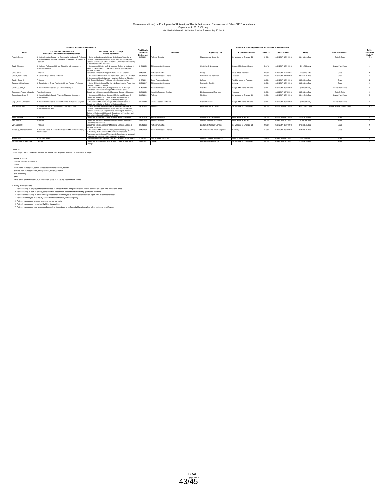### Recommendation(s) on Employment of University of Illinois Retirees and Employment of Other SURS Annuitants<br>September 7, 2017, Chicago<br>(Within Guidelines Adopted by the Board of Trustees, July 25, 2013)

| <b>Historical Appointment Information</b> |                                                                                                                                                   |                                                                                                                                                                                                                                                                                                                   |                                                 | Current or Future Appointment Information, Post-Retirement |                                |                               |          |                         |                    |                               |                                |
|-------------------------------------------|---------------------------------------------------------------------------------------------------------------------------------------------------|-------------------------------------------------------------------------------------------------------------------------------------------------------------------------------------------------------------------------------------------------------------------------------------------------------------------|-------------------------------------------------|------------------------------------------------------------|--------------------------------|-------------------------------|----------|-------------------------|--------------------|-------------------------------|--------------------------------|
| Name                                      | Job Title Before Betirement<br>OR SURS Annuitant Retirement Institution                                                                           | <b>Employing Unit and College</b><br><b>Refore Retirement</b>                                                                                                                                                                                                                                                     | <b>First Rehire</b><br>Date After<br>Retirement | <b>Job Title</b>                                           | <b>Appointing Unit</b>         | <b>Appointing College</b>     | Job FTE* | <b>Service Dates</b>    | Salary             | Source of Funds**             | Policy<br>Provision<br>Code*** |
| Russell, Brenda                           | . Visiting Director, Program in Regenerative Medicine: 2. Profess<br>Executive Associate Vice Chancellor for Research: 4. Director of<br>dosparch | 1. Center for Cardiovascular Research. College of Medicine at<br>Chicago: 2. Department of Physiology & Biophysics, College of<br>Medicine at Chicago: 3. Office of the Vice Chancellor for Research:<br>4 Vice Chancellor for Research                                                                           | 08/04/2011                                      | Professor Emerita                                          | Physiology and Bicohysics      | Coll Medicine at Chicago - BS | 41.00%   | 09/01/2017 - 08/31/2018 | \$64.126.44/Total  | State & Grant                 | 1&2                            |
| Saad, Edward J.                           | . Assistant Professor of Clinical Obstetrics & Gynecology: 2.<br>hysician Surgeon                                                                 | 1. Department of Obstetrics & Gynecology, College of Medicine at<br>Peorla: 2. Department of Obstetrics & Gynecology. College of<br>Medicine at Peoria                                                                                                                                                            | 11/01/2005                                      | Clinical Assistant Professor                               | Obstetrics & Gynecology        | College of Medicine at Peoria | 0.00%    | 09/01/2017 - 08/31/2018 | \$110.70/Hourly    | Service Plan Funds            | $\overline{a}$                 |
| Sack, James J.                            | Intessor                                                                                                                                          | Department of History, College of Liberal Arts and Sciences                                                                                                                                                                                                                                                       | 08/18/2014                                      | Professor Emeritus                                         | History                        | Liberal Arts & Sciences       | 33.00%   | 08/16/2017 - 12/31/2017 | SA 967 46/Total    | State                         | $\overline{1}$                 |
| Sakash, Karen Marie                       | Coordinator: 2 Clinical Professor                                                                                                                 | . Department of Curriculum and Instrucation. College of Education:<br>2. Department of Curriculum and Instruction. College of Education                                                                                                                                                                           | 03/01/2009                                      | Associate Professor Emerita                                | Curriculum and Instruction     | Education                     | 73.00%   | 09/01/2017 - 04/30/2018 | \$57,611,02(Total  | Grant                         | $\overline{2}$                 |
| Sandin, Daniel J.                         | mfessor                                                                                                                                           | Art & Design / College of Architecture, Design, and the Arts                                                                                                                                                                                                                                                      | 11/07/2011                                      | <b>Senior Research Scientist</b>                           | Rottech                        | Vice Chancellor for Research  | 33.00%   | 09/01/2017 - 08/31/2018 | \$33,355,08/Total  | Grant                         | $\overline{2}$                 |
| Santucci, Michael Louis                   | . Coordinator of Group Practice: 2. Clinical Assistant Professor                                                                                  | Dental Clinics, College of Dentistry: 2. Department of Restorative<br>Dentistry, College of Dentistry                                                                                                                                                                                                             | 04/24/2017                                      | Clinical Assistant Professor                               | Restorative Dentistry          | Dentistry                     | 60.00%   | 09/01/2017 - 08/31/2018 | \$60,000,00/Total  | State                         | $\mathbf{1}$                   |
| Sauder, Sue Elyn                          | Associate Professor (CT): 2. Physician Surgeon                                                                                                    | 1. Department of Pediatrics. College of Medicine at Peoria: 2.<br>Department of Pediatrics, College of Medicine at Peoria                                                                                                                                                                                         | 11/15/2012                                      | Associate Professor                                        | Pediatrics                     | College of Medicine at Peoria | 0.00%    | 09/01/2017 - 08/31/2018 | \$100.00/Hourly    | Service Plan Funds            | $\sim$                         |
| Schlemmer, Raymond Francis                | ssociate Professor                                                                                                                                | Department of Biopharmaceutical Sciences, College of Pharmacy                                                                                                                                                                                                                                                     | 08/01/2009                                      | Associate Professor Emeritus                               | Biopharmaceutical Sciences     | harmacy                       | 50.00%   | 08/16/2017 - 05/15/2018 | \$37,638,00/Total  | State & State                 | $\mathbf{1}$                   |
| Schraufnagel, Dean E.                     | Associate Chair, Faculty Affairs: 2. Physician Surgeon: 3.<br>rofessor (RT)                                                                       | 1. Department of Medicine, College of Medicine at Chicago: 2.<br>Department of Medicine, College of Medicine at Chicago: 3.<br>Department of Medicine, College of Medicine at Chicago                                                                                                                             | 08/18/2014                                      | Professor                                                  | Medicine                       | Coll Medicine at Chicago - CS | 20.00%   | 09/01/2017 - 08/31/2018 | \$34,647,54/Total  | Service Plan Funds            | $\mathcal{R}$                  |
| Slagle, David Christopher                 | . Associate Professor of Clinical Medicine: 2. Physician Surgeon                                                                                  | 1. Department of Medicine, College of Medicine at Peoria: 2.<br>Department of Medicine, College of Medicine at Peroia                                                                                                                                                                                             | 07/27/2016                                      | Clinical Associate Professor                               | Internal Medicine              | College of Medicine at Peoria | 0.00%    | 09/01/2017 - 08/31/2018 | \$100.00/Hourly    | Service Plan Funds            | $\overline{a}$                 |
| Solaro, Ross John                         | . Interim Director: 2. Distinguished University Professor: 3.<br>Professor (RT): 4. Head                                                          | 1. Center for Cardiovascular Research, College of Medicine at<br>Chicago: 2. Department of Physiology & Biophysics, College of<br>Medicine at Chicago; 3. Department of Physiology & Biophysics,<br>College of Medicine at Chicago: 4. Department of Physiology and<br>Biophysics, College of Medicine at Chicago | 09/01/2015                                      | Protessor                                                  | Physiology and Bicohysics      | Coll Medicine at Chicago - BS | 36.00%   | 09/01/2017 - 08/31/2018 | \$127,000,00/Total | State & Grant & Grant & Grant | 1&2                            |
| Stout, William F.                         | nosonn                                                                                                                                            | Department of Statistics, College of Liberal Arts and Sciences                                                                                                                                                                                                                                                    | 09/01/2006                                      | <b>Research Professor</b>                                  | Learning Sciences Res Inst     | Liberal Arts & Sciences       | 20.00%   | 09/01/2017 - 08/31/2018 | \$20,039,57/Total  | Grant                         | $\overline{2}$                 |
| Valo, John T.                             | rotessor                                                                                                                                          | Department of Classics and Mediterranean Studies, College of<br>I ihoral Arts and Sciences                                                                                                                                                                                                                        | 08/16/2014                                      | Professor Emeritus                                         | Classics & Mediterran Studies  | Liberal Arts & Sciences       | 50.00%   | 08/16/2017 - 12/31/2017 | \$7,957,68/Total   | State                         |                                |
| Vary, James C                             | rotessor                                                                                                                                          | Department of Biochemistry and Molecular Genetics, College of<br>Medicine at Chicago                                                                                                                                                                                                                              | 10/31/2003                                      | Professor Emeritus                                         | Biochem & Molecular Genetics   | Coll Medicine at Chicago - BS | 20.00%   | 09/01/2017 - 08/31/2018 | \$18,536,60/Total  | State                         |                                |
| Woodbury, Charles Putman                  | eam Leader                                                                                                                                        | Assistant Head: 2. Associate Professor of Medicinal Chemistry: 3. 1. Department of Medicinal Chemistry and Pharmacognosy. College<br>of Pharmacy: 2. Department of Medicinal Chemistry and<br>Pharmacognosy. College of Pharmacy: 3. Department of Medicinal<br>Chemistry and Pharmacognosy. College of Pharmacy  | 08/16/2009                                      | Assoicate Professor Emeritus                               | Medicinal Chem & Pharmacognosy | harmacy                       | 45.00%   | 08/16/2017 - 05/15/2018 | \$41,685,03/Total  | State                         |                                |
| Young, Janis                              | Social Work Aide III                                                                                                                              | Community Outreach Intervention Project / School of Public Health                                                                                                                                                                                                                                                 | 07/31/2017                                      | Work Program Participant                                   | Commty Outreach Intervent Proj | ichool of Public Health       | 0.00%    | 08/14/2017 - 08/31/2017 | \$21.15/Hourly     | Grant                         | 5                              |
| Ziaia-Henderson, Beatrice A.              | orturer                                                                                                                                           | Department of Anatomy and Cell Biology, College of Medicine at<br>Chicago                                                                                                                                                                                                                                         | 03/16/2012                                      | Locturer                                                   | Anatomy and Cell Biology       | Coll Medicine at Chicago - BS | 45.00%   | 08/16/2017 - 12/31/2017 | \$13,654,48/Total  | State                         |                                |

\*Job FTE: NA = Project for a pre-defined duration; no formal FTE. Payment rendered at conclusion of project.

"Source of Funds<br>Gift and Endowment Income<br>Isathulional Funds (ICR, admin and educational atlowances, royalty)<br>Isathulional Funds (Medical, Occupational, Nursing, Dental)<br>Stef supporting<br>State<br>Trust-other (predominately UI

\*\*\*Policy Provision Code:

1. Retired faculty re-employed to teach courses or advise students and perform other related services on a part-time occasional basis<br>2. Retired faculty or staff re-employed to conduct research on appointments funded by gr

3. Retried clinical faculty or other clinical professionals re-employed to provide patient care on a part-time or occasional basis<br>4. Retries re-employed in an houfly academic/research/faculty/clinical capacity<br>5. Retried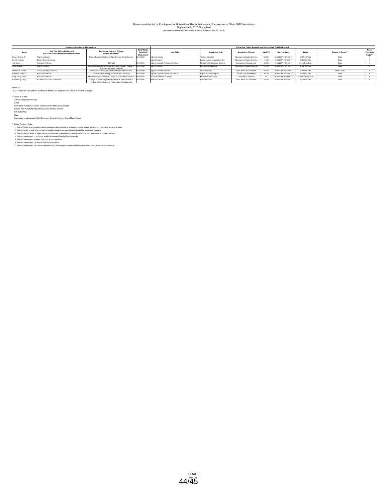### Recommendation(s) on Employment of University of Illinois Retirees and Employment of Other SURS Annuitants<br>September 7, 2017, Springfield<br>(Within Guidelines Adopted by the Board of Trustees, July 25, 2013)

|                     | <b>Historical Appointment Information</b>                               | Current or Future Appointment Information, Post-Retirement                                                                      |                                                 |                                      |                                |                               |          |                         |                     |                   |                               |
|---------------------|-------------------------------------------------------------------------|---------------------------------------------------------------------------------------------------------------------------------|-------------------------------------------------|--------------------------------------|--------------------------------|-------------------------------|----------|-------------------------|---------------------|-------------------|-------------------------------|
| Name                | Job Title Before Retirement<br>OR SURS Annuitant Retirement Institution | <b>Employing Unit and College</b><br><b>Before Retirement</b>                                                                   | <b>First Rehire</b><br>Date After<br>Retirement | <b>Job Title</b>                     | <b>Appointing Unit</b>         | <b>Appointing College</b>     | Job FTE* | <b>Service Dates</b>    | Salary              | Source of Funds** | Policy<br>Provision<br>Code** |
| Casner, Sharon K    | Adjunct Instructor                                                      | Teacher Education/College of Education and Human Services                                                                       | 08/16/2010                                      | Adjunct Instructor                   | <b>Teacher Education</b>       | Education and Human Services  | 50.00%   | 08/16/2017 - 12/31/2017 | \$5,371,43/Total    | State             |                               |
| Garrett, Norman     | Eastern Illinois University                                             |                                                                                                                                 |                                                 | Adjunct Lecturer                     | Educ & Human Services Gen Exp  | Education and Human Services  | 13.00%   | 08/16/2017 - 11/15/2017 | \$2,400,00/Total    | State             |                               |
| Hall, James         | Associate Professor                                                     | CRMARS                                                                                                                          | 05/16/2013                                      | Adjunct Associate Professor Emeritus | Management Information Systems | Business and Management       | 50.00%   | 08/16/2017 - 12/31/2017 | \$14,920,66/Total   | State             |                               |
| Loken, Mary F       | Adjunct Lecturer                                                        | Educational Leadership/Teacher Education College - College of 03/01/1998<br>Education and Human Services                        |                                                 | Adjunct Lecturer                     | Educational Leadership         | Education and Human Services  | 25.00%   | 08/16/2017 - 12/31/2017 | \$1,641,28/Total    | State             |                               |
| Michaelson, Ronald  | Visiting Assistant Professor                                            | Political Science/College of Public Affairs & Administration                                                                    | 08/16/2013                                      | Adjunct Assistant Professor          | Political Science              | Public Affairs & Administrato | 50.00%   | 08/16/2017 - 12/31/2017 | \$5.172.51/Total    | State & State     |                               |
| Nicholson, Henry E. | Associate Professor                                                     | Communication / College of Liberal Arts & Sciences                                                                              | 10/16/2008                                      | Adjunct Associate Professor Emeritus | Capital Scholars Program       | Provost & VC Acad Affairs     | 25.00%   | 08/16/2017 - 12/31/2017 | \$3,978,80/Total    | State             |                               |
| Sung, Chung-Hsien   | Associate Professor                                                     | Mathematical Sciences Dept. College of Liberal Arts & Sciences 09/16/2014                                                       |                                                 | Associate Professor Emeritus         | Mathematical Sciences          | Liberal Arts & Sciences       | NA       | 06/16/2017 - 06/30/2017 | \$1,500,00/Lump Sum | State             |                               |
| Wassenberg, Pinky   | 1. Professor Emerita: 2. Professor                                      | 1. Legal Studies/College of Public Affairs & Administration: 2.<br>Political Science/College of Public Affairs & Administration | 08/16/2015                                      | Professor Emerita                    | Political Science              | Public Affairs & Administrato | 50.00%   | 08/16/2017 - 12/31/2017 | \$8,000,03/Total    | State             |                               |

\*Job FTE: NA = Project for a pre-defined duration; no formal FTE. Payment rendered at conclusion of project.

"Source of Funds<br>Gift and Endowment Income<br>Isathulional Funds (ICR, admin and educational atlowances, royalty)<br>Isathulional Funds (Medical, Occupational, Nunsing, Dental)<br>Stef supporting<br>State<br>Trust-other (predominately UI

\*\*\*Policy Provision Code:

1. Retired faculty re-employed to teach courses or advise students and perform other related services on a part-time occasional basis<br>2. Retired faculty or staff re-employed to conduct research on appointments funded by gr

3. Retried clinical faculty or other clinical professionals re-employed to provide patient care on a part-time or occasional basis<br>4. Retries re-employed in an houfly academic/research/faculty/clinical capacity<br>5. Retried